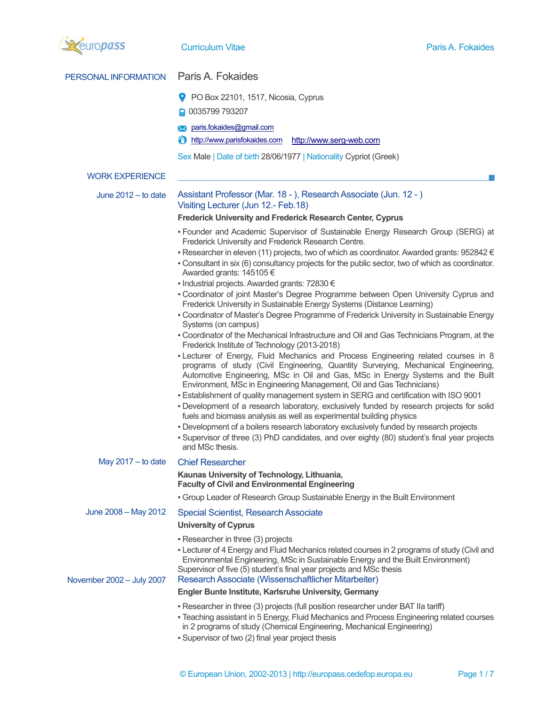

PERSONAL INFORMATION Paris A. Fokaides

|                           | PO Box 22101, 1517, Nicosia, Cyprus<br>v                                                                                                                                                                                                                                                                                                                                                                                                                                                                                                                                                                                                                                                                                                                                                                                                                                                                                                                                                                                                                                                                                                                                                                                                                                                                                                                                                                                                                                                                                                                                                                                                                    |
|---------------------------|-------------------------------------------------------------------------------------------------------------------------------------------------------------------------------------------------------------------------------------------------------------------------------------------------------------------------------------------------------------------------------------------------------------------------------------------------------------------------------------------------------------------------------------------------------------------------------------------------------------------------------------------------------------------------------------------------------------------------------------------------------------------------------------------------------------------------------------------------------------------------------------------------------------------------------------------------------------------------------------------------------------------------------------------------------------------------------------------------------------------------------------------------------------------------------------------------------------------------------------------------------------------------------------------------------------------------------------------------------------------------------------------------------------------------------------------------------------------------------------------------------------------------------------------------------------------------------------------------------------------------------------------------------------|
|                           | ■ 0035799 793207                                                                                                                                                                                                                                                                                                                                                                                                                                                                                                                                                                                                                                                                                                                                                                                                                                                                                                                                                                                                                                                                                                                                                                                                                                                                                                                                                                                                                                                                                                                                                                                                                                            |
|                           | paris.fokaides@gmail.com                                                                                                                                                                                                                                                                                                                                                                                                                                                                                                                                                                                                                                                                                                                                                                                                                                                                                                                                                                                                                                                                                                                                                                                                                                                                                                                                                                                                                                                                                                                                                                                                                                    |
|                           | ⊕<br>http://www.parisfokaides.com<br>http://www.serg-web.com                                                                                                                                                                                                                                                                                                                                                                                                                                                                                                                                                                                                                                                                                                                                                                                                                                                                                                                                                                                                                                                                                                                                                                                                                                                                                                                                                                                                                                                                                                                                                                                                |
|                           | Sex Male   Date of birth 28/06/1977   Nationality Cypriot (Greek)                                                                                                                                                                                                                                                                                                                                                                                                                                                                                                                                                                                                                                                                                                                                                                                                                                                                                                                                                                                                                                                                                                                                                                                                                                                                                                                                                                                                                                                                                                                                                                                           |
| <b>WORK EXPERIENCE</b>    |                                                                                                                                                                                                                                                                                                                                                                                                                                                                                                                                                                                                                                                                                                                                                                                                                                                                                                                                                                                                                                                                                                                                                                                                                                                                                                                                                                                                                                                                                                                                                                                                                                                             |
| June $2012 -$ to date     | Assistant Professor (Mar. 18 - ), Research Associate (Jun. 12 - )<br>Visiting Lecturer (Jun 12.- Feb.18)                                                                                                                                                                                                                                                                                                                                                                                                                                                                                                                                                                                                                                                                                                                                                                                                                                                                                                                                                                                                                                                                                                                                                                                                                                                                                                                                                                                                                                                                                                                                                    |
|                           | <b>Frederick University and Frederick Research Center, Cyprus</b>                                                                                                                                                                                                                                                                                                                                                                                                                                                                                                                                                                                                                                                                                                                                                                                                                                                                                                                                                                                                                                                                                                                                                                                                                                                                                                                                                                                                                                                                                                                                                                                           |
|                           | - Founder and Academic Supervisor of Sustainable Energy Research Group (SERG) at<br>Frederick University and Frederick Research Centre.<br>- Researcher in eleven (11) projects, two of which as coordinator. Awarded grants: $952842 \in$<br>- Consultant in six (6) consultancy projects for the public sector, two of which as coordinator.<br>Awarded grants: 145105 €<br>■ Industrial projects. Awarded grants: 72830 €<br>- Coordinator of joint Master's Degree Programme between Open University Cyprus and<br>Frederick University in Sustainable Energy Systems (Distance Learning)<br>- Coordinator of Master's Degree Programme of Frederick University in Sustainable Energy<br>Systems (on campus)<br>- Coordinator of the Mechanical Infrastructure and Oil and Gas Technicians Program, at the<br>Frederick Institute of Technology (2013-2018)<br>- Lecturer of Energy, Fluid Mechanics and Process Engineering related courses in 8<br>programs of study (Civil Engineering, Quantity Surveying, Mechanical Engineering,<br>Automotive Engineering, MSc in Oil and Gas, MSc in Energy Systems and the Built<br>Environment, MSc in Engineering Management, Oil and Gas Technicians)<br>- Establishment of quality management system in SERG and certification with ISO 9001<br>- Development of a research laboratory, exclusively funded by research projects for solid<br>fuels and biomass analysis as well as experimental building physics<br>- Development of a boilers research laboratory exclusively funded by research projects<br>- Supervisor of three (3) PhD candidates, and over eighty (80) student's final year projects |
| May $2017 -$ to date      | and MSc thesis.<br><b>Chief Researcher</b>                                                                                                                                                                                                                                                                                                                                                                                                                                                                                                                                                                                                                                                                                                                                                                                                                                                                                                                                                                                                                                                                                                                                                                                                                                                                                                                                                                                                                                                                                                                                                                                                                  |
|                           | Kaunas University of Technology, Lithuania,<br><b>Faculty of Civil and Environmental Engineering</b>                                                                                                                                                                                                                                                                                                                                                                                                                                                                                                                                                                                                                                                                                                                                                                                                                                                                                                                                                                                                                                                                                                                                                                                                                                                                                                                                                                                                                                                                                                                                                        |
|                           | • Group Leader of Research Group Sustainable Energy in the Built Environment                                                                                                                                                                                                                                                                                                                                                                                                                                                                                                                                                                                                                                                                                                                                                                                                                                                                                                                                                                                                                                                                                                                                                                                                                                                                                                                                                                                                                                                                                                                                                                                |
| June 2008 - May 2012      | <b>Special Scientist, Research Associate</b>                                                                                                                                                                                                                                                                                                                                                                                                                                                                                                                                                                                                                                                                                                                                                                                                                                                                                                                                                                                                                                                                                                                                                                                                                                                                                                                                                                                                                                                                                                                                                                                                                |
|                           | <b>University of Cyprus</b>                                                                                                                                                                                                                                                                                                                                                                                                                                                                                                                                                                                                                                                                                                                                                                                                                                                                                                                                                                                                                                                                                                                                                                                                                                                                                                                                                                                                                                                                                                                                                                                                                                 |
| November 2002 - July 2007 | - Researcher in three (3) projects<br>- Lecturer of 4 Energy and Fluid Mechanics related courses in 2 programs of study (Civil and<br>Environmental Engineering, MSc in Sustainable Energy and the Built Environment)<br>Supervisor of five (5) student's final year projects and MSc thesis<br>Research Associate (Wissenschaftlicher Mitarbeiter)                                                                                                                                                                                                                                                                                                                                                                                                                                                                                                                                                                                                                                                                                                                                                                                                                                                                                                                                                                                                                                                                                                                                                                                                                                                                                                         |
|                           | <b>Engler Bunte Institute, Karlsruhe University, Germany</b>                                                                                                                                                                                                                                                                                                                                                                                                                                                                                                                                                                                                                                                                                                                                                                                                                                                                                                                                                                                                                                                                                                                                                                                                                                                                                                                                                                                                                                                                                                                                                                                                |
|                           | - Researcher in three (3) projects (full position researcher under BAT IIa tariff)<br>- Teaching assistant in 5 Energy, Fluid Mechanics and Process Engineering related courses<br>in 2 programs of study (Chemical Engineering, Mechanical Engineering)<br>- Supervisor of two (2) final year project thesis                                                                                                                                                                                                                                                                                                                                                                                                                                                                                                                                                                                                                                                                                                                                                                                                                                                                                                                                                                                                                                                                                                                                                                                                                                                                                                                                               |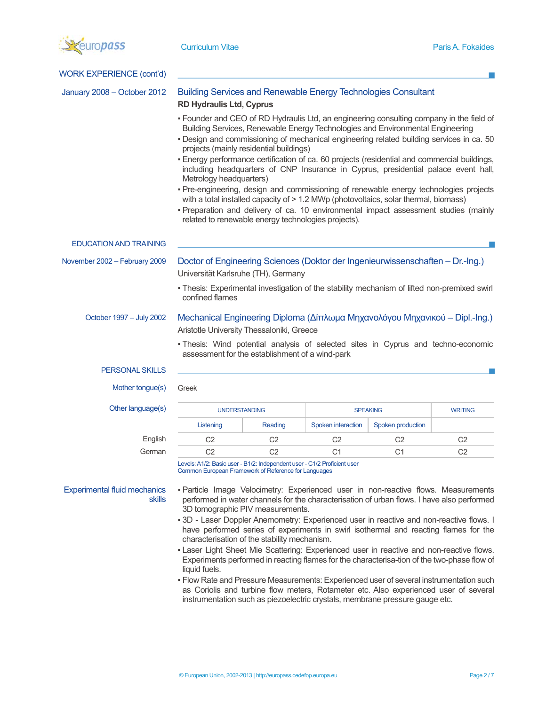

| <b>WORK EXPERIENCE (cont'd)</b>               |                                                                                                                                                                                      |                                                     |                    |                                                                                            |                                                                                             |
|-----------------------------------------------|--------------------------------------------------------------------------------------------------------------------------------------------------------------------------------------|-----------------------------------------------------|--------------------|--------------------------------------------------------------------------------------------|---------------------------------------------------------------------------------------------|
| January 2008 - October 2012                   | <b>Building Services and Renewable Energy Technologies Consultant</b><br><b>RD Hydraulis Ltd, Cyprus</b>                                                                             |                                                     |                    |                                                                                            |                                                                                             |
|                                               | - Founder and CEO of RD Hydraulis Ltd, an engineering consulting company in the field of<br>- Design and commissioning of mechanical engineering related building services in ca. 50 |                                                     |                    | Building Services, Renewable Energy Technologies and Environmental Engineering             |                                                                                             |
|                                               | - Energy performance certification of ca. 60 projects (residential and commercial buildings,<br>Metrology headquarters)                                                              | projects (mainly residential buildings)             |                    | including headquarters of CNP Insurance in Cyprus, presidential palace event hall,         |                                                                                             |
|                                               | - Pre-engineering, design and commissioning of renewable energy technologies projects<br>- Preparation and delivery of ca. 10 environmental impact assessment studies (mainly        | related to renewable energy technologies projects). |                    | with a total installed capacity of > 1.2 MWp (photovoltaics, solar thermal, biomass)       |                                                                                             |
| <b>EDUCATION AND TRAINING</b>                 |                                                                                                                                                                                      |                                                     |                    |                                                                                            |                                                                                             |
| November 2002 - February 2009                 | Doctor of Engineering Sciences (Doktor der Ingenieurwissenschaften - Dr.-Ing.)<br>Universität Karlsruhe (TH), Germany                                                                |                                                     |                    |                                                                                            |                                                                                             |
|                                               | - Thesis: Experimental investigation of the stability mechanism of lifted non-premixed swirl<br>confined flames                                                                      |                                                     |                    |                                                                                            |                                                                                             |
| October 1997 - July 2002                      | Mechanical Engineering Diploma (Δίπλωμα Μηχανολόγου Μηχανικού – Dipl.-Ing.)<br>Aristotle University Thessaloniki, Greece                                                             |                                                     |                    |                                                                                            |                                                                                             |
|                                               | - Thesis: Wind potential analysis of selected sites in Cyprus and techno-economic                                                                                                    | assessment for the establishment of a wind-park     |                    |                                                                                            |                                                                                             |
| <b>PERSONAL SKILLS</b>                        |                                                                                                                                                                                      |                                                     |                    |                                                                                            |                                                                                             |
| Mother tongue(s)                              | Greek                                                                                                                                                                                |                                                     |                    |                                                                                            |                                                                                             |
| Other language(s)                             | <b>UNDERSTANDING</b>                                                                                                                                                                 |                                                     |                    | <b>SPEAKING</b>                                                                            | <b>WRITING</b>                                                                              |
|                                               | Listening                                                                                                                                                                            | Reading                                             | Spoken interaction | Spoken production                                                                          |                                                                                             |
| English                                       | C <sub>2</sub>                                                                                                                                                                       | C <sub>2</sub>                                      | C <sub>2</sub>     | C <sub>2</sub>                                                                             | C <sub>2</sub>                                                                              |
| German                                        | C <sub>2</sub>                                                                                                                                                                       | C <sub>2</sub>                                      | C <sub>1</sub>     | C <sub>1</sub>                                                                             | C <sub>2</sub>                                                                              |
|                                               | Levels: A1/2: Basic user - B1/2: Independent user - C1/2 Proficient user<br>Common European Framework of Reference for Languages                                                     |                                                     |                    |                                                                                            |                                                                                             |
| <b>Experimental fluid mechanics</b><br>skills | - Particle Image Velocimetry: Experienced user in non-reactive flows. Measurements                                                                                                   | 3D tomographic PIV measurements.                    |                    | performed in water channels for the characterisation of urban flows. I have also performed |                                                                                             |
|                                               | - 3D - Laser Doppler Anemometry: Experienced user in reactive and non-reactive flows. I                                                                                              | characterisation of the stability mechanism.        |                    | have performed series of experiments in swirl isothermal and reacting flames for the       |                                                                                             |
|                                               | - Laser Light Sheet Mie Scattering: Experienced user in reactive and non-reactive flows.<br>liquid fuels.                                                                            |                                                     |                    |                                                                                            | Experiments performed in reacting flames for the characterisa-tion of the two-phase flow of |
|                                               | - Flow Rate and Pressure Measurements: Experienced user of several instrumentation such                                                                                              |                                                     |                    |                                                                                            |                                                                                             |

as Coriolis and turbine flow meters, Rotameter etc. Also experienced user of several instrumentation such as piezoelectric crystals, membrane pressure gauge etc.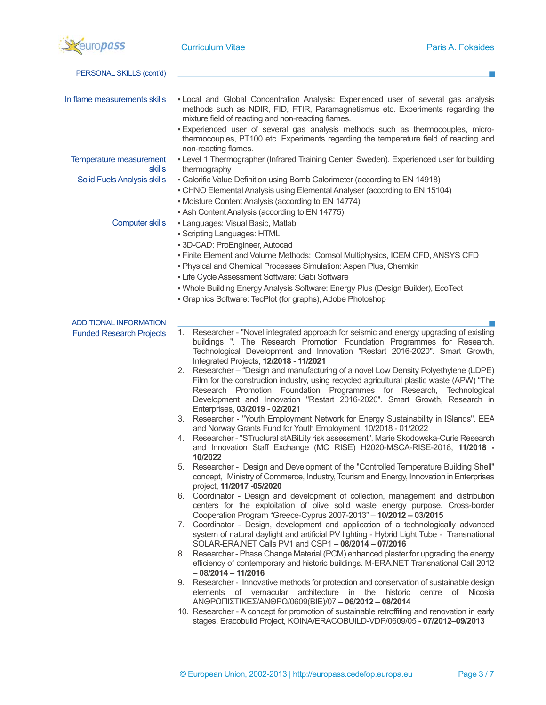

| PERSONAL SKILLS (cont'd)                 |                                                                                                                                                                                                                                                                                                                                                                         |
|------------------------------------------|-------------------------------------------------------------------------------------------------------------------------------------------------------------------------------------------------------------------------------------------------------------------------------------------------------------------------------------------------------------------------|
|                                          |                                                                                                                                                                                                                                                                                                                                                                         |
| In flame measurements skills             | - Local and Global Concentration Analysis: Experienced user of several gas analysis<br>methods such as NDIR, FID, FTIR, Paramagnetismus etc. Experiments regarding the<br>mixture field of reacting and non-reacting flames.                                                                                                                                            |
|                                          | - Experienced user of several gas analysis methods such as thermocouples, micro-<br>thermocouples, PT100 etc. Experiments regarding the temperature field of reacting and<br>non-reacting flames.                                                                                                                                                                       |
| Temperature measurement<br><b>skills</b> | - Level 1 Thermographer (Infrared Training Center, Sweden). Experienced user for building<br>thermography                                                                                                                                                                                                                                                               |
| <b>Solid Fuels Analysis skills</b>       | - Calorific Value Definition using Bomb Calorimeter (according to EN 14918)<br>- CHNO Elemental Analysis using Elemental Analyser (according to EN 15104)<br>• Moisture Content Analysis (according to EN 14774)<br>- Ash Content Analysis (according to EN 14775)                                                                                                      |
| <b>Computer skills</b>                   | - Languages: Visual Basic, Matlab                                                                                                                                                                                                                                                                                                                                       |
|                                          | • Scripting Languages: HTML                                                                                                                                                                                                                                                                                                                                             |
|                                          | - 3D-CAD: ProEngineer, Autocad<br>- Finite Element and Volume Methods: Comsol Multiphysics, ICEM CFD, ANSYS CFD                                                                                                                                                                                                                                                         |
|                                          | - Physical and Chemical Processes Simulation: Aspen Plus, Chemkin                                                                                                                                                                                                                                                                                                       |
|                                          | - Life Cycle Assessment Software: Gabi Software                                                                                                                                                                                                                                                                                                                         |
|                                          | • Whole Building Energy Analysis Software: Energy Plus (Design Builder), EcoTect<br>- Graphics Software: TecPlot (for graphs), Adobe Photoshop                                                                                                                                                                                                                          |
| <b>ADDITIONAL INFORMATION</b>            |                                                                                                                                                                                                                                                                                                                                                                         |
| <b>Funded Research Projects</b>          | Researcher - "Novel integrated approach for seismic and energy upgrading of existing<br>1.<br>buildings ". The Research Promotion Foundation Programmes for Research,<br>Technological Development and Innovation "Restart 2016-2020". Smart Growth,<br>Integrated Projects, 12/2018 - 11/2021                                                                          |
|                                          | 2. Researcher - "Design and manufacturing of a novel Low Density Polyethylene (LDPE)<br>Film for the construction industry, using recycled agricultural plastic waste (APW) "The<br>Research Promotion Foundation Programmes for Research, Technological<br>Development and Innovation "Restart 2016-2020". Smart Growth, Research in<br>Enterprises, 03/2019 - 02/2021 |
|                                          | Researcher - "Youth Employment Network for Energy Sustainability in ISlands". EEA<br>3.<br>and Norway Grants Fund for Youth Employment, 10/2018 - 01/2022                                                                                                                                                                                                               |
|                                          | Researcher - "STructural stABiLity risk assessment". Marie Skodowska-Curie Research<br>4.<br>and Innovation Staff Exchange (MC RISE) H2020-MSCA-RISE-2018, 11/2018 -<br>10/2022                                                                                                                                                                                         |
|                                          | Researcher - Design and Development of the "Controlled Temperature Building Shell"<br>concept, Ministry of Commerce, Industry, Tourism and Energy, Innovation in Enterprises<br>project, 11/2017 -05/2020                                                                                                                                                               |
|                                          | 6. Coordinator - Design and development of collection, management and distribution<br>centers for the exploitation of olive solid waste energy purpose, Cross-border<br>Cooperation Program "Greece-Cyprus 2007-2013" - 10/2012 - 03/2015                                                                                                                               |
|                                          | 7. Coordinator - Design, development and application of a technologically advanced<br>system of natural daylight and artificial PV lighting - Hybrid Light Tube - Transnational<br>SOLAR-ERA.NET Calls PV1 and CSP1 - 08/2014 - 07/2016                                                                                                                                 |
|                                          | 8. Researcher - Phase Change Material (PCM) enhanced plaster for upgrading the energy<br>efficiency of contemporary and historic buildings. M-ERA.NET Transnational Call 2012<br>$-08/2014 - 11/2016$                                                                                                                                                                   |
|                                          | 9. Researcher - Innovative methods for protection and conservation of sustainable design<br>elements of vernacular architecture in the historic centre of Nicosia<br>ANΘΡΩΠΙΣΤΙΚΕΣ/ΑΝΘΡΩ/0609(ΒΙΕ)/07 - 06/2012 - 08/2014                                                                                                                                               |
|                                          | 10. Researcher - A concept for promotion of sustainable retroffiting and renovation in early<br>stages, Eracobuild Project, KOINA/ERACOBUILD-VDP/0609/05 - 07/2012-09/2013                                                                                                                                                                                              |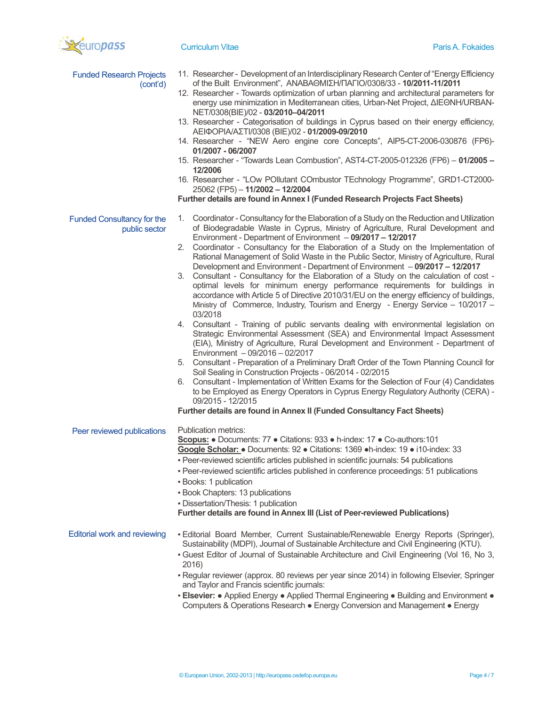

| <b>Funded Research Projects</b><br>(cont'd)        | 11. Researcher - Development of an Interdisciplinary Research Center of "Energy Efficiency<br>of the Built Environment", ANABAΘΜΙΣΗ/ΠΑΓΙΟ/0308/33 - 10/2011-11/2011<br>12. Researcher - Towards optimization of urban planning and architectural parameters for<br>energy use minimization in Mediterranean cities, Urban-Net Project, ΔΙΕΘΝΗ/URBAN-<br>NET/0308(BIE)/02 - 03/2010-04/2011<br>13. Researcher - Categorisation of buildings in Cyprus based on their energy efficiency,<br>ΑΕΙΦΟΡΙΑ/ΑΣΤΙ/0308 (ΒΙΕ)/02 - 01/2009-09/2010<br>14. Researcher - "NEW Aero engine core Concepts", AIP5-CT-2006-030876 (FP6)-<br>01/2007 - 06/2007<br>15. Researcher - "Towards Lean Combustion", AST4-CT-2005-012326 (FP6) - 01/2005 -<br>12/2006<br>16. Researcher - "LOw POllutant COmbustor TEchnology Programme", GRD1-CT2000-<br>25062 (FP5) - 11/2002 - 12/2004                                                                                                                                                                                                                                                                                                                                                                                                                                                                                                                                                                                                                                                                                                                                                                                |
|----------------------------------------------------|-------------------------------------------------------------------------------------------------------------------------------------------------------------------------------------------------------------------------------------------------------------------------------------------------------------------------------------------------------------------------------------------------------------------------------------------------------------------------------------------------------------------------------------------------------------------------------------------------------------------------------------------------------------------------------------------------------------------------------------------------------------------------------------------------------------------------------------------------------------------------------------------------------------------------------------------------------------------------------------------------------------------------------------------------------------------------------------------------------------------------------------------------------------------------------------------------------------------------------------------------------------------------------------------------------------------------------------------------------------------------------------------------------------------------------------------------------------------------------------------------------------------------------------------------------------------------------------------------------------------------------------------------|
|                                                    | Further details are found in Annex I (Funded Research Projects Fact Sheets)                                                                                                                                                                                                                                                                                                                                                                                                                                                                                                                                                                                                                                                                                                                                                                                                                                                                                                                                                                                                                                                                                                                                                                                                                                                                                                                                                                                                                                                                                                                                                                     |
| <b>Funded Consultancy for the</b><br>public sector | 1. Coordinator - Consultancy for the Elaboration of a Study on the Reduction and Utilization<br>of Biodegradable Waste in Cyprus, Ministry of Agriculture, Rural Development and<br>Environment - Department of Environment - 09/2017 - 12/2017<br>Coordinator - Consultancy for the Elaboration of a Study on the Implementation of<br>2.<br>Rational Management of Solid Waste in the Public Sector, Ministry of Agriculture, Rural<br>Development and Environment - Department of Environment - 09/2017 - 12/2017<br>Consultant - Consultancy for the Elaboration of a Study on the calculation of cost -<br>3.<br>optimal levels for minimum energy performance requirements for buildings in<br>accordance with Article 5 of Directive 2010/31/EU on the energy efficiency of buildings,<br>Ministry of Commerce, Industry, Tourism and Energy - Energy Service - 10/2017 -<br>03/2018<br>Consultant - Training of public servants dealing with environmental legislation on<br>4.<br>Strategic Environmental Assessment (SEA) and Environmental Impact Assessment<br>(EIA), Ministry of Agriculture, Rural Development and Environment - Department of<br>Environment - 09/2016 - 02/2017<br>Consultant - Preparation of a Preliminary Draft Order of the Town Planning Council for<br>5.<br>Soil Sealing in Construction Projects - 06/2014 - 02/2015<br>Consultant - Implementation of Written Exams for the Selection of Four (4) Candidates<br>6.<br>to be Employed as Energy Operators in Cyprus Energy Regulatory Authority (CERA) -<br>09/2015 - 12/2015<br>Further details are found in Annex II (Funded Consultancy Fact Sheets) |
| Peer reviewed publications                         | Publication metrics:<br>Scopus: . Documents: 77 . Citations: 933 . h-index: 17 . Co-authors: 101<br>Google Scholar: • Documents: 92 • Citations: 1369 • h-index: 19 • i10-index: 33<br>- Peer-reviewed scientific articles published in scientific journals: 54 publications<br>- Peer-reviewed scientific articles published in conference proceedings: 51 publications<br>• Books: 1 publication<br>• Book Chapters: 13 publications<br>· Dissertation/Thesis: 1 publication<br>Further details are found in Annex III (List of Peer-reviewed Publications)                                                                                                                                                                                                                                                                                                                                                                                                                                                                                                                                                                                                                                                                                                                                                                                                                                                                                                                                                                                                                                                                                   |
| Editorial work and reviewing                       | - Editorial Board Member, Current Sustainable/Renewable Energy Reports (Springer),<br>Sustainability (MDPI), Journal of Sustainable Architecture and Civil Engineering (KTU).<br>- Guest Editor of Journal of Sustainable Architecture and Civil Engineering (Vol 16, No 3,<br>2016)<br>- Regular reviewer (approx. 80 reviews per year since 2014) in following Elsevier, Springer<br>and Taylor and Francis scientific journals:<br>• Elsevier: • Applied Energy • Applied Thermal Engineering • Building and Environment •<br>Computers & Operations Research . Energy Conversion and Management . Energy                                                                                                                                                                                                                                                                                                                                                                                                                                                                                                                                                                                                                                                                                                                                                                                                                                                                                                                                                                                                                                    |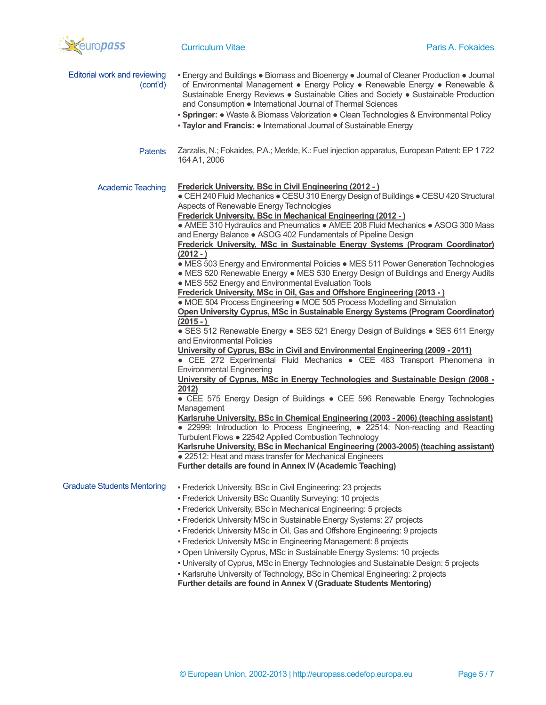

| Editorial work and reviewing<br>(cont'd) | ■ Energy and Buildings ● Biomass and Bioenergy ● Journal of Cleaner Production ● Journal<br>of Environmental Management • Energy Policy • Renewable Energy • Renewable &<br>Sustainable Energy Reviews · Sustainable Cities and Society · Sustainable Production<br>and Consumption • International Journal of Thermal Sciences<br>• Springer: • Waste & Biomass Valorization • Clean Technologies & Environmental Policy<br>• Taylor and Francis: • International Journal of Sustainable Energy                                                                                                                                                                                                                                                                                                                                                                                                                                                                                                                                                                                                                                                                                                                                                                                                                                                                                                                                                                                                                                                                                                                                                                                                                                                                                                                                                                                                                                                                                         |
|------------------------------------------|------------------------------------------------------------------------------------------------------------------------------------------------------------------------------------------------------------------------------------------------------------------------------------------------------------------------------------------------------------------------------------------------------------------------------------------------------------------------------------------------------------------------------------------------------------------------------------------------------------------------------------------------------------------------------------------------------------------------------------------------------------------------------------------------------------------------------------------------------------------------------------------------------------------------------------------------------------------------------------------------------------------------------------------------------------------------------------------------------------------------------------------------------------------------------------------------------------------------------------------------------------------------------------------------------------------------------------------------------------------------------------------------------------------------------------------------------------------------------------------------------------------------------------------------------------------------------------------------------------------------------------------------------------------------------------------------------------------------------------------------------------------------------------------------------------------------------------------------------------------------------------------------------------------------------------------------------------------------------------------|
| <b>Patents</b>                           | Zarzalis, N.; Fokaides, P.A.; Merkle, K.: Fuel injection apparatus, European Patent: EP 1722<br>164 A1, 2006                                                                                                                                                                                                                                                                                                                                                                                                                                                                                                                                                                                                                                                                                                                                                                                                                                                                                                                                                                                                                                                                                                                                                                                                                                                                                                                                                                                                                                                                                                                                                                                                                                                                                                                                                                                                                                                                             |
| <b>Academic Teaching</b>                 | Frederick University, BSc in Civil Engineering (2012 - )<br>• CEH 240 Fluid Mechanics • CESU 310 Energy Design of Buildings • CESU 420 Structural<br>Aspects of Renewable Energy Technologies<br><b>Frederick University, BSc in Mechanical Engineering (2012 -)</b><br>• AMEE 310 Hydraulics and Pneumatics • AMEE 208 Fluid Mechanics • ASOG 300 Mass<br>and Energy Balance • ASOG 402 Fundamentals of Pipeline Design<br>Frederick University, MSc in Sustainable Energy Systems (Program Coordinator)<br>$(2012 - )$<br>• MES 503 Energy and Environmental Policies • MES 511 Power Generation Technologies<br>• MES 520 Renewable Energy • MES 530 Energy Design of Buildings and Energy Audits<br>• MES 552 Energy and Environmental Evaluation Tools<br>Frederick University, MSc in Oil, Gas and Offshore Engineering (2013 - )<br>• MOE 504 Process Engineering • MOE 505 Process Modelling and Simulation<br>Open University Cyprus, MSc in Sustainable Energy Systems (Program Coordinator)<br>$(2015 - )$<br>• SES 512 Renewable Energy • SES 521 Energy Design of Buildings • SES 611 Energy<br>and Environmental Policies<br>University of Cyprus, BSc in Civil and Environmental Engineering (2009 - 2011)<br>• CEE 272 Experimental Fluid Mechanics • CEE 483 Transport Phenomena in<br><b>Environmental Engineering</b><br>University of Cyprus, MSc in Energy Technologies and Sustainable Design (2008 -<br>2012)<br>• CEE 575 Energy Design of Buildings • CEE 596 Renewable Energy Technologies<br>Management<br>Karlsruhe University, BSc in Chemical Engineering (2003 - 2006) (teaching assistant)<br>• 22999: Introduction to Process Engineering, • 22514: Non-reacting and Reacting<br>Turbulent Flows . 22542 Applied Combustion Technology<br>Karlsruhe University, BSc in Mechanical Engineering (2003-2005) (teaching assistant)<br>• 22512: Heat and mass transfer for Mechanical Engineers<br>Further details are found in Annex IV (Academic Teaching) |
| <b>Graduate Students Mentoring</b>       | - Frederick University, BSc in Civil Engineering: 23 projects<br>- Frederick University BSc Quantity Surveying: 10 projects<br>- Frederick University, BSc in Mechanical Engineering: 5 projects<br>- Frederick University MSc in Sustainable Energy Systems: 27 projects<br>- Frederick University MSc in Oil, Gas and Offshore Engineering: 9 projects<br>- Frederick University MSc in Engineering Management: 8 projects<br>- Open University Cyprus, MSc in Sustainable Energy Systems: 10 projects<br>- University of Cyprus, MSc in Energy Technologies and Sustainable Design: 5 projects<br>- Karlsruhe University of Technology, BSc in Chemical Engineering: 2 projects<br>Further details are found in Annex V (Graduate Students Mentoring)                                                                                                                                                                                                                                                                                                                                                                                                                                                                                                                                                                                                                                                                                                                                                                                                                                                                                                                                                                                                                                                                                                                                                                                                                                 |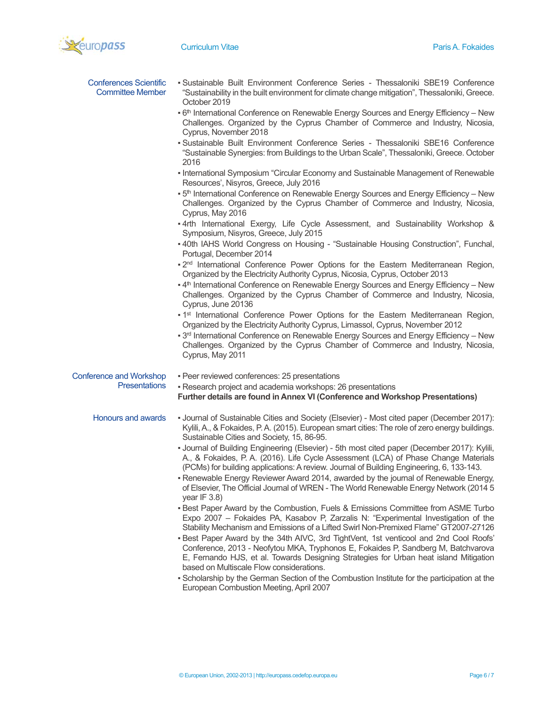

| <b>Conferences Scientific</b><br><b>Committee Member</b> | - Sustainable Built Environment Conference Series - Thessaloniki SBE19 Conference<br>"Sustainability in the built environment for climate change mitigation", Thessaloniki, Greece.<br>October 2019                                                                                                                                                                    |
|----------------------------------------------------------|------------------------------------------------------------------------------------------------------------------------------------------------------------------------------------------------------------------------------------------------------------------------------------------------------------------------------------------------------------------------|
|                                                          | • 6 <sup>th</sup> International Conference on Renewable Energy Sources and Energy Efficiency – New<br>Challenges. Organized by the Cyprus Chamber of Commerce and Industry, Nicosia,<br>Cyprus, November 2018                                                                                                                                                          |
|                                                          | - Sustainable Built Environment Conference Series - Thessaloniki SBE16 Conference<br>"Sustainable Synergies: from Buildings to the Urban Scale", Thessaloniki, Greece. October<br>2016                                                                                                                                                                                 |
|                                                          | - International Symposium "Circular Economy and Sustainable Management of Renewable<br>Resources', Nisyros, Greece, July 2016                                                                                                                                                                                                                                          |
|                                                          | • 5 <sup>th</sup> International Conference on Renewable Energy Sources and Energy Efficiency - New<br>Challenges. Organized by the Cyprus Chamber of Commerce and Industry, Nicosia,<br>Cyprus, May 2016                                                                                                                                                               |
|                                                          | . 4rth International Exergy, Life Cycle Assessment, and Sustainability Workshop &<br>Symposium, Nisyros, Greece, July 2015                                                                                                                                                                                                                                             |
|                                                          | -40th IAHS World Congress on Housing - "Sustainable Housing Construction", Funchal,<br>Portugal, December 2014                                                                                                                                                                                                                                                         |
|                                                          | . 2 <sup>nd</sup> International Conference Power Options for the Eastern Mediterranean Region,<br>Organized by the Electricity Authority Cyprus, Nicosia, Cyprus, October 2013                                                                                                                                                                                         |
|                                                          | -4 <sup>th</sup> International Conference on Renewable Energy Sources and Energy Efficiency - New<br>Challenges. Organized by the Cyprus Chamber of Commerce and Industry, Nicosia,<br>Cyprus, June 20136                                                                                                                                                              |
|                                                          | • 1 <sup>st</sup> International Conference Power Options for the Eastern Mediterranean Region,<br>Organized by the Electricity Authority Cyprus, Limassol, Cyprus, November 2012                                                                                                                                                                                       |
|                                                          | • 3rd International Conference on Renewable Energy Sources and Energy Efficiency - New<br>Challenges. Organized by the Cyprus Chamber of Commerce and Industry, Nicosia,<br>Cyprus, May 2011                                                                                                                                                                           |
| <b>Conference and Workshop</b>                           | - Peer reviewed conferences: 25 presentations                                                                                                                                                                                                                                                                                                                          |
| <b>Presentations</b>                                     | - Research project and academia workshops: 26 presentations<br>Further details are found in Annex VI (Conference and Workshop Presentations)                                                                                                                                                                                                                           |
| Honours and awards                                       | - Journal of Sustainable Cities and Society (Elsevier) - Most cited paper (December 2017):<br>Kylili, A., & Fokaides, P. A. (2015). European smart cities: The role of zero energy buildings.<br>Sustainable Cities and Society, 15, 86-95.                                                                                                                            |
|                                                          | - Journal of Building Engineering (Elsevier) - 5th most cited paper (December 2017): Kylili,<br>A., & Fokaides, P. A. (2016). Life Cycle Assessment (LCA) of Phase Change Materials<br>(PCMs) for building applications: A review. Journal of Building Engineering, 6, 133-143.<br>- Renewable Energy Reviewer Award 2014, awarded by the journal of Renewable Energy, |
|                                                          | of Elsevier, The Official Journal of WREN - The World Renewable Energy Network (2014 5<br>year IF $3.8$ )                                                                                                                                                                                                                                                              |
|                                                          | - Best Paper Award by the Combustion, Fuels & Emissions Committee from ASME Turbo<br>Expo 2007 - Fokaides PA, Kasabov P, Zarzalis N: "Experimental Investigation of the<br>Stability Mechanism and Emissions of a Lifted Swirl Non-Premixed Flame" GT2007-27126<br>- Best Paper Award by the 34th AIVC, 3rd TightVent, 1st venticool and 2nd Cool Roofs'               |
|                                                          | Conference, 2013 - Neofytou MKA, Tryphonos E, Fokaides P, Sandberg M, Batchvarova<br>E, Fernando HJS, et al. Towards Designing Strategies for Urban heat island Mitigation<br>based on Multiscale Flow considerations.                                                                                                                                                 |
|                                                          | - Scholarship by the German Section of the Combustion Institute for the participation at the                                                                                                                                                                                                                                                                           |
|                                                          | European Combustion Meeting, April 2007                                                                                                                                                                                                                                                                                                                                |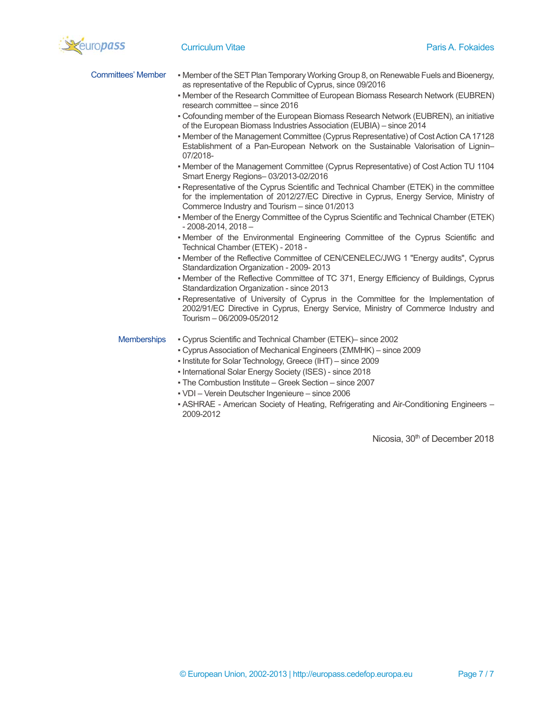

| Committees' Member • Member of the SET Plan Temporary Working Group 8, on Renewable Fuels and Bioenergy, |
|----------------------------------------------------------------------------------------------------------|
| as representative of the Republic of Cyprus, since 09/2016                                               |

- Member of the Research Committee of European Biomass Research Network (EUBREN) research committee – since 2016
- Cofounding member of the European Biomass Research Network (EUBREN), an initiative of the European Biomass Industries Association (EUBIA) – since 2014
- Member of the Management Committee (Cyprus Representative) of Cost Action CA 17128 Establishment of a Pan-European Network on the Sustainable Valorisation of Lignin– 07/2018-
- Member of the Management Committee (Cyprus Representative) of Cost Action TU 1104 Smart Energy Regions– 03/2013-02/2016
- Representative of the Cyprus Scientific and Technical Chamber (ETEK) in the committee for the implementation of 2012/27/EC Directive in Cyprus, Energy Service, Ministry of Commerce Industry and Tourism – since 01/2013
- Member of the Energy Committee of the Cyprus Scientific and Technical Chamber (ETEK) - 2008-2014, 2018 –
- Member of the Environmental Engineering Committee of the Cyprus Scientific and Technical Chamber (ETEK) - 2018 -
- Member of the Reflective Committee of CEN/CENELEC/JWG 1 "Energy audits", Cyprus Standardization Organization - 2009- 2013
- Member of the Reflective Committee of TC 371, Energy Efficiency of Buildings, Cyprus Standardization Organization - since 2013
- Representative of University of Cyprus in the Committee for the Implementation of 2002/91/EC Directive in Cyprus, Energy Service, Ministry of Commerce Industry and Tourism – 06/2009-05/2012

- Memberships Cyprus Scientific and Technical Chamber (ΕΤΕΚ)– since 2002
	- Cyprus Association of Mechanical Engineers (ΣΜΜΗΚ) since 2009
	- Institute for Solar Technology, Greece (IHT) since 2009
	- International Solar Energy Society (ISES) since 2018
	- The Combustion Institute Greek Section since 2007
	- VDI Verein Deutscher Ingenieure since 2006
	- ASHRAE American Society of Heating, Refrigerating and Air-Conditioning Engineers 2009-2012

Nicosia, 30<sup>th</sup> of December 2018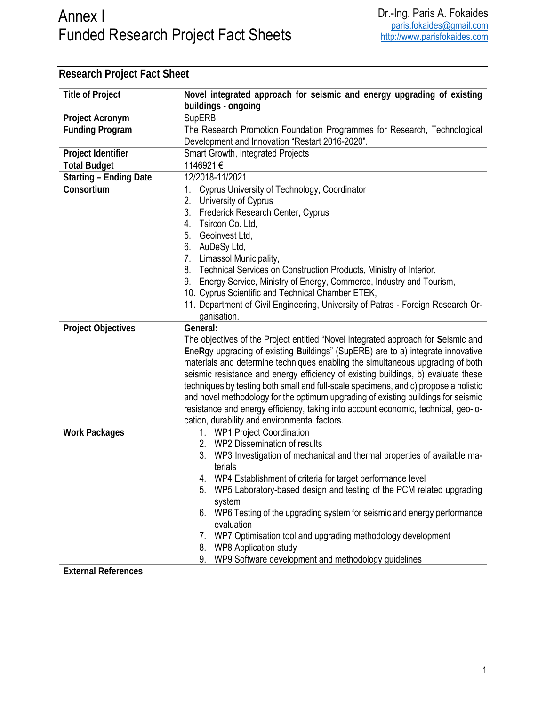| <b>Title of Project</b>       | Novel integrated approach for seismic and energy upgrading of existing               |
|-------------------------------|--------------------------------------------------------------------------------------|
|                               | buildings - ongoing                                                                  |
| Project Acronym               | <b>SupERB</b>                                                                        |
| <b>Funding Program</b>        | The Research Promotion Foundation Programmes for Research, Technological             |
|                               | Development and Innovation "Restart 2016-2020".                                      |
| Project Identifier            | Smart Growth, Integrated Projects                                                    |
| <b>Total Budget</b>           | 1146921€                                                                             |
| <b>Starting - Ending Date</b> | 12/2018-11/2021                                                                      |
| Consortium                    | 1. Cyprus University of Technology, Coordinator                                      |
|                               | 2.<br>University of Cyprus                                                           |
|                               | 3. Frederick Research Center, Cyprus                                                 |
|                               | 4. Tsircon Co. Ltd,                                                                  |
|                               | 5. Geoinvest Ltd,                                                                    |
|                               | 6. AuDeSy Ltd,                                                                       |
|                               | 7. Limassol Municipality,                                                            |
|                               | Technical Services on Construction Products, Ministry of Interior,<br>8.             |
|                               | Energy Service, Ministry of Energy, Commerce, Industry and Tourism,<br>9.            |
|                               | 10. Cyprus Scientific and Technical Chamber ETEK,                                    |
|                               | 11. Department of Civil Engineering, University of Patras - Foreign Research Or-     |
|                               | ganisation.                                                                          |
| <b>Project Objectives</b>     | General:                                                                             |
|                               | The objectives of the Project entitled "Novel integrated approach for Seismic and    |
|                               | EneRgy upgrading of existing Buildings" (SupERB) are to a) integrate innovative      |
|                               | materials and determine techniques enabling the simultaneous upgrading of both       |
|                               | seismic resistance and energy efficiency of existing buildings, b) evaluate these    |
|                               | techniques by testing both small and full-scale specimens, and c) propose a holistic |
|                               | and novel methodology for the optimum upgrading of existing buildings for seismic    |
|                               | resistance and energy efficiency, taking into account economic, technical, geo-lo-   |
|                               | cation, durability and environmental factors.                                        |
| <b>Work Packages</b>          | 1. WP1 Project Coordination                                                          |
|                               | 2. WP2 Dissemination of results                                                      |
|                               | 3. WP3 Investigation of mechanical and thermal properties of available ma-           |
|                               | terials                                                                              |
|                               | 4. WP4 Establishment of criteria for target performance level                        |
|                               | WP5 Laboratory-based design and testing of the PCM related upgrading<br>ა.           |
|                               | system                                                                               |
|                               | 6. WP6 Testing of the upgrading system for seismic and energy performance            |
|                               | evaluation                                                                           |
|                               | 7. WP7 Optimisation tool and upgrading methodology development                       |
|                               | <b>WP8 Application study</b><br>8.<br>9.                                             |
|                               | WP9 Software development and methodology guidelines                                  |
| <b>External References</b>    |                                                                                      |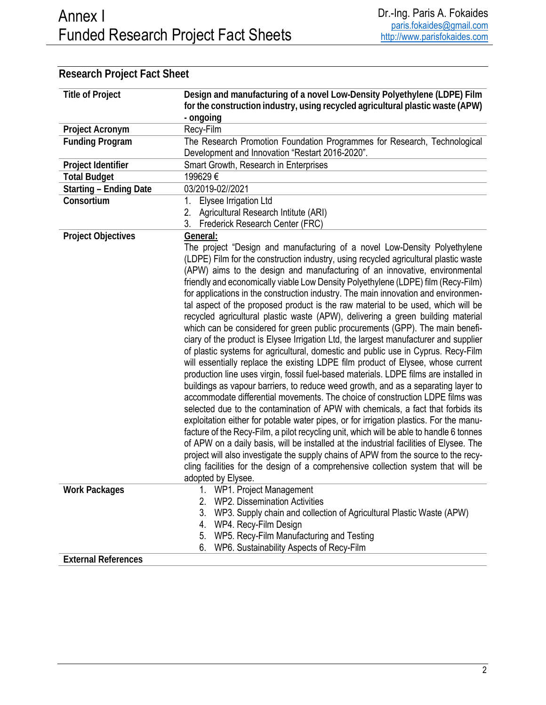| <b>Title of Project</b>       | Design and manufacturing of a novel Low-Density Polyethylene (LDPE) Film<br>for the construction industry, using recycled agricultural plastic waste (APW)<br>- ongoing                                                                                                                                                                                                                                                                                                                                                                                                                                                                                                                                                                                                                                                                                                                                                                                                                                                                                                                                                                                                                                                                                                                                                                                                                                                                                                                                                                                                                                                                                                                                                                                                                             |
|-------------------------------|-----------------------------------------------------------------------------------------------------------------------------------------------------------------------------------------------------------------------------------------------------------------------------------------------------------------------------------------------------------------------------------------------------------------------------------------------------------------------------------------------------------------------------------------------------------------------------------------------------------------------------------------------------------------------------------------------------------------------------------------------------------------------------------------------------------------------------------------------------------------------------------------------------------------------------------------------------------------------------------------------------------------------------------------------------------------------------------------------------------------------------------------------------------------------------------------------------------------------------------------------------------------------------------------------------------------------------------------------------------------------------------------------------------------------------------------------------------------------------------------------------------------------------------------------------------------------------------------------------------------------------------------------------------------------------------------------------------------------------------------------------------------------------------------------------|
| Project Acronym               | Recy-Film                                                                                                                                                                                                                                                                                                                                                                                                                                                                                                                                                                                                                                                                                                                                                                                                                                                                                                                                                                                                                                                                                                                                                                                                                                                                                                                                                                                                                                                                                                                                                                                                                                                                                                                                                                                           |
| <b>Funding Program</b>        | The Research Promotion Foundation Programmes for Research, Technological<br>Development and Innovation "Restart 2016-2020".                                                                                                                                                                                                                                                                                                                                                                                                                                                                                                                                                                                                                                                                                                                                                                                                                                                                                                                                                                                                                                                                                                                                                                                                                                                                                                                                                                                                                                                                                                                                                                                                                                                                         |
| Project Identifier            | Smart Growth, Research in Enterprises                                                                                                                                                                                                                                                                                                                                                                                                                                                                                                                                                                                                                                                                                                                                                                                                                                                                                                                                                                                                                                                                                                                                                                                                                                                                                                                                                                                                                                                                                                                                                                                                                                                                                                                                                               |
| <b>Total Budget</b>           | 199629€                                                                                                                                                                                                                                                                                                                                                                                                                                                                                                                                                                                                                                                                                                                                                                                                                                                                                                                                                                                                                                                                                                                                                                                                                                                                                                                                                                                                                                                                                                                                                                                                                                                                                                                                                                                             |
| <b>Starting - Ending Date</b> | 03/2019-02//2021                                                                                                                                                                                                                                                                                                                                                                                                                                                                                                                                                                                                                                                                                                                                                                                                                                                                                                                                                                                                                                                                                                                                                                                                                                                                                                                                                                                                                                                                                                                                                                                                                                                                                                                                                                                    |
| Consortium                    | Elysee Irrigation Ltd<br>1.                                                                                                                                                                                                                                                                                                                                                                                                                                                                                                                                                                                                                                                                                                                                                                                                                                                                                                                                                                                                                                                                                                                                                                                                                                                                                                                                                                                                                                                                                                                                                                                                                                                                                                                                                                         |
|                               | 2. Agricultural Research Intitute (ARI)                                                                                                                                                                                                                                                                                                                                                                                                                                                                                                                                                                                                                                                                                                                                                                                                                                                                                                                                                                                                                                                                                                                                                                                                                                                                                                                                                                                                                                                                                                                                                                                                                                                                                                                                                             |
|                               | 3.<br>Frederick Research Center (FRC)                                                                                                                                                                                                                                                                                                                                                                                                                                                                                                                                                                                                                                                                                                                                                                                                                                                                                                                                                                                                                                                                                                                                                                                                                                                                                                                                                                                                                                                                                                                                                                                                                                                                                                                                                               |
| <b>Project Objectives</b>     | General:<br>The project "Design and manufacturing of a novel Low-Density Polyethylene<br>(LDPE) Film for the construction industry, using recycled agricultural plastic waste<br>(APW) aims to the design and manufacturing of an innovative, environmental<br>friendly and economically viable Low Density Polyethylene (LDPE) film (Recy-Film)<br>for applications in the construction industry. The main innovation and environmen-<br>tal aspect of the proposed product is the raw material to be used, which will be<br>recycled agricultural plastic waste (APW), delivering a green building material<br>which can be considered for green public procurements (GPP). The main benefi-<br>ciary of the product is Elysee Irrigation Ltd, the largest manufacturer and supplier<br>of plastic systems for agricultural, domestic and public use in Cyprus. Recy-Film<br>will essentially replace the existing LDPE film product of Elysee, whose current<br>production line uses virgin, fossil fuel-based materials. LDPE films are installed in<br>buildings as vapour barriers, to reduce weed growth, and as a separating layer to<br>accommodate differential movements. The choice of construction LDPE films was<br>selected due to the contamination of APW with chemicals, a fact that forbids its<br>exploitation either for potable water pipes, or for irrigation plastics. For the manu-<br>facture of the Recy-Film, a pilot recycling unit, which will be able to handle 6 tonnes<br>of APW on a daily basis, will be installed at the industrial facilities of Elysee. The<br>project will also investigate the supply chains of APW from the source to the recy-<br>cling facilities for the design of a comprehensive collection system that will be<br>adopted by Elysee. |
| <b>Work Packages</b>          | WP1. Project Management<br>1.                                                                                                                                                                                                                                                                                                                                                                                                                                                                                                                                                                                                                                                                                                                                                                                                                                                                                                                                                                                                                                                                                                                                                                                                                                                                                                                                                                                                                                                                                                                                                                                                                                                                                                                                                                       |
|                               | <b>WP2. Dissemination Activities</b><br>2.                                                                                                                                                                                                                                                                                                                                                                                                                                                                                                                                                                                                                                                                                                                                                                                                                                                                                                                                                                                                                                                                                                                                                                                                                                                                                                                                                                                                                                                                                                                                                                                                                                                                                                                                                          |
|                               | 3.<br>WP3. Supply chain and collection of Agricultural Plastic Waste (APW)                                                                                                                                                                                                                                                                                                                                                                                                                                                                                                                                                                                                                                                                                                                                                                                                                                                                                                                                                                                                                                                                                                                                                                                                                                                                                                                                                                                                                                                                                                                                                                                                                                                                                                                          |
|                               | WP4. Recy-Film Design<br>4.                                                                                                                                                                                                                                                                                                                                                                                                                                                                                                                                                                                                                                                                                                                                                                                                                                                                                                                                                                                                                                                                                                                                                                                                                                                                                                                                                                                                                                                                                                                                                                                                                                                                                                                                                                         |
|                               | WP5. Recy-Film Manufacturing and Testing<br>5.                                                                                                                                                                                                                                                                                                                                                                                                                                                                                                                                                                                                                                                                                                                                                                                                                                                                                                                                                                                                                                                                                                                                                                                                                                                                                                                                                                                                                                                                                                                                                                                                                                                                                                                                                      |
|                               | WP6. Sustainability Aspects of Recy-Film<br>6.                                                                                                                                                                                                                                                                                                                                                                                                                                                                                                                                                                                                                                                                                                                                                                                                                                                                                                                                                                                                                                                                                                                                                                                                                                                                                                                                                                                                                                                                                                                                                                                                                                                                                                                                                      |
| <b>External References</b>    |                                                                                                                                                                                                                                                                                                                                                                                                                                                                                                                                                                                                                                                                                                                                                                                                                                                                                                                                                                                                                                                                                                                                                                                                                                                                                                                                                                                                                                                                                                                                                                                                                                                                                                                                                                                                     |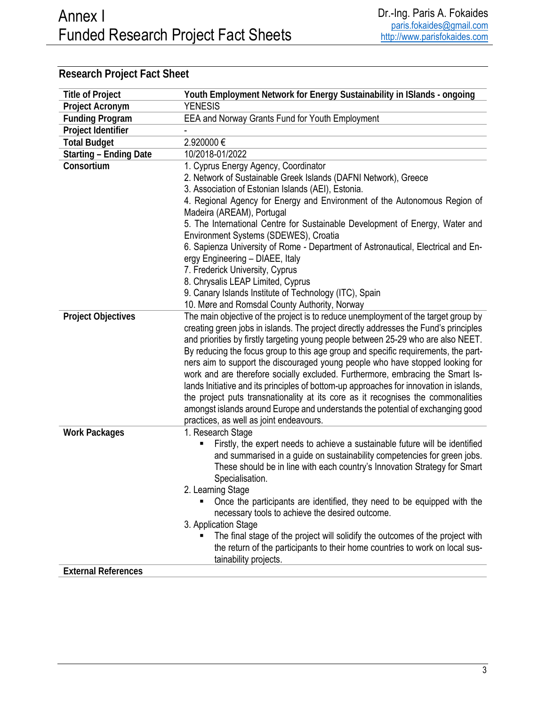| <b>Title of Project</b>       | Youth Employment Network for Energy Sustainability in ISlands - ongoing                                                    |
|-------------------------------|----------------------------------------------------------------------------------------------------------------------------|
| Project Acronym               | <b>YENESIS</b>                                                                                                             |
| <b>Funding Program</b>        | EEA and Norway Grants Fund for Youth Employment                                                                            |
| Project Identifier            |                                                                                                                            |
| <b>Total Budget</b>           | 2.920000 €                                                                                                                 |
| <b>Starting - Ending Date</b> | 10/2018-01/2022                                                                                                            |
| Consortium                    | 1. Cyprus Energy Agency, Coordinator                                                                                       |
|                               | 2. Network of Sustainable Greek Islands (DAFNI Network), Greece                                                            |
|                               | 3. Association of Estonian Islands (AEI), Estonia.                                                                         |
|                               | 4. Regional Agency for Energy and Environment of the Autonomous Region of<br>Madeira (AREAM), Portugal                     |
|                               | 5. The International Centre for Sustainable Development of Energy, Water and                                               |
|                               | Environment Systems (SDEWES), Croatia                                                                                      |
|                               | 6. Sapienza University of Rome - Department of Astronautical, Electrical and En-                                           |
|                               | ergy Engineering - DIAEE, Italy                                                                                            |
|                               | 7. Frederick University, Cyprus                                                                                            |
|                               | 8. Chrysalis LEAP Limited, Cyprus                                                                                          |
|                               | 9. Canary Islands Institute of Technology (ITC), Spain                                                                     |
|                               | 10. Møre and Romsdal County Authority, Norway                                                                              |
| <b>Project Objectives</b>     | The main objective of the project is to reduce unemployment of the target group by                                         |
|                               | creating green jobs in islands. The project directly addresses the Fund's principles                                       |
|                               | and priorities by firstly targeting young people between 25-29 who are also NEET.                                          |
|                               | By reducing the focus group to this age group and specific requirements, the part-                                         |
|                               | ners aim to support the discouraged young people who have stopped looking for                                              |
|                               | work and are therefore socially excluded. Furthermore, embracing the Smart Is-                                             |
|                               | lands Initiative and its principles of bottom-up approaches for innovation in islands,                                     |
|                               | the project puts transnationality at its core as it recognises the commonalities                                           |
|                               | amongst islands around Europe and understands the potential of exchanging good                                             |
|                               | practices, as well as joint endeavours.                                                                                    |
| <b>Work Packages</b>          | 1. Research Stage                                                                                                          |
|                               | Firstly, the expert needs to achieve a sustainable future will be identified                                               |
|                               | and summarised in a guide on sustainability competencies for green jobs.                                                   |
|                               | These should be in line with each country's Innovation Strategy for Smart<br>Specialisation.                               |
|                               |                                                                                                                            |
|                               | 2. Learning Stage                                                                                                          |
|                               | Once the participants are identified, they need to be equipped with the<br>necessary tools to achieve the desired outcome. |
|                               | 3. Application Stage                                                                                                       |
|                               | The final stage of the project will solidify the outcomes of the project with                                              |
|                               | the return of the participants to their home countries to work on local sus-                                               |
|                               | tainability projects.                                                                                                      |
| <b>External References</b>    |                                                                                                                            |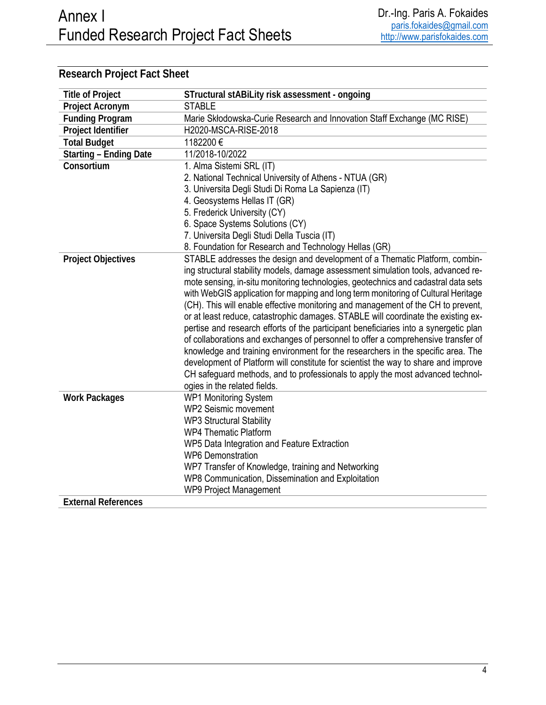| <b>Title of Project</b>       | STructural stABiLity risk assessment - ongoing                                       |
|-------------------------------|--------------------------------------------------------------------------------------|
| Project Acronym               | <b>STABLE</b>                                                                        |
| <b>Funding Program</b>        | Marie Skłodowska-Curie Research and Innovation Staff Exchange (MC RISE)              |
| Project Identifier            | H2020-MSCA-RISE-2018                                                                 |
| <b>Total Budget</b>           | 1182200€                                                                             |
| <b>Starting - Ending Date</b> | 11/2018-10/2022                                                                      |
| Consortium                    | 1. Alma Sistemi SRL (IT)                                                             |
|                               | 2. National Technical University of Athens - NTUA (GR)                               |
|                               | 3. Universita Degli Studi Di Roma La Sapienza (IT)                                   |
|                               | 4. Geosystems Hellas IT (GR)                                                         |
|                               | 5. Frederick University (CY)                                                         |
|                               | 6. Space Systems Solutions (CY)                                                      |
|                               | 7. Universita Degli Studi Della Tuscia (IT)                                          |
|                               | 8. Foundation for Research and Technology Hellas (GR)                                |
| <b>Project Objectives</b>     | STABLE addresses the design and development of a Thematic Platform, combin-          |
|                               | ing structural stability models, damage assessment simulation tools, advanced re-    |
|                               | mote sensing, in-situ monitoring technologies, geotechnics and cadastral data sets   |
|                               | with WebGIS application for mapping and long term monitoring of Cultural Heritage    |
|                               | (CH). This will enable effective monitoring and management of the CH to prevent,     |
|                               | or at least reduce, catastrophic damages. STABLE will coordinate the existing ex-    |
|                               | pertise and research efforts of the participant beneficiaries into a synergetic plan |
|                               | of collaborations and exchanges of personnel to offer a comprehensive transfer of    |
|                               | knowledge and training environment for the researchers in the specific area. The     |
|                               | development of Platform will constitute for scientist the way to share and improve   |
|                               | CH safeguard methods, and to professionals to apply the most advanced technol-       |
|                               | ogies in the related fields.                                                         |
| <b>Work Packages</b>          | <b>WP1 Monitoring System</b><br><b>WP2 Seismic movement</b>                          |
|                               |                                                                                      |
|                               | <b>WP3 Structural Stability</b><br><b>WP4 Thematic Platform</b>                      |
|                               |                                                                                      |
|                               | WP5 Data Integration and Feature Extraction<br><b>WP6 Demonstration</b>              |
|                               | WP7 Transfer of Knowledge, training and Networking                                   |
|                               | WP8 Communication, Dissemination and Exploitation                                    |
|                               | <b>WP9 Project Management</b>                                                        |
| <b>External References</b>    |                                                                                      |
|                               |                                                                                      |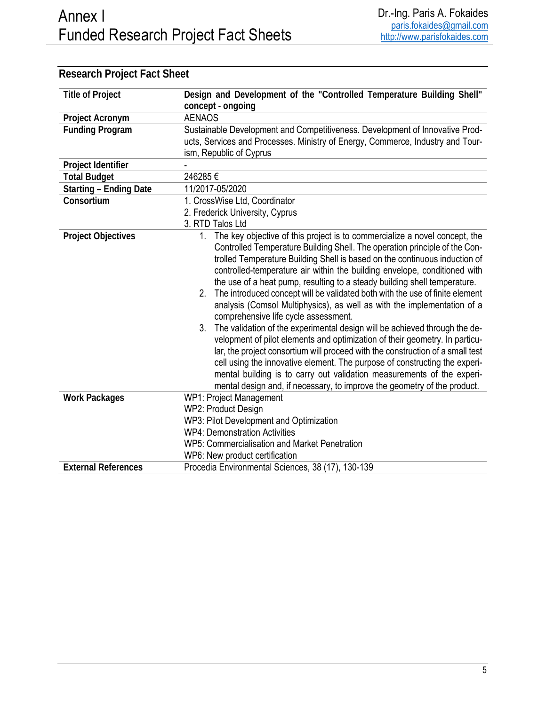| <b>Title of Project</b>       | Design and Development of the "Controlled Temperature Building Shell"                                                                                                                                                                                                                                                                                                                                                                                                                                                                                                                                                                                                                                                                                                                                                                                                                                                                                                                                                                                                                           |
|-------------------------------|-------------------------------------------------------------------------------------------------------------------------------------------------------------------------------------------------------------------------------------------------------------------------------------------------------------------------------------------------------------------------------------------------------------------------------------------------------------------------------------------------------------------------------------------------------------------------------------------------------------------------------------------------------------------------------------------------------------------------------------------------------------------------------------------------------------------------------------------------------------------------------------------------------------------------------------------------------------------------------------------------------------------------------------------------------------------------------------------------|
|                               | concept - ongoing                                                                                                                                                                                                                                                                                                                                                                                                                                                                                                                                                                                                                                                                                                                                                                                                                                                                                                                                                                                                                                                                               |
| Project Acronym               | <b>AENAOS</b>                                                                                                                                                                                                                                                                                                                                                                                                                                                                                                                                                                                                                                                                                                                                                                                                                                                                                                                                                                                                                                                                                   |
| <b>Funding Program</b>        | Sustainable Development and Competitiveness. Development of Innovative Prod-                                                                                                                                                                                                                                                                                                                                                                                                                                                                                                                                                                                                                                                                                                                                                                                                                                                                                                                                                                                                                    |
|                               | ucts, Services and Processes. Ministry of Energy, Commerce, Industry and Tour-                                                                                                                                                                                                                                                                                                                                                                                                                                                                                                                                                                                                                                                                                                                                                                                                                                                                                                                                                                                                                  |
|                               | ism, Republic of Cyprus                                                                                                                                                                                                                                                                                                                                                                                                                                                                                                                                                                                                                                                                                                                                                                                                                                                                                                                                                                                                                                                                         |
| Project Identifier            |                                                                                                                                                                                                                                                                                                                                                                                                                                                                                                                                                                                                                                                                                                                                                                                                                                                                                                                                                                                                                                                                                                 |
| <b>Total Budget</b>           | 246285€                                                                                                                                                                                                                                                                                                                                                                                                                                                                                                                                                                                                                                                                                                                                                                                                                                                                                                                                                                                                                                                                                         |
| <b>Starting - Ending Date</b> | 11/2017-05/2020                                                                                                                                                                                                                                                                                                                                                                                                                                                                                                                                                                                                                                                                                                                                                                                                                                                                                                                                                                                                                                                                                 |
| Consortium                    | 1. CrossWise Ltd, Coordinator                                                                                                                                                                                                                                                                                                                                                                                                                                                                                                                                                                                                                                                                                                                                                                                                                                                                                                                                                                                                                                                                   |
|                               | 2. Frederick University, Cyprus                                                                                                                                                                                                                                                                                                                                                                                                                                                                                                                                                                                                                                                                                                                                                                                                                                                                                                                                                                                                                                                                 |
|                               | 3. RTD Talos Ltd                                                                                                                                                                                                                                                                                                                                                                                                                                                                                                                                                                                                                                                                                                                                                                                                                                                                                                                                                                                                                                                                                |
| <b>Project Objectives</b>     | 1. The key objective of this project is to commercialize a novel concept, the<br>Controlled Temperature Building Shell. The operation principle of the Con-<br>trolled Temperature Building Shell is based on the continuous induction of<br>controlled-temperature air within the building envelope, conditioned with<br>the use of a heat pump, resulting to a steady building shell temperature.<br>2. The introduced concept will be validated both with the use of finite element<br>analysis (Comsol Multiphysics), as well as with the implementation of a<br>comprehensive life cycle assessment.<br>3. The validation of the experimental design will be achieved through the de-<br>velopment of pilot elements and optimization of their geometry. In particu-<br>lar, the project consortium will proceed with the construction of a small test<br>cell using the innovative element. The purpose of constructing the experi-<br>mental building is to carry out validation measurements of the experi-<br>mental design and, if necessary, to improve the geometry of the product. |
| <b>Work Packages</b>          | WP1: Project Management<br>WP2: Product Design<br>WP3: Pilot Development and Optimization<br><b>WP4: Demonstration Activities</b><br>WP5: Commercialisation and Market Penetration<br>WP6: New product certification                                                                                                                                                                                                                                                                                                                                                                                                                                                                                                                                                                                                                                                                                                                                                                                                                                                                            |
| <b>External References</b>    | Procedia Environmental Sciences, 38 (17), 130-139                                                                                                                                                                                                                                                                                                                                                                                                                                                                                                                                                                                                                                                                                                                                                                                                                                                                                                                                                                                                                                               |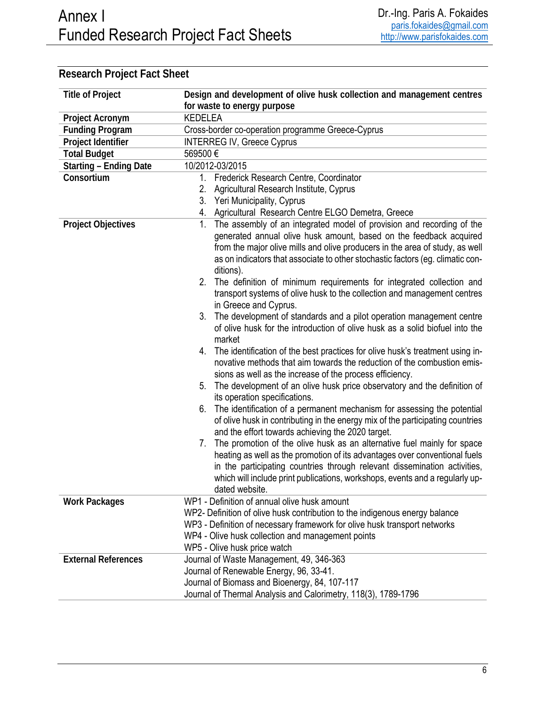| <b>Title of Project</b>       | Design and development of olive husk collection and management centres                                                                                                                                                                                                                                                                     |  |
|-------------------------------|--------------------------------------------------------------------------------------------------------------------------------------------------------------------------------------------------------------------------------------------------------------------------------------------------------------------------------------------|--|
|                               | for waste to energy purpose                                                                                                                                                                                                                                                                                                                |  |
| Project Acronym               | <b>KEDELEA</b>                                                                                                                                                                                                                                                                                                                             |  |
| <b>Funding Program</b>        | Cross-border co-operation programme Greece-Cyprus                                                                                                                                                                                                                                                                                          |  |
| Project Identifier            | <b>INTERREG IV, Greece Cyprus</b>                                                                                                                                                                                                                                                                                                          |  |
| <b>Total Budget</b>           | 569500€                                                                                                                                                                                                                                                                                                                                    |  |
| <b>Starting - Ending Date</b> | 10/2012-03/2015                                                                                                                                                                                                                                                                                                                            |  |
| Consortium                    | Frederick Research Centre, Coordinator<br>1.                                                                                                                                                                                                                                                                                               |  |
|                               | Agricultural Research Institute, Cyprus<br>2.                                                                                                                                                                                                                                                                                              |  |
|                               | 3. Yeri Municipality, Cyprus                                                                                                                                                                                                                                                                                                               |  |
|                               | 4. Agricultural Research Centre ELGO Demetra, Greece                                                                                                                                                                                                                                                                                       |  |
| <b>Project Objectives</b>     | 1. The assembly of an integrated model of provision and recording of the<br>generated annual olive husk amount, based on the feedback acquired<br>from the major olive mills and olive producers in the area of study, as well<br>as on indicators that associate to other stochastic factors (eg. climatic con-<br>ditions).              |  |
|                               | 2. The definition of minimum requirements for integrated collection and<br>transport systems of olive husk to the collection and management centres<br>in Greece and Cyprus.                                                                                                                                                               |  |
|                               | 3. The development of standards and a pilot operation management centre<br>of olive husk for the introduction of olive husk as a solid biofuel into the<br>market                                                                                                                                                                          |  |
|                               | 4. The identification of the best practices for olive husk's treatment using in-<br>novative methods that aim towards the reduction of the combustion emis-<br>sions as well as the increase of the process efficiency.                                                                                                                    |  |
|                               | 5. The development of an olive husk price observatory and the definition of<br>its operation specifications.                                                                                                                                                                                                                               |  |
|                               | 6. The identification of a permanent mechanism for assessing the potential<br>of olive husk in contributing in the energy mix of the participating countries<br>and the effort towards achieving the 2020 target.                                                                                                                          |  |
|                               | The promotion of the olive husk as an alternative fuel mainly for space<br>7.<br>heating as well as the promotion of its advantages over conventional fuels<br>in the participating countries through relevant dissemination activities,<br>which will include print publications, workshops, events and a regularly up-<br>dated website. |  |
| <b>Work Packages</b>          | WP1 - Definition of annual olive husk amount                                                                                                                                                                                                                                                                                               |  |
|                               | WP2- Definition of olive husk contribution to the indigenous energy balance                                                                                                                                                                                                                                                                |  |
|                               | WP3 - Definition of necessary framework for olive husk transport networks                                                                                                                                                                                                                                                                  |  |
|                               | WP4 - Olive husk collection and management points                                                                                                                                                                                                                                                                                          |  |
|                               | WP5 - Olive husk price watch                                                                                                                                                                                                                                                                                                               |  |
| <b>External References</b>    | Journal of Waste Management, 49, 346-363                                                                                                                                                                                                                                                                                                   |  |
|                               | Journal of Renewable Energy, 96, 33-41.                                                                                                                                                                                                                                                                                                    |  |
|                               | Journal of Biomass and Bioenergy, 84, 107-117                                                                                                                                                                                                                                                                                              |  |
|                               | Journal of Thermal Analysis and Calorimetry, 118(3), 1789-1796                                                                                                                                                                                                                                                                             |  |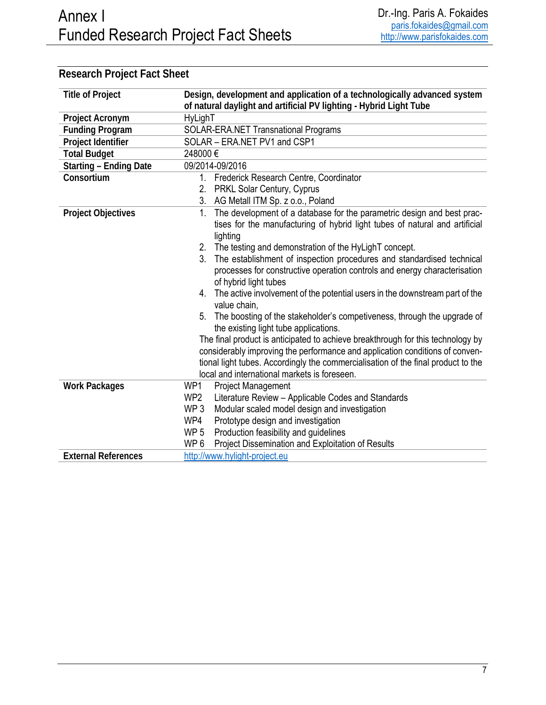#### **Title of Project Design, development and application of a technologically advanced system of natural daylight and artificial PV lighting - Hybrid Light Tube Project Acronym HyLighT Funding Program** SOLAR-ERA.NET Transnational Programs **Project Identifier** SOLAR – ERA.NET PV1 and CSP1 **Total Budget** 248000 € **Starting – Ending Date** 09/2014-09/2016 **Consortium** 1. Frederick Research Centre, Coordinator 2. PRKL Solar Century, Cyprus 3. AG Metall ITM Sp. z o.o., Poland **Project Objectives** 1. The development of a database for the parametric design and best practises for the manufacturing of hybrid light tubes of natural and artificial lighting 2. The testing and demonstration of the HyLighT concept. 3. The establishment of inspection procedures and standardised technical processes for constructive operation controls and energy characterisation of hybrid light tubes 4. The active involvement of the potential users in the downstream part of the value chain, 5. The boosting of the stakeholder's competiveness, through the upgrade of the existing light tube applications. The final product is anticipated to achieve breakthrough for this technology by considerably improving the performance and application conditions of conventional light tubes. Accordingly the commercialisation of the final product to the local and international markets is foreseen. **Work Packages** WP1 Project Management WP2 Literature Review – Applicable Codes and Standards WP 3 Modular scaled model design and investigation WP4 Prototype design and investigation WP 5 Production feasibility and guidelines WP 6 Project Dissemination and Exploitation of Results **External References** http://www.hylight-project.eu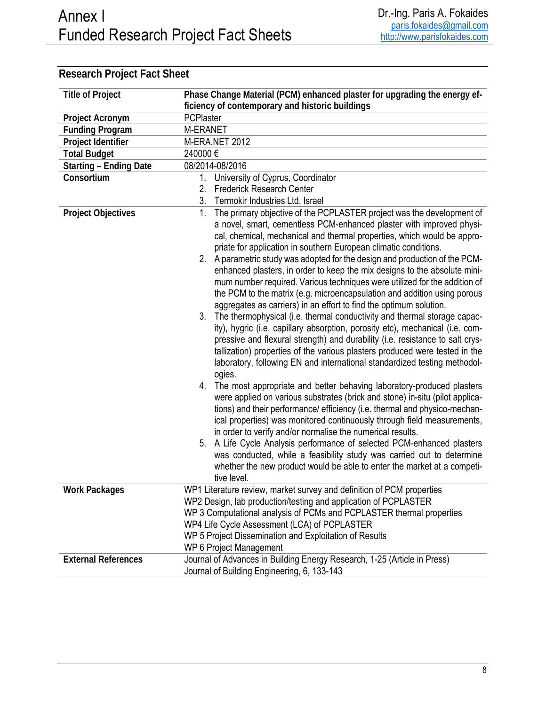#### **Title of Project Phase Change Material (PCM) enhanced plaster for upgrading the energy efficiency of contemporary and historic buildings Project Acronym** PCPlaster **Funding Program** M-ERANET **Project Identifier** M-ERA.NET 2012 **Total Budget** 240000 € **Starting – Ending Date** 08/2014-08/2016 **Consortium** 1. University of Cyprus, Coordinator 2. Frederick Research Center 3. Termokir Industries Ltd, Israel **Project Objectives** 1. The primary objective of the PCPLASTER project was the development of a novel, smart, cementless PCM-enhanced plaster with improved physical, chemical, mechanical and thermal properties, which would be appropriate for application in southern European climatic conditions. 2. A parametric study was adopted for the design and production of the PCMenhanced plasters, in order to keep the mix designs to the absolute minimum number required. Various techniques were utilized for the addition of the PCM to the matrix (e.g. microencapsulation and addition using porous aggregates as carriers) in an effort to find the optimum solution. 3. The thermophysical (i.e. thermal conductivity and thermal storage capacity), hygric (i.e. capillary absorption, porosity etc), mechanical (i.e. compressive and flexural strength) and durability (i.e. resistance to salt crystallization) properties of the various plasters produced were tested in the laboratory, following EN and international standardized testing methodologies. 4. The most appropriate and better behaving laboratory-produced plasters were applied on various substrates (brick and stone) in-situ (pilot applications) and their performance/ efficiency (i.e. thermal and physico-mechanical properties) was monitored continuously through field measurements, in order to verify and/or normalise the numerical results. 5. A Life Cycle Analysis performance of selected PCM-enhanced plasters was conducted, while a feasibility study was carried out to determine whether the new product would be able to enter the market at a competitive level. **Work Packages** WP1 Literature review, market survey and definition of PCM properties WP2 Design, lab production/testing and application of PCPLASTER WP 3 Computational analysis of PCMs and PCPLASTER thermal properties WP4 Life Cycle Assessment (LCA) of PCPLASTER WP 5 Project Dissemination and Exploitation of Results WP 6 Project Management **External References** Journal of Advances in Building Energy Research, 1-25 (Article in Press) Journal of Building Engineering, 6, 133-143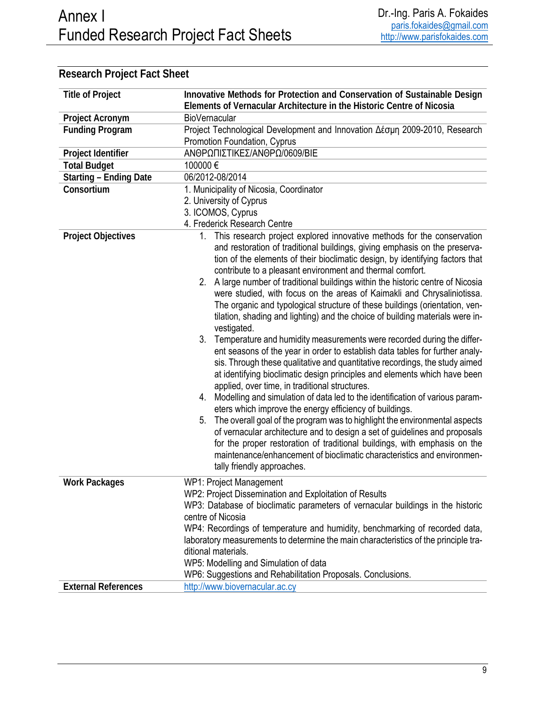| <b>Title of Project</b>       | Innovative Methods for Protection and Conservation of Sustainable Design<br>Elements of Vernacular Architecture in the Historic Centre of Nicosia                                                                                                                                                                                                                                                                                                                                                                                                                                                                                                                                                                                                                                                                                                                                                                                                                                                                                                                                                                                                                                                                                                                                                                                                                                                                                                                                                                                   |  |
|-------------------------------|-------------------------------------------------------------------------------------------------------------------------------------------------------------------------------------------------------------------------------------------------------------------------------------------------------------------------------------------------------------------------------------------------------------------------------------------------------------------------------------------------------------------------------------------------------------------------------------------------------------------------------------------------------------------------------------------------------------------------------------------------------------------------------------------------------------------------------------------------------------------------------------------------------------------------------------------------------------------------------------------------------------------------------------------------------------------------------------------------------------------------------------------------------------------------------------------------------------------------------------------------------------------------------------------------------------------------------------------------------------------------------------------------------------------------------------------------------------------------------------------------------------------------------------|--|
| Project Acronym               | <b>BioVernacular</b>                                                                                                                                                                                                                                                                                                                                                                                                                                                                                                                                                                                                                                                                                                                                                                                                                                                                                                                                                                                                                                                                                                                                                                                                                                                                                                                                                                                                                                                                                                                |  |
| <b>Funding Program</b>        | Project Technological Development and Innovation Δέσμη 2009-2010, Research<br>Promotion Foundation, Cyprus                                                                                                                                                                                                                                                                                                                                                                                                                                                                                                                                                                                                                                                                                                                                                                                                                                                                                                                                                                                                                                                                                                                                                                                                                                                                                                                                                                                                                          |  |
| Project Identifier            | ΑΝΘΡΩΠΙΣΤΙΚΕΣ/ΑΝΘΡΩ/0609/ΒΙΕ                                                                                                                                                                                                                                                                                                                                                                                                                                                                                                                                                                                                                                                                                                                                                                                                                                                                                                                                                                                                                                                                                                                                                                                                                                                                                                                                                                                                                                                                                                        |  |
| <b>Total Budget</b>           | 100000€                                                                                                                                                                                                                                                                                                                                                                                                                                                                                                                                                                                                                                                                                                                                                                                                                                                                                                                                                                                                                                                                                                                                                                                                                                                                                                                                                                                                                                                                                                                             |  |
| <b>Starting - Ending Date</b> | 06/2012-08/2014                                                                                                                                                                                                                                                                                                                                                                                                                                                                                                                                                                                                                                                                                                                                                                                                                                                                                                                                                                                                                                                                                                                                                                                                                                                                                                                                                                                                                                                                                                                     |  |
| Consortium                    | 1. Municipality of Nicosia, Coordinator                                                                                                                                                                                                                                                                                                                                                                                                                                                                                                                                                                                                                                                                                                                                                                                                                                                                                                                                                                                                                                                                                                                                                                                                                                                                                                                                                                                                                                                                                             |  |
|                               | 2. University of Cyprus                                                                                                                                                                                                                                                                                                                                                                                                                                                                                                                                                                                                                                                                                                                                                                                                                                                                                                                                                                                                                                                                                                                                                                                                                                                                                                                                                                                                                                                                                                             |  |
|                               | 3. ICOMOS, Cyprus                                                                                                                                                                                                                                                                                                                                                                                                                                                                                                                                                                                                                                                                                                                                                                                                                                                                                                                                                                                                                                                                                                                                                                                                                                                                                                                                                                                                                                                                                                                   |  |
|                               | 4. Frederick Research Centre                                                                                                                                                                                                                                                                                                                                                                                                                                                                                                                                                                                                                                                                                                                                                                                                                                                                                                                                                                                                                                                                                                                                                                                                                                                                                                                                                                                                                                                                                                        |  |
| <b>Project Objectives</b>     | 1. This research project explored innovative methods for the conservation<br>and restoration of traditional buildings, giving emphasis on the preserva-<br>tion of the elements of their bioclimatic design, by identifying factors that<br>contribute to a pleasant environment and thermal comfort.<br>2. A large number of traditional buildings within the historic centre of Nicosia<br>were studied, with focus on the areas of Kaimakli and Chrysaliniotissa.<br>The organic and typological structure of these buildings (orientation, ven-<br>tilation, shading and lighting) and the choice of building materials were in-<br>vestigated.<br>3. Temperature and humidity measurements were recorded during the differ-<br>ent seasons of the year in order to establish data tables for further analy-<br>sis. Through these qualitative and quantitative recordings, the study aimed<br>at identifying bioclimatic design principles and elements which have been<br>applied, over time, in traditional structures.<br>4. Modelling and simulation of data led to the identification of various param-<br>eters which improve the energy efficiency of buildings.<br>The overall goal of the program was to highlight the environmental aspects<br>5.<br>of vernacular architecture and to design a set of guidelines and proposals<br>for the proper restoration of traditional buildings, with emphasis on the<br>maintenance/enhancement of bioclimatic characteristics and environmen-<br>tally friendly approaches. |  |
| <b>Work Packages</b>          | WP1: Project Management<br>WP2: Project Dissemination and Exploitation of Results<br>WP3: Database of bioclimatic parameters of vernacular buildings in the historic<br>centre of Nicosia<br>WP4: Recordings of temperature and humidity, benchmarking of recorded data,                                                                                                                                                                                                                                                                                                                                                                                                                                                                                                                                                                                                                                                                                                                                                                                                                                                                                                                                                                                                                                                                                                                                                                                                                                                            |  |
|                               | laboratory measurements to determine the main characteristics of the principle tra-<br>ditional materials.<br>WP5: Modelling and Simulation of data                                                                                                                                                                                                                                                                                                                                                                                                                                                                                                                                                                                                                                                                                                                                                                                                                                                                                                                                                                                                                                                                                                                                                                                                                                                                                                                                                                                 |  |
|                               | WP6: Suggestions and Rehabilitation Proposals. Conclusions.                                                                                                                                                                                                                                                                                                                                                                                                                                                                                                                                                                                                                                                                                                                                                                                                                                                                                                                                                                                                                                                                                                                                                                                                                                                                                                                                                                                                                                                                         |  |
| <b>External References</b>    | http://www.biovernacular.ac.cy                                                                                                                                                                                                                                                                                                                                                                                                                                                                                                                                                                                                                                                                                                                                                                                                                                                                                                                                                                                                                                                                                                                                                                                                                                                                                                                                                                                                                                                                                                      |  |
|                               |                                                                                                                                                                                                                                                                                                                                                                                                                                                                                                                                                                                                                                                                                                                                                                                                                                                                                                                                                                                                                                                                                                                                                                                                                                                                                                                                                                                                                                                                                                                                     |  |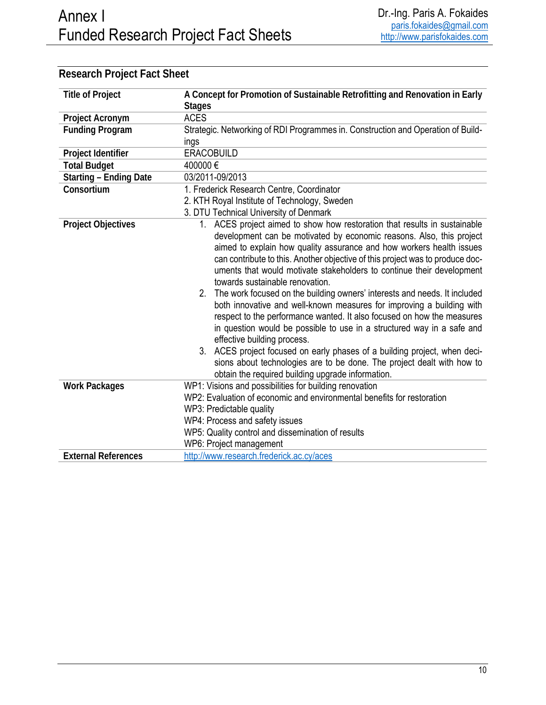| <b>Title of Project</b>       | A Concept for Promotion of Sustainable Retrofitting and Renovation in Early                                                                                                                                                                                                                                                                                                                                                                                                                                                                                                                                                                                                                                                                                                                                                                                                                                                                                                    |  |
|-------------------------------|--------------------------------------------------------------------------------------------------------------------------------------------------------------------------------------------------------------------------------------------------------------------------------------------------------------------------------------------------------------------------------------------------------------------------------------------------------------------------------------------------------------------------------------------------------------------------------------------------------------------------------------------------------------------------------------------------------------------------------------------------------------------------------------------------------------------------------------------------------------------------------------------------------------------------------------------------------------------------------|--|
|                               | <b>Stages</b>                                                                                                                                                                                                                                                                                                                                                                                                                                                                                                                                                                                                                                                                                                                                                                                                                                                                                                                                                                  |  |
| Project Acronym               | <b>ACES</b>                                                                                                                                                                                                                                                                                                                                                                                                                                                                                                                                                                                                                                                                                                                                                                                                                                                                                                                                                                    |  |
| <b>Funding Program</b>        | Strategic. Networking of RDI Programmes in. Construction and Operation of Build-                                                                                                                                                                                                                                                                                                                                                                                                                                                                                                                                                                                                                                                                                                                                                                                                                                                                                               |  |
|                               | ings                                                                                                                                                                                                                                                                                                                                                                                                                                                                                                                                                                                                                                                                                                                                                                                                                                                                                                                                                                           |  |
| Project Identifier            | <b>ERACOBUILD</b>                                                                                                                                                                                                                                                                                                                                                                                                                                                                                                                                                                                                                                                                                                                                                                                                                                                                                                                                                              |  |
| <b>Total Budget</b>           | 400000€                                                                                                                                                                                                                                                                                                                                                                                                                                                                                                                                                                                                                                                                                                                                                                                                                                                                                                                                                                        |  |
| <b>Starting - Ending Date</b> | 03/2011-09/2013                                                                                                                                                                                                                                                                                                                                                                                                                                                                                                                                                                                                                                                                                                                                                                                                                                                                                                                                                                |  |
| Consortium                    | 1. Frederick Research Centre, Coordinator                                                                                                                                                                                                                                                                                                                                                                                                                                                                                                                                                                                                                                                                                                                                                                                                                                                                                                                                      |  |
|                               | 2. KTH Royal Institute of Technology, Sweden                                                                                                                                                                                                                                                                                                                                                                                                                                                                                                                                                                                                                                                                                                                                                                                                                                                                                                                                   |  |
|                               | 3. DTU Technical University of Denmark                                                                                                                                                                                                                                                                                                                                                                                                                                                                                                                                                                                                                                                                                                                                                                                                                                                                                                                                         |  |
| <b>Project Objectives</b>     | 1. ACES project aimed to show how restoration that results in sustainable<br>development can be motivated by economic reasons. Also, this project<br>aimed to explain how quality assurance and how workers health issues<br>can contribute to this. Another objective of this project was to produce doc-<br>uments that would motivate stakeholders to continue their development<br>towards sustainable renovation.<br>2. The work focused on the building owners' interests and needs. It included<br>both innovative and well-known measures for improving a building with<br>respect to the performance wanted. It also focused on how the measures<br>in question would be possible to use in a structured way in a safe and<br>effective building process.<br>3. ACES project focused on early phases of a building project, when deci-<br>sions about technologies are to be done. The project dealt with how to<br>obtain the required building upgrade information. |  |
| <b>Work Packages</b>          | WP1: Visions and possibilities for building renovation                                                                                                                                                                                                                                                                                                                                                                                                                                                                                                                                                                                                                                                                                                                                                                                                                                                                                                                         |  |
|                               | WP2: Evaluation of economic and environmental benefits for restoration                                                                                                                                                                                                                                                                                                                                                                                                                                                                                                                                                                                                                                                                                                                                                                                                                                                                                                         |  |
|                               | WP3: Predictable quality                                                                                                                                                                                                                                                                                                                                                                                                                                                                                                                                                                                                                                                                                                                                                                                                                                                                                                                                                       |  |
|                               | WP4: Process and safety issues                                                                                                                                                                                                                                                                                                                                                                                                                                                                                                                                                                                                                                                                                                                                                                                                                                                                                                                                                 |  |
|                               | WP5: Quality control and dissemination of results                                                                                                                                                                                                                                                                                                                                                                                                                                                                                                                                                                                                                                                                                                                                                                                                                                                                                                                              |  |
|                               | WP6: Project management                                                                                                                                                                                                                                                                                                                                                                                                                                                                                                                                                                                                                                                                                                                                                                                                                                                                                                                                                        |  |
| <b>External References</b>    | http://www.research.frederick.ac.cy/aces                                                                                                                                                                                                                                                                                                                                                                                                                                                                                                                                                                                                                                                                                                                                                                                                                                                                                                                                       |  |
|                               |                                                                                                                                                                                                                                                                                                                                                                                                                                                                                                                                                                                                                                                                                                                                                                                                                                                                                                                                                                                |  |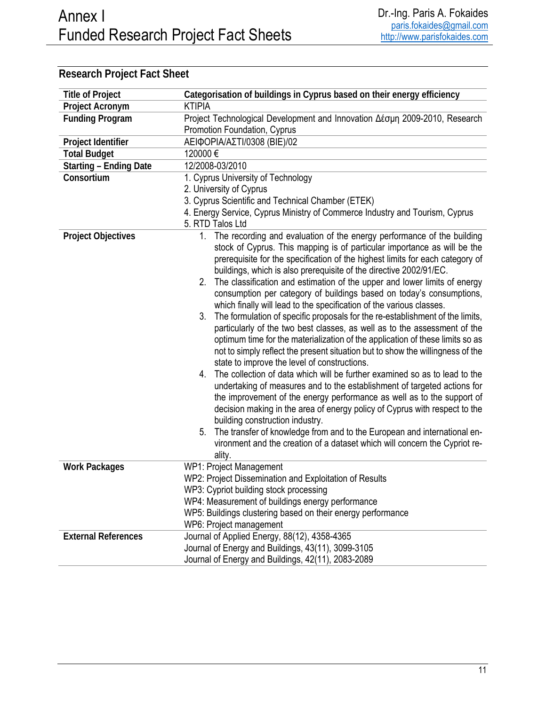| <b>Title of Project</b>       | Categorisation of buildings in Cyprus based on their energy efficiency                                                                                                                                                                                                                                                                                                                                                                                                                                                                                                                                                                                                                                                                                                                                                                                                                                                                                                                                                                                                                                                                                                                                                                                                                                                                                                                                                                                                |  |
|-------------------------------|-----------------------------------------------------------------------------------------------------------------------------------------------------------------------------------------------------------------------------------------------------------------------------------------------------------------------------------------------------------------------------------------------------------------------------------------------------------------------------------------------------------------------------------------------------------------------------------------------------------------------------------------------------------------------------------------------------------------------------------------------------------------------------------------------------------------------------------------------------------------------------------------------------------------------------------------------------------------------------------------------------------------------------------------------------------------------------------------------------------------------------------------------------------------------------------------------------------------------------------------------------------------------------------------------------------------------------------------------------------------------------------------------------------------------------------------------------------------------|--|
| Project Acronym               | <b>KTIPIA</b>                                                                                                                                                                                                                                                                                                                                                                                                                                                                                                                                                                                                                                                                                                                                                                                                                                                                                                                                                                                                                                                                                                                                                                                                                                                                                                                                                                                                                                                         |  |
| <b>Funding Program</b>        | Project Technological Development and Innovation Δέσμη 2009-2010, Research                                                                                                                                                                                                                                                                                                                                                                                                                                                                                                                                                                                                                                                                                                                                                                                                                                                                                                                                                                                                                                                                                                                                                                                                                                                                                                                                                                                            |  |
|                               | Promotion Foundation, Cyprus                                                                                                                                                                                                                                                                                                                                                                                                                                                                                                                                                                                                                                                                                                                                                                                                                                                                                                                                                                                                                                                                                                                                                                                                                                                                                                                                                                                                                                          |  |
| Project Identifier            | ΑΕΙΦΟΡΙΑ/ΑΣΤΙ/0308 (ΒΙΕ)/02                                                                                                                                                                                                                                                                                                                                                                                                                                                                                                                                                                                                                                                                                                                                                                                                                                                                                                                                                                                                                                                                                                                                                                                                                                                                                                                                                                                                                                           |  |
| <b>Total Budget</b>           | 120000€                                                                                                                                                                                                                                                                                                                                                                                                                                                                                                                                                                                                                                                                                                                                                                                                                                                                                                                                                                                                                                                                                                                                                                                                                                                                                                                                                                                                                                                               |  |
| <b>Starting - Ending Date</b> | 12/2008-03/2010                                                                                                                                                                                                                                                                                                                                                                                                                                                                                                                                                                                                                                                                                                                                                                                                                                                                                                                                                                                                                                                                                                                                                                                                                                                                                                                                                                                                                                                       |  |
| Consortium                    | 1. Cyprus University of Technology                                                                                                                                                                                                                                                                                                                                                                                                                                                                                                                                                                                                                                                                                                                                                                                                                                                                                                                                                                                                                                                                                                                                                                                                                                                                                                                                                                                                                                    |  |
|                               | 2. University of Cyprus                                                                                                                                                                                                                                                                                                                                                                                                                                                                                                                                                                                                                                                                                                                                                                                                                                                                                                                                                                                                                                                                                                                                                                                                                                                                                                                                                                                                                                               |  |
|                               | 3. Cyprus Scientific and Technical Chamber (ETEK)                                                                                                                                                                                                                                                                                                                                                                                                                                                                                                                                                                                                                                                                                                                                                                                                                                                                                                                                                                                                                                                                                                                                                                                                                                                                                                                                                                                                                     |  |
|                               | 4. Energy Service, Cyprus Ministry of Commerce Industry and Tourism, Cyprus                                                                                                                                                                                                                                                                                                                                                                                                                                                                                                                                                                                                                                                                                                                                                                                                                                                                                                                                                                                                                                                                                                                                                                                                                                                                                                                                                                                           |  |
|                               | 5. RTD Talos Ltd                                                                                                                                                                                                                                                                                                                                                                                                                                                                                                                                                                                                                                                                                                                                                                                                                                                                                                                                                                                                                                                                                                                                                                                                                                                                                                                                                                                                                                                      |  |
| <b>Project Objectives</b>     | 1. The recording and evaluation of the energy performance of the building<br>stock of Cyprus. This mapping is of particular importance as will be the<br>prerequisite for the specification of the highest limits for each category of<br>buildings, which is also prerequisite of the directive 2002/91/EC.<br>2. The classification and estimation of the upper and lower limits of energy<br>consumption per category of buildings based on today's consumptions,<br>which finally will lead to the specification of the various classes.<br>The formulation of specific proposals for the re-establishment of the limits,<br>3.<br>particularly of the two best classes, as well as to the assessment of the<br>optimum time for the materialization of the application of these limits so as<br>not to simply reflect the present situation but to show the willingness of the<br>state to improve the level of constructions.<br>4. The collection of data which will be further examined so as to lead to the<br>undertaking of measures and to the establishment of targeted actions for<br>the improvement of the energy performance as well as to the support of<br>decision making in the area of energy policy of Cyprus with respect to the<br>building construction industry.<br>The transfer of knowledge from and to the European and international en-<br>5.<br>vironment and the creation of a dataset which will concern the Cypriot re-<br>ality. |  |
| <b>Work Packages</b>          | WP1: Project Management                                                                                                                                                                                                                                                                                                                                                                                                                                                                                                                                                                                                                                                                                                                                                                                                                                                                                                                                                                                                                                                                                                                                                                                                                                                                                                                                                                                                                                               |  |
|                               | WP2: Project Dissemination and Exploitation of Results                                                                                                                                                                                                                                                                                                                                                                                                                                                                                                                                                                                                                                                                                                                                                                                                                                                                                                                                                                                                                                                                                                                                                                                                                                                                                                                                                                                                                |  |
|                               | WP3: Cypriot building stock processing                                                                                                                                                                                                                                                                                                                                                                                                                                                                                                                                                                                                                                                                                                                                                                                                                                                                                                                                                                                                                                                                                                                                                                                                                                                                                                                                                                                                                                |  |
|                               | WP4: Measurement of buildings energy performance<br>WP5: Buildings clustering based on their energy performance                                                                                                                                                                                                                                                                                                                                                                                                                                                                                                                                                                                                                                                                                                                                                                                                                                                                                                                                                                                                                                                                                                                                                                                                                                                                                                                                                       |  |
|                               |                                                                                                                                                                                                                                                                                                                                                                                                                                                                                                                                                                                                                                                                                                                                                                                                                                                                                                                                                                                                                                                                                                                                                                                                                                                                                                                                                                                                                                                                       |  |
|                               | WP6: Project management                                                                                                                                                                                                                                                                                                                                                                                                                                                                                                                                                                                                                                                                                                                                                                                                                                                                                                                                                                                                                                                                                                                                                                                                                                                                                                                                                                                                                                               |  |
| <b>External References</b>    | Journal of Applied Energy, 88(12), 4358-4365                                                                                                                                                                                                                                                                                                                                                                                                                                                                                                                                                                                                                                                                                                                                                                                                                                                                                                                                                                                                                                                                                                                                                                                                                                                                                                                                                                                                                          |  |
|                               | Journal of Energy and Buildings, 43(11), 3099-3105                                                                                                                                                                                                                                                                                                                                                                                                                                                                                                                                                                                                                                                                                                                                                                                                                                                                                                                                                                                                                                                                                                                                                                                                                                                                                                                                                                                                                    |  |
|                               | Journal of Energy and Buildings, 42(11), 2083-2089                                                                                                                                                                                                                                                                                                                                                                                                                                                                                                                                                                                                                                                                                                                                                                                                                                                                                                                                                                                                                                                                                                                                                                                                                                                                                                                                                                                                                    |  |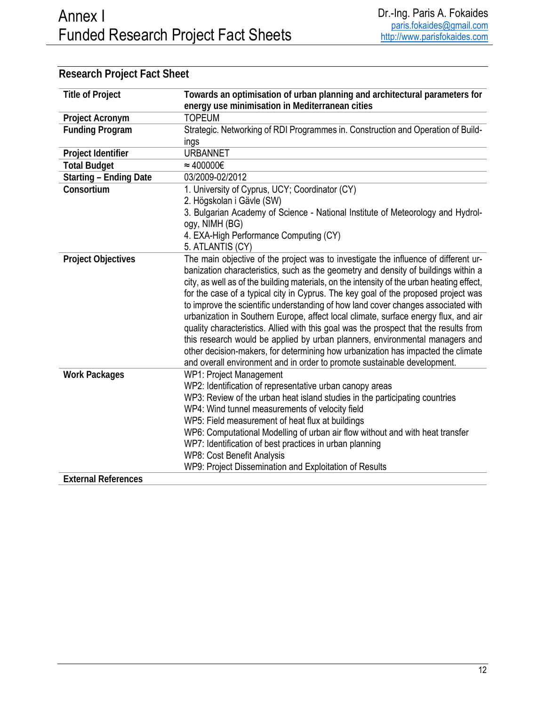| <b>Title of Project</b>       | Towards an optimisation of urban planning and architectural parameters for                |
|-------------------------------|-------------------------------------------------------------------------------------------|
|                               | energy use minimisation in Mediterranean cities                                           |
| Project Acronym               | <b>TOPEUM</b>                                                                             |
| <b>Funding Program</b>        | Strategic. Networking of RDI Programmes in. Construction and Operation of Build-          |
|                               | ings                                                                                      |
| Project Identifier            | <b>URBANNET</b>                                                                           |
| <b>Total Budget</b>           | $\approx 400000 \in$                                                                      |
| <b>Starting - Ending Date</b> | 03/2009-02/2012                                                                           |
| Consortium                    | 1. University of Cyprus, UCY; Coordinator (CY)                                            |
|                               | 2. Högskolan i Gävle (SW)                                                                 |
|                               | 3. Bulgarian Academy of Science - National Institute of Meteorology and Hydrol-           |
|                               | ogy, NIMH (BG)                                                                            |
|                               | 4. EXA-High Performance Computing (CY)                                                    |
|                               | 5. ATLANTIS (CY)                                                                          |
| <b>Project Objectives</b>     | The main objective of the project was to investigate the influence of different ur-       |
|                               | banization characteristics, such as the geometry and density of buildings within a        |
|                               | city, as well as of the building materials, on the intensity of the urban heating effect, |
|                               | for the case of a typical city in Cyprus. The key goal of the proposed project was        |
|                               | to improve the scientific understanding of how land cover changes associated with         |
|                               | urbanization in Southern Europe, affect local climate, surface energy flux, and air       |
|                               | quality characteristics. Allied with this goal was the prospect that the results from     |
|                               | this research would be applied by urban planners, environmental managers and              |
|                               | other decision-makers, for determining how urbanization has impacted the climate          |
|                               | and overall environment and in order to promote sustainable development.                  |
| <b>Work Packages</b>          | <b>WP1: Project Management</b>                                                            |
|                               | WP2: Identification of representative urban canopy areas                                  |
|                               | WP3: Review of the urban heat island studies in the participating countries               |
|                               | WP4: Wind tunnel measurements of velocity field                                           |
|                               | WP5: Field measurement of heat flux at buildings                                          |
|                               | WP6: Computational Modelling of urban air flow without and with heat transfer             |
|                               | WP7: Identification of best practices in urban planning                                   |
|                               | WP8: Cost Benefit Analysis                                                                |
|                               | WP9: Project Dissemination and Exploitation of Results                                    |
| <b>External References</b>    |                                                                                           |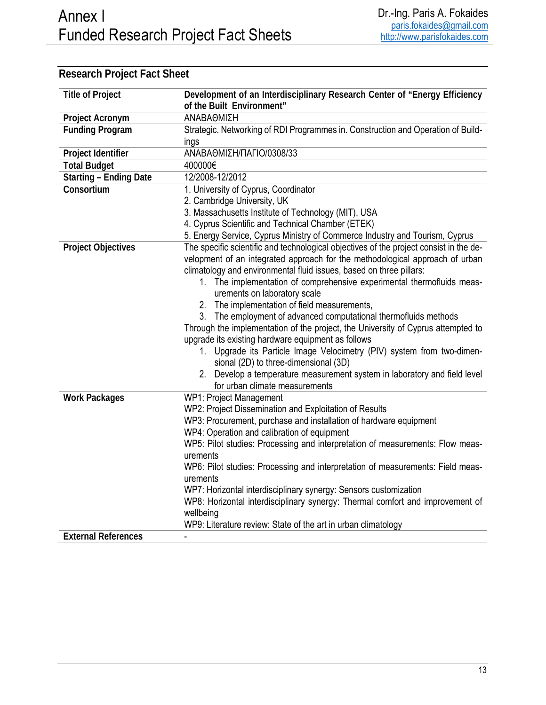| <b>Title of Project</b>       | Development of an Interdisciplinary Research Center of "Energy Efficiency              |  |
|-------------------------------|----------------------------------------------------------------------------------------|--|
|                               | of the Built Environment"                                                              |  |
| Project Acronym               | ΑΝΑΒΑΘΜΙΣΗ                                                                             |  |
| <b>Funding Program</b>        | Strategic. Networking of RDI Programmes in. Construction and Operation of Build-       |  |
|                               | ings                                                                                   |  |
| Project Identifier            | ΑΝΑΒΑΘΜΙΣΗ/ΠΑΓΙΟ/0308/33                                                               |  |
| <b>Total Budget</b>           | 400000€                                                                                |  |
| <b>Starting - Ending Date</b> | 12/2008-12/2012                                                                        |  |
| Consortium                    | 1. University of Cyprus, Coordinator                                                   |  |
|                               | 2. Cambridge University, UK                                                            |  |
|                               | 3. Massachusetts Institute of Technology (MIT), USA                                    |  |
|                               | 4. Cyprus Scientific and Technical Chamber (ETEK)                                      |  |
|                               | 5. Energy Service, Cyprus Ministry of Commerce Industry and Tourism, Cyprus            |  |
| <b>Project Objectives</b>     | The specific scientific and technological objectives of the project consist in the de- |  |
|                               | velopment of an integrated approach for the methodological approach of urban           |  |
|                               | climatology and environmental fluid issues, based on three pillars:                    |  |
|                               | 1. The implementation of comprehensive experimental thermofluids meas-                 |  |
|                               | urements on laboratory scale                                                           |  |
|                               | 2. The implementation of field measurements,                                           |  |
|                               | 3. The employment of advanced computational thermofluids methods                       |  |
|                               | Through the implementation of the project, the University of Cyprus attempted to       |  |
|                               | upgrade its existing hardware equipment as follows                                     |  |
|                               | 1. Upgrade its Particle Image Velocimetry (PIV) system from two-dimen-                 |  |
|                               | sional (2D) to three-dimensional (3D)                                                  |  |
|                               | 2. Develop a temperature measurement system in laboratory and field level              |  |
|                               | for urban climate measurements                                                         |  |
| <b>Work Packages</b>          | WP1: Project Management                                                                |  |
|                               | WP2: Project Dissemination and Exploitation of Results                                 |  |
|                               | WP3: Procurement, purchase and installation of hardware equipment                      |  |
|                               | WP4: Operation and calibration of equipment                                            |  |
|                               | WP5: Pilot studies: Processing and interpretation of measurements: Flow meas-          |  |
|                               | urements                                                                               |  |
|                               | WP6: Pilot studies: Processing and interpretation of measurements: Field meas-         |  |
|                               | urements                                                                               |  |
|                               | WP7: Horizontal interdisciplinary synergy: Sensors customization                       |  |
|                               | WP8: Horizontal interdisciplinary synergy: Thermal comfort and improvement of          |  |
|                               | wellbeing                                                                              |  |
|                               | WP9: Literature review: State of the art in urban climatology                          |  |
| <b>External References</b>    |                                                                                        |  |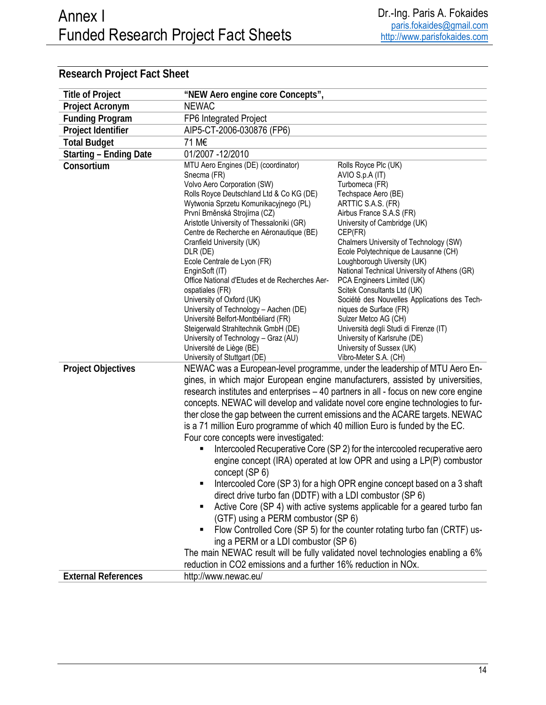| <b>Title of Project</b>       | "NEW Aero engine core Concepts",                                                      |                                                                                     |
|-------------------------------|---------------------------------------------------------------------------------------|-------------------------------------------------------------------------------------|
| Project Acronym               | <b>NEWAC</b>                                                                          |                                                                                     |
| <b>Funding Program</b>        | FP6 Integrated Project                                                                |                                                                                     |
| Project Identifier            | AIP5-CT-2006-030876 (FP6)                                                             |                                                                                     |
| <b>Total Budget</b>           | 71 M€                                                                                 |                                                                                     |
| <b>Starting - Ending Date</b> | 01/2007 - 12/2010                                                                     |                                                                                     |
| Consortium                    | MTU Aero Engines (DE) (coordinator)<br>Snecma (FR)<br>Volvo Aero Corporation (SW)     | Rolls Royce Plc (UK)<br>AVIO S.p.A (IT)<br>Turbomeca (FR)                           |
|                               | Rolls Royce Deutschland Ltd & Co KG (DE)                                              | Techspace Aero (BE)                                                                 |
|                               | Wytwonia Sprzetu Komunikacyjnego (PL)                                                 | ARTTIC S.A.S. (FR)                                                                  |
|                               | První Brněnská Strojírna (CZ)                                                         | Airbus France S.A.S (FR)                                                            |
|                               | Aristotle University of Thessaloniki (GR)<br>Centre de Recherche en Aéronautique (BE) | University of Cambridge (UK)<br>CEP(FR)                                             |
|                               | Cranfield University (UK)                                                             | Chalmers University of Technology (SW)                                              |
|                               | DLR (DE)                                                                              | Ecole Polytechnique de Lausanne (CH)                                                |
|                               | Ecole Centrale de Lyon (FR)                                                           | Loughborough Uiversity (UK)                                                         |
|                               | EnginSoft (IT)                                                                        | National Technical University of Athens (GR)                                        |
|                               | Office National d'Etudes et de Recherches Aer-                                        | PCA Engineers Limited (UK)                                                          |
|                               | ospatiales (FR)<br>University of Oxford (UK)                                          | Scitek Consultants Ltd (UK)                                                         |
|                               | University of Technology - Aachen (DE)                                                | Société des Nouvelles Applications des Tech-<br>niques de Surface (FR)              |
|                               | Université Belfort-Montbéliard (FR)                                                   | Sulzer Metco AG (CH)                                                                |
|                               | Steigerwald Strahltechnik GmbH (DE)                                                   | Università degli Studi di Firenze (IT)                                              |
|                               | University of Technology - Graz (AU)                                                  | University of Karlsruhe (DE)                                                        |
|                               | Université de Liège (BE)                                                              | University of Sussex (UK)                                                           |
|                               | University of Stuttgart (DE)                                                          | Vibro-Meter S.A. (CH)                                                               |
| <b>Project Objectives</b>     |                                                                                       | NEWAC was a European-level programme, under the leadership of MTU Aero En-          |
|                               |                                                                                       | gines, in which major European engine manufacturers, assisted by universities,      |
|                               |                                                                                       | research institutes and enterprises - 40 partners in all - focus on new core engine |
|                               |                                                                                       | concepts. NEWAC will develop and validate novel core engine technologies to fur-    |
|                               |                                                                                       | ther close the gap between the current emissions and the ACARE targets. NEWAC       |
|                               | is a 71 million Euro programme of which 40 million Euro is funded by the EC.          |                                                                                     |
|                               | Four core concepts were investigated:                                                 |                                                                                     |
|                               |                                                                                       | Intercooled Recuperative Core (SP 2) for the intercooled recuperative aero          |
|                               |                                                                                       | engine concept (IRA) operated at low OPR and using a LP(P) combustor                |
|                               | concept (SP 6)                                                                        |                                                                                     |
|                               |                                                                                       | Intercooled Core (SP 3) for a high OPR engine concept based on a 3 shaft            |
|                               | direct drive turbo fan (DDTF) with a LDI combustor (SP 6)                             |                                                                                     |
|                               | ٠                                                                                     | Active Core (SP 4) with active systems applicable for a geared turbo fan            |
|                               | (GTF) using a PERM combustor (SP 6)                                                   |                                                                                     |
|                               | ٠                                                                                     | Flow Controlled Core (SP 5) for the counter rotating turbo fan (CRTF) us-           |
|                               | ing a PERM or a LDI combustor (SP 6)                                                  |                                                                                     |
|                               |                                                                                       | The main NEWAC result will be fully validated novel technologies enabling a 6%      |
|                               | reduction in CO2 emissions and a further 16% reduction in NOx.                        |                                                                                     |
| <b>External References</b>    | http://www.newac.eu/                                                                  |                                                                                     |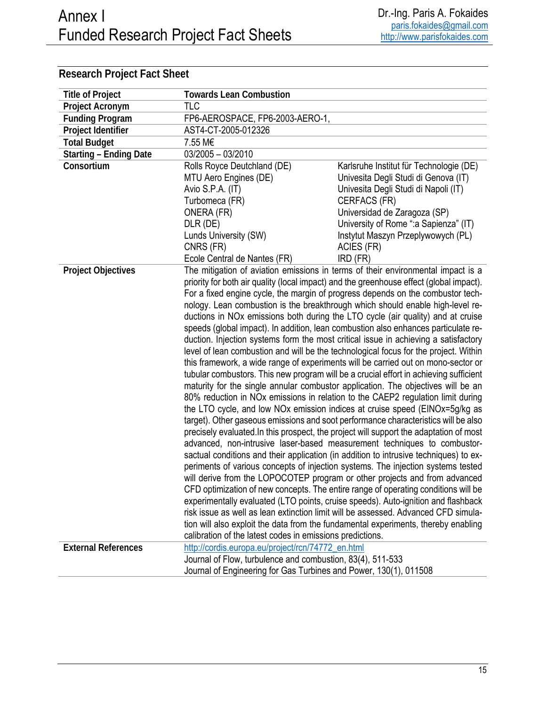| <b>Title of Project</b>       | <b>Towards Lean Combustion</b>                                                                                                                                   |                                                                                         |
|-------------------------------|------------------------------------------------------------------------------------------------------------------------------------------------------------------|-----------------------------------------------------------------------------------------|
| Project Acronym               | <b>TLC</b>                                                                                                                                                       |                                                                                         |
| <b>Funding Program</b>        | FP6-AEROSPACE, FP6-2003-AERO-1,                                                                                                                                  |                                                                                         |
| Project Identifier            | AST4-CT-2005-012326                                                                                                                                              |                                                                                         |
| <b>Total Budget</b>           | 7.55 M€                                                                                                                                                          |                                                                                         |
| <b>Starting - Ending Date</b> | $03/2005 - 03/2010$                                                                                                                                              |                                                                                         |
| Consortium                    | Rolls Royce Deutchland (DE)                                                                                                                                      | Karlsruhe Institut für Technologie (DE)                                                 |
|                               | MTU Aero Engines (DE)                                                                                                                                            | Univesita Degli Studi di Genova (IT)                                                    |
|                               | Avio S.P.A. (IT)                                                                                                                                                 | Univesita Degli Studi di Napoli (IT)                                                    |
|                               | Turbomeca (FR)                                                                                                                                                   | CERFACS (FR)                                                                            |
|                               | ONERA (FR)                                                                                                                                                       | Universidad de Zaragoza (SP)                                                            |
|                               | DLR (DE)                                                                                                                                                         | University of Rome ": a Sapienza" (IT)                                                  |
|                               | Lunds University (SW)                                                                                                                                            | Instytut Maszyn Przeplywowych (PL)                                                      |
|                               | CNRS (FR)                                                                                                                                                        | ACIES (FR)                                                                              |
|                               | Ecole Central de Nantes (FR)                                                                                                                                     | IRD (FR)                                                                                |
| <b>Project Objectives</b>     |                                                                                                                                                                  | The mitigation of aviation emissions in terms of their environmental impact is a        |
|                               |                                                                                                                                                                  | priority for both air quality (local impact) and the greenhouse effect (global impact). |
|                               |                                                                                                                                                                  | For a fixed engine cycle, the margin of progress depends on the combustor tech-         |
|                               |                                                                                                                                                                  | nology. Lean combustion is the breakthrough which should enable high-level re-          |
|                               |                                                                                                                                                                  | ductions in NOx emissions both during the LTO cycle (air quality) and at cruise         |
|                               |                                                                                                                                                                  | speeds (global impact). In addition, lean combustion also enhances particulate re-      |
|                               |                                                                                                                                                                  | duction. Injection systems form the most critical issue in achieving a satisfactory     |
|                               |                                                                                                                                                                  | level of lean combustion and will be the technological focus for the project. Within    |
|                               |                                                                                                                                                                  | this framework, a wide range of experiments will be carried out on mono-sector or       |
|                               |                                                                                                                                                                  | tubular combustors. This new program will be a crucial effort in achieving sufficient   |
|                               |                                                                                                                                                                  | maturity for the single annular combustor application. The objectives will be an        |
|                               |                                                                                                                                                                  | 80% reduction in NOx emissions in relation to the CAEP2 regulation limit during         |
|                               |                                                                                                                                                                  | the LTO cycle, and low NOx emission indices at cruise speed (EINOx=5g/kg as             |
|                               |                                                                                                                                                                  | target). Other gaseous emissions and soot performance characteristics will be also      |
|                               |                                                                                                                                                                  | precisely evaluated. In this prospect, the project will support the adaptation of most  |
|                               | advanced, non-intrusive laser-based measurement techniques to combustor-                                                                                         |                                                                                         |
|                               |                                                                                                                                                                  | sactual conditions and their application (in addition to intrusive techniques) to ex-   |
|                               |                                                                                                                                                                  | periments of various concepts of injection systems. The injection systems tested        |
|                               | will derive from the LOPOCOTEP program or other projects and from advanced<br>CFD optimization of new concepts. The entire range of operating conditions will be |                                                                                         |
|                               |                                                                                                                                                                  |                                                                                         |
|                               | experimentally evaluated (LTO points, cruise speeds). Auto-ignition and flashback                                                                                |                                                                                         |
|                               |                                                                                                                                                                  | risk issue as well as lean extinction limit will be assessed. Advanced CFD simula-      |
|                               |                                                                                                                                                                  | tion will also exploit the data from the fundamental experiments, thereby enabling      |
|                               | calibration of the latest codes in emissions predictions.                                                                                                        |                                                                                         |
| <b>External References</b>    | http://cordis.europa.eu/project/rcn/74772 en.html                                                                                                                |                                                                                         |
|                               | Journal of Flow, turbulence and combustion, 83(4), 511-533                                                                                                       |                                                                                         |
|                               | Journal of Engineering for Gas Turbines and Power, 130(1), 011508                                                                                                |                                                                                         |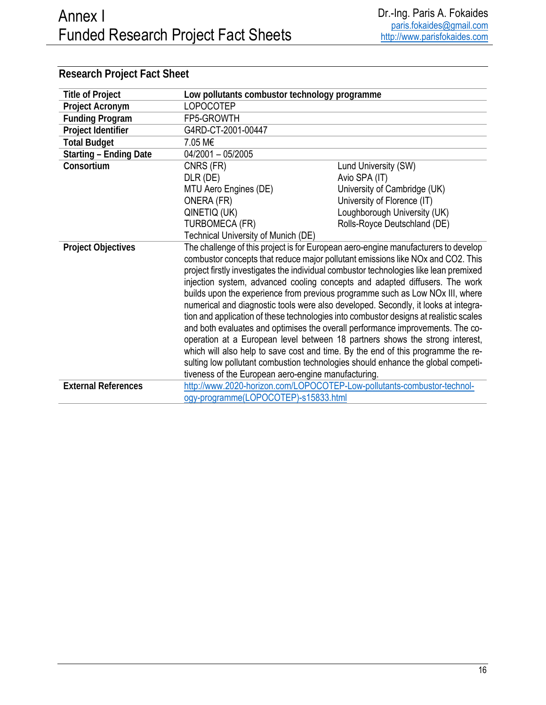| <b>Title of Project</b>       | Low pollutants combustor technology programme                                                                                                                                                                                                                                                                                                                                                                                                                                                                                                                                                                                                                                                                                                                                                                                                                                                                                                                                                                                                       |                                                                         |
|-------------------------------|-----------------------------------------------------------------------------------------------------------------------------------------------------------------------------------------------------------------------------------------------------------------------------------------------------------------------------------------------------------------------------------------------------------------------------------------------------------------------------------------------------------------------------------------------------------------------------------------------------------------------------------------------------------------------------------------------------------------------------------------------------------------------------------------------------------------------------------------------------------------------------------------------------------------------------------------------------------------------------------------------------------------------------------------------------|-------------------------------------------------------------------------|
| Project Acronym               | <b>LOPOCOTEP</b>                                                                                                                                                                                                                                                                                                                                                                                                                                                                                                                                                                                                                                                                                                                                                                                                                                                                                                                                                                                                                                    |                                                                         |
| <b>Funding Program</b>        | FP5-GROWTH                                                                                                                                                                                                                                                                                                                                                                                                                                                                                                                                                                                                                                                                                                                                                                                                                                                                                                                                                                                                                                          |                                                                         |
| Project Identifier            | G4RD-CT-2001-00447                                                                                                                                                                                                                                                                                                                                                                                                                                                                                                                                                                                                                                                                                                                                                                                                                                                                                                                                                                                                                                  |                                                                         |
| <b>Total Budget</b>           | 7.05 M€                                                                                                                                                                                                                                                                                                                                                                                                                                                                                                                                                                                                                                                                                                                                                                                                                                                                                                                                                                                                                                             |                                                                         |
| <b>Starting - Ending Date</b> | 04/2001 - 05/2005                                                                                                                                                                                                                                                                                                                                                                                                                                                                                                                                                                                                                                                                                                                                                                                                                                                                                                                                                                                                                                   |                                                                         |
| Consortium                    | CNRS (FR)                                                                                                                                                                                                                                                                                                                                                                                                                                                                                                                                                                                                                                                                                                                                                                                                                                                                                                                                                                                                                                           | Lund University (SW)                                                    |
|                               | DLR (DE)                                                                                                                                                                                                                                                                                                                                                                                                                                                                                                                                                                                                                                                                                                                                                                                                                                                                                                                                                                                                                                            | Avio SPA (IT)                                                           |
|                               | MTU Aero Engines (DE)                                                                                                                                                                                                                                                                                                                                                                                                                                                                                                                                                                                                                                                                                                                                                                                                                                                                                                                                                                                                                               | University of Cambridge (UK)                                            |
|                               | ONERA (FR)                                                                                                                                                                                                                                                                                                                                                                                                                                                                                                                                                                                                                                                                                                                                                                                                                                                                                                                                                                                                                                          | University of Florence (IT)                                             |
|                               | QINETIQ (UK)                                                                                                                                                                                                                                                                                                                                                                                                                                                                                                                                                                                                                                                                                                                                                                                                                                                                                                                                                                                                                                        | Loughborough University (UK)                                            |
|                               | <b>TURBOMECA (FR)</b>                                                                                                                                                                                                                                                                                                                                                                                                                                                                                                                                                                                                                                                                                                                                                                                                                                                                                                                                                                                                                               | Rolls-Royce Deutschland (DE)                                            |
|                               | Technical University of Munich (DE)                                                                                                                                                                                                                                                                                                                                                                                                                                                                                                                                                                                                                                                                                                                                                                                                                                                                                                                                                                                                                 |                                                                         |
| <b>Project Objectives</b>     | The challenge of this project is for European aero-engine manufacturers to develop<br>combustor concepts that reduce major pollutant emissions like NO <sub>x</sub> and CO <sub>2</sub> . This<br>project firstly investigates the individual combustor technologies like lean premixed<br>injection system, advanced cooling concepts and adapted diffusers. The work<br>builds upon the experience from previous programme such as Low NO <sub>x</sub> III, where<br>numerical and diagnostic tools were also developed. Secondly, it looks at integra-<br>tion and application of these technologies into combustor designs at realistic scales<br>and both evaluates and optimises the overall performance improvements. The co-<br>operation at a European level between 18 partners shows the strong interest,<br>which will also help to save cost and time. By the end of this programme the re-<br>sulting low pollutant combustion technologies should enhance the global competi-<br>tiveness of the European aero-engine manufacturing. |                                                                         |
| <b>External References</b>    | ogy-programme(LOPOCOTEP)-s15833.html                                                                                                                                                                                                                                                                                                                                                                                                                                                                                                                                                                                                                                                                                                                                                                                                                                                                                                                                                                                                                | http://www.2020-horizon.com/LOPOCOTEP-Low-pollutants-combustor-technol- |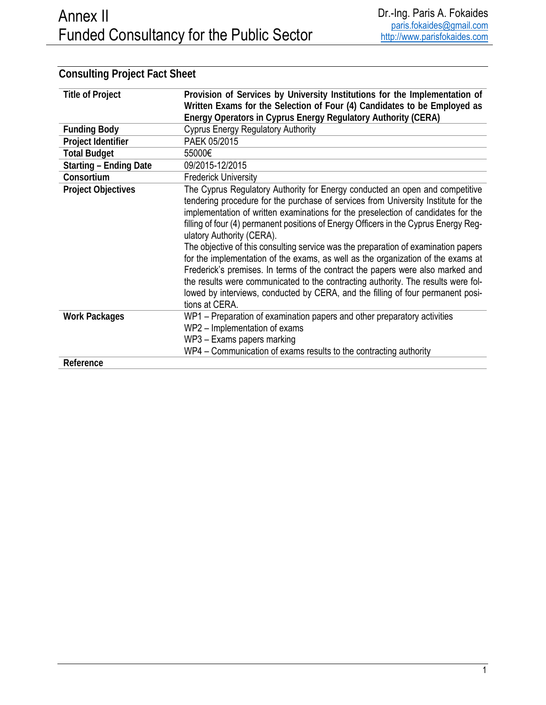| <b>Title of Project</b>       | Provision of Services by University Institutions for the Implementation of                                                                                                                                                                                                                                                                                                                                                                                                                                                                                                                                                                                                                                                                                                                                                         |
|-------------------------------|------------------------------------------------------------------------------------------------------------------------------------------------------------------------------------------------------------------------------------------------------------------------------------------------------------------------------------------------------------------------------------------------------------------------------------------------------------------------------------------------------------------------------------------------------------------------------------------------------------------------------------------------------------------------------------------------------------------------------------------------------------------------------------------------------------------------------------|
|                               | Written Exams for the Selection of Four (4) Candidates to be Employed as                                                                                                                                                                                                                                                                                                                                                                                                                                                                                                                                                                                                                                                                                                                                                           |
|                               | Energy Operators in Cyprus Energy Regulatory Authority (CERA)                                                                                                                                                                                                                                                                                                                                                                                                                                                                                                                                                                                                                                                                                                                                                                      |
| <b>Funding Body</b>           | <b>Cyprus Energy Regulatory Authority</b>                                                                                                                                                                                                                                                                                                                                                                                                                                                                                                                                                                                                                                                                                                                                                                                          |
| Project Identifier            | PAEK 05/2015                                                                                                                                                                                                                                                                                                                                                                                                                                                                                                                                                                                                                                                                                                                                                                                                                       |
| <b>Total Budget</b>           | 55000€                                                                                                                                                                                                                                                                                                                                                                                                                                                                                                                                                                                                                                                                                                                                                                                                                             |
| <b>Starting - Ending Date</b> | 09/2015-12/2015                                                                                                                                                                                                                                                                                                                                                                                                                                                                                                                                                                                                                                                                                                                                                                                                                    |
| Consortium                    | <b>Frederick University</b>                                                                                                                                                                                                                                                                                                                                                                                                                                                                                                                                                                                                                                                                                                                                                                                                        |
| <b>Project Objectives</b>     | The Cyprus Regulatory Authority for Energy conducted an open and competitive<br>tendering procedure for the purchase of services from University Institute for the<br>implementation of written examinations for the preselection of candidates for the<br>filling of four (4) permanent positions of Energy Officers in the Cyprus Energy Reg-<br>ulatory Authority (CERA).<br>The objective of this consulting service was the preparation of examination papers<br>for the implementation of the exams, as well as the organization of the exams at<br>Frederick's premises. In terms of the contract the papers were also marked and<br>the results were communicated to the contracting authority. The results were fol-<br>lowed by interviews, conducted by CERA, and the filling of four permanent posi-<br>tions at CERA. |
| <b>Work Packages</b>          | WP1 - Preparation of examination papers and other preparatory activities<br>WP2 - Implementation of exams<br>WP3 - Exams papers marking<br>WP4 - Communication of exams results to the contracting authority                                                                                                                                                                                                                                                                                                                                                                                                                                                                                                                                                                                                                       |
| Reference                     |                                                                                                                                                                                                                                                                                                                                                                                                                                                                                                                                                                                                                                                                                                                                                                                                                                    |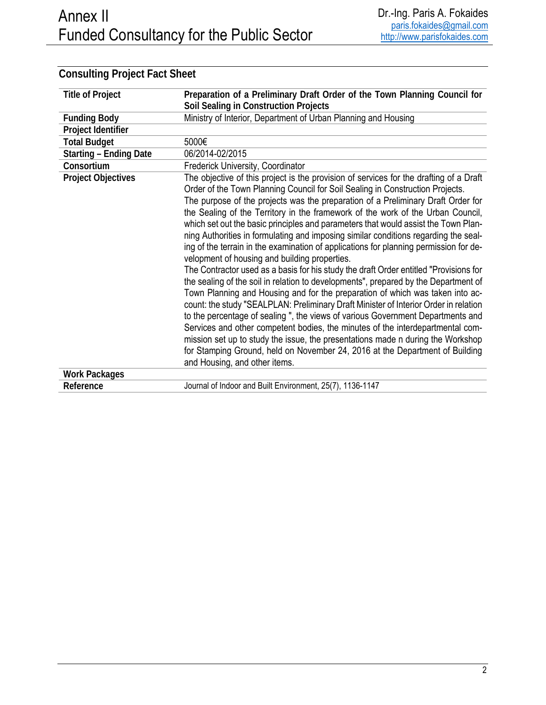| <b>Title of Project</b>       | Preparation of a Preliminary Draft Order of the Town Planning Council for                                                                                                                                                                                                                                                                                                                                                                                                                                                                                                                                                                                                                                                                                                                                                                                                                                                                                                                                                                                                                                                                                                                                                                                                                                                                                                                               |
|-------------------------------|---------------------------------------------------------------------------------------------------------------------------------------------------------------------------------------------------------------------------------------------------------------------------------------------------------------------------------------------------------------------------------------------------------------------------------------------------------------------------------------------------------------------------------------------------------------------------------------------------------------------------------------------------------------------------------------------------------------------------------------------------------------------------------------------------------------------------------------------------------------------------------------------------------------------------------------------------------------------------------------------------------------------------------------------------------------------------------------------------------------------------------------------------------------------------------------------------------------------------------------------------------------------------------------------------------------------------------------------------------------------------------------------------------|
|                               | Soil Sealing in Construction Projects                                                                                                                                                                                                                                                                                                                                                                                                                                                                                                                                                                                                                                                                                                                                                                                                                                                                                                                                                                                                                                                                                                                                                                                                                                                                                                                                                                   |
| <b>Funding Body</b>           | Ministry of Interior, Department of Urban Planning and Housing                                                                                                                                                                                                                                                                                                                                                                                                                                                                                                                                                                                                                                                                                                                                                                                                                                                                                                                                                                                                                                                                                                                                                                                                                                                                                                                                          |
| Project Identifier            |                                                                                                                                                                                                                                                                                                                                                                                                                                                                                                                                                                                                                                                                                                                                                                                                                                                                                                                                                                                                                                                                                                                                                                                                                                                                                                                                                                                                         |
| <b>Total Budget</b>           | 5000€                                                                                                                                                                                                                                                                                                                                                                                                                                                                                                                                                                                                                                                                                                                                                                                                                                                                                                                                                                                                                                                                                                                                                                                                                                                                                                                                                                                                   |
| <b>Starting - Ending Date</b> | 06/2014-02/2015                                                                                                                                                                                                                                                                                                                                                                                                                                                                                                                                                                                                                                                                                                                                                                                                                                                                                                                                                                                                                                                                                                                                                                                                                                                                                                                                                                                         |
| Consortium                    | Frederick University, Coordinator                                                                                                                                                                                                                                                                                                                                                                                                                                                                                                                                                                                                                                                                                                                                                                                                                                                                                                                                                                                                                                                                                                                                                                                                                                                                                                                                                                       |
| <b>Project Objectives</b>     | The objective of this project is the provision of services for the drafting of a Draft<br>Order of the Town Planning Council for Soil Sealing in Construction Projects.<br>The purpose of the projects was the preparation of a Preliminary Draft Order for<br>the Sealing of the Territory in the framework of the work of the Urban Council,<br>which set out the basic principles and parameters that would assist the Town Plan-<br>ning Authorities in formulating and imposing similar conditions regarding the seal-<br>ing of the terrain in the examination of applications for planning permission for de-<br>velopment of housing and building properties.<br>The Contractor used as a basis for his study the draft Order entitled "Provisions for<br>the sealing of the soil in relation to developments", prepared by the Department of<br>Town Planning and Housing and for the preparation of which was taken into ac-<br>count: the study "SEALPLAN: Preliminary Draft Minister of Interior Order in relation<br>to the percentage of sealing ", the views of various Government Departments and<br>Services and other competent bodies, the minutes of the interdepartmental com-<br>mission set up to study the issue, the presentations made n during the Workshop<br>for Stamping Ground, held on November 24, 2016 at the Department of Building<br>and Housing, and other items. |
| <b>Work Packages</b>          |                                                                                                                                                                                                                                                                                                                                                                                                                                                                                                                                                                                                                                                                                                                                                                                                                                                                                                                                                                                                                                                                                                                                                                                                                                                                                                                                                                                                         |
| Reference                     | Journal of Indoor and Built Environment, 25(7), 1136-1147                                                                                                                                                                                                                                                                                                                                                                                                                                                                                                                                                                                                                                                                                                                                                                                                                                                                                                                                                                                                                                                                                                                                                                                                                                                                                                                                               |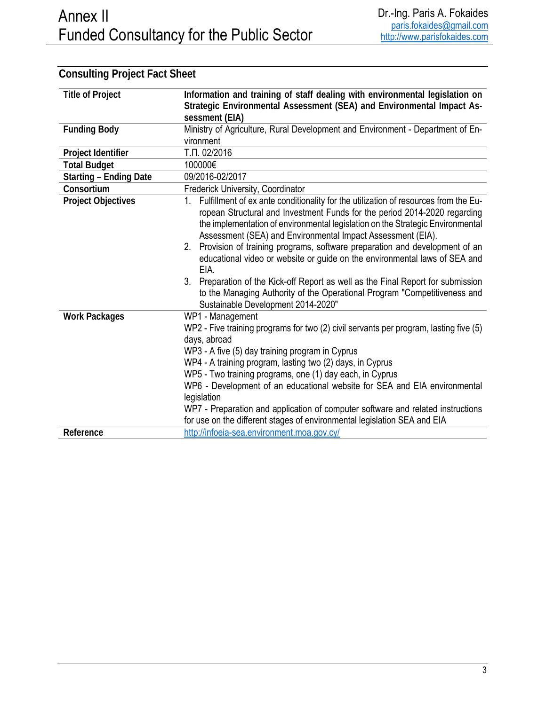| <b>Title of Project</b>       | Information and training of staff dealing with environmental legislation on<br>Strategic Environmental Assessment (SEA) and Environmental Impact As-                                                                                                                                                                                                                                                                                                                                                                                                                                                                                                                                                  |  |
|-------------------------------|-------------------------------------------------------------------------------------------------------------------------------------------------------------------------------------------------------------------------------------------------------------------------------------------------------------------------------------------------------------------------------------------------------------------------------------------------------------------------------------------------------------------------------------------------------------------------------------------------------------------------------------------------------------------------------------------------------|--|
|                               | sessment (EIA)                                                                                                                                                                                                                                                                                                                                                                                                                                                                                                                                                                                                                                                                                        |  |
| <b>Funding Body</b>           | Ministry of Agriculture, Rural Development and Environment - Department of En-<br>vironment                                                                                                                                                                                                                                                                                                                                                                                                                                                                                                                                                                                                           |  |
| Project Identifier            | Т.П. 02/2016                                                                                                                                                                                                                                                                                                                                                                                                                                                                                                                                                                                                                                                                                          |  |
| <b>Total Budget</b>           | 100000€                                                                                                                                                                                                                                                                                                                                                                                                                                                                                                                                                                                                                                                                                               |  |
| <b>Starting - Ending Date</b> | 09/2016-02/2017                                                                                                                                                                                                                                                                                                                                                                                                                                                                                                                                                                                                                                                                                       |  |
| Consortium                    | Frederick University, Coordinator                                                                                                                                                                                                                                                                                                                                                                                                                                                                                                                                                                                                                                                                     |  |
| <b>Project Objectives</b>     | Fulfillment of ex ante conditionality for the utilization of resources from the Eu-<br>1.<br>ropean Structural and Investment Funds for the period 2014-2020 regarding<br>the implementation of environmental legislation on the Strategic Environmental<br>Assessment (SEA) and Environmental Impact Assessment (EIA).<br>2. Provision of training programs, software preparation and development of an<br>educational video or website or guide on the environmental laws of SEA and<br>EIA.<br>3. Preparation of the Kick-off Report as well as the Final Report for submission<br>to the Managing Authority of the Operational Program "Competitiveness and<br>Sustainable Development 2014-2020" |  |
| <b>Work Packages</b>          | WP1 - Management<br>WP2 - Five training programs for two (2) civil servants per program, lasting five (5)<br>days, abroad<br>WP3 - A five (5) day training program in Cyprus<br>WP4 - A training program, lasting two (2) days, in Cyprus<br>WP5 - Two training programs, one (1) day each, in Cyprus<br>WP6 - Development of an educational website for SEA and EIA environmental<br>legislation<br>WP7 - Preparation and application of computer software and related instructions<br>for use on the different stages of environmental legislation SEA and EIA                                                                                                                                      |  |
| Reference                     | http://infoeia-sea.environment.moa.gov.cy/                                                                                                                                                                                                                                                                                                                                                                                                                                                                                                                                                                                                                                                            |  |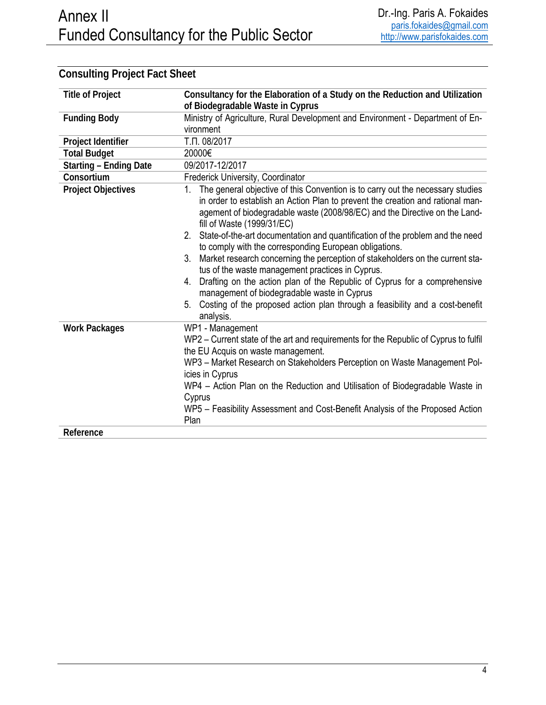| <b>Title of Project</b>       | Consultancy for the Elaboration of a Study on the Reduction and Utilization                                                                                                                                                                                                        |
|-------------------------------|------------------------------------------------------------------------------------------------------------------------------------------------------------------------------------------------------------------------------------------------------------------------------------|
|                               | of Biodegradable Waste in Cyprus                                                                                                                                                                                                                                                   |
| <b>Funding Body</b>           | Ministry of Agriculture, Rural Development and Environment - Department of En-                                                                                                                                                                                                     |
|                               | vironment                                                                                                                                                                                                                                                                          |
| Project Identifier            | Т.П. 08/2017                                                                                                                                                                                                                                                                       |
| <b>Total Budget</b>           | 20000€                                                                                                                                                                                                                                                                             |
| <b>Starting - Ending Date</b> | 09/2017-12/2017                                                                                                                                                                                                                                                                    |
| Consortium                    | Frederick University, Coordinator                                                                                                                                                                                                                                                  |
| <b>Project Objectives</b>     | The general objective of this Convention is to carry out the necessary studies<br>1.<br>in order to establish an Action Plan to prevent the creation and rational man-<br>agement of biodegradable waste (2008/98/EC) and the Directive on the Land-<br>fill of Waste (1999/31/EC) |
|                               | State-of-the-art documentation and quantification of the problem and the need<br>2.<br>to comply with the corresponding European obligations.                                                                                                                                      |
|                               | Market research concerning the perception of stakeholders on the current sta-<br>3.<br>tus of the waste management practices in Cyprus.                                                                                                                                            |
|                               | Drafting on the action plan of the Republic of Cyprus for a comprehensive<br>4.<br>management of biodegradable waste in Cyprus                                                                                                                                                     |
|                               | Costing of the proposed action plan through a feasibility and a cost-benefit<br>5.<br>analysis.                                                                                                                                                                                    |
| <b>Work Packages</b>          | WP1 - Management                                                                                                                                                                                                                                                                   |
|                               | WP2 – Current state of the art and requirements for the Republic of Cyprus to fulfil<br>the EU Acquis on waste management.                                                                                                                                                         |
|                               | WP3 - Market Research on Stakeholders Perception on Waste Management Pol-                                                                                                                                                                                                          |
|                               | icies in Cyprus                                                                                                                                                                                                                                                                    |
|                               | WP4 - Action Plan on the Reduction and Utilisation of Biodegradable Waste in                                                                                                                                                                                                       |
|                               | Cyprus                                                                                                                                                                                                                                                                             |
|                               | WP5 - Feasibility Assessment and Cost-Benefit Analysis of the Proposed Action<br>Plan                                                                                                                                                                                              |
| Reference                     |                                                                                                                                                                                                                                                                                    |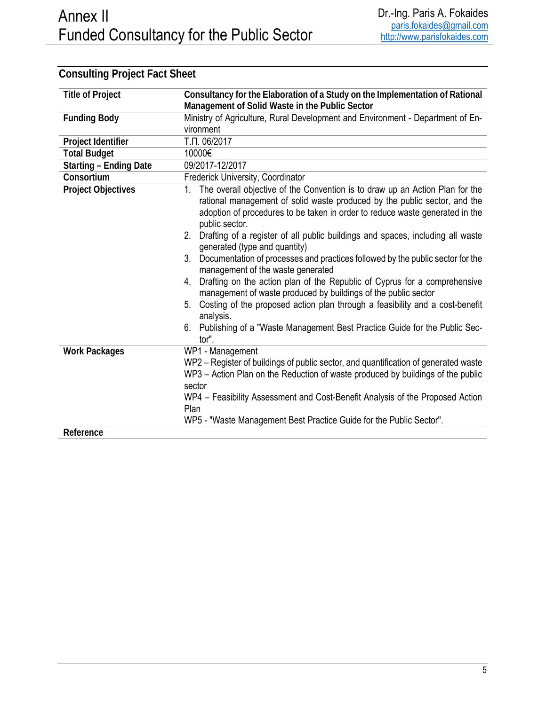| <b>Title of Project</b>       | Consultancy for the Elaboration of a Study on the Implementation of Rational                                                                                                                                                                                      |
|-------------------------------|-------------------------------------------------------------------------------------------------------------------------------------------------------------------------------------------------------------------------------------------------------------------|
|                               | Management of Solid Waste in the Public Sector                                                                                                                                                                                                                    |
| <b>Funding Body</b>           | Ministry of Agriculture, Rural Development and Environment - Department of En-                                                                                                                                                                                    |
|                               | vironment                                                                                                                                                                                                                                                         |
| Project Identifier            | Т.П. 06/2017                                                                                                                                                                                                                                                      |
| <b>Total Budget</b>           | 10000€                                                                                                                                                                                                                                                            |
| <b>Starting - Ending Date</b> | 09/2017-12/2017                                                                                                                                                                                                                                                   |
| Consortium                    | Frederick University, Coordinator                                                                                                                                                                                                                                 |
| <b>Project Objectives</b>     | The overall objective of the Convention is to draw up an Action Plan for the<br>1.<br>rational management of solid waste produced by the public sector, and the<br>adoption of procedures to be taken in order to reduce waste generated in the<br>public sector. |
|                               | Drafting of a register of all public buildings and spaces, including all waste<br>2.<br>generated (type and quantity)                                                                                                                                             |
|                               | 3. Documentation of processes and practices followed by the public sector for the<br>management of the waste generated                                                                                                                                            |
|                               | Drafting on the action plan of the Republic of Cyprus for a comprehensive<br>4.<br>management of waste produced by buildings of the public sector                                                                                                                 |
|                               | Costing of the proposed action plan through a feasibility and a cost-benefit<br>5.<br>analysis.                                                                                                                                                                   |
|                               | Publishing of a "Waste Management Best Practice Guide for the Public Sec-<br>6.<br>tor".                                                                                                                                                                          |
| <b>Work Packages</b>          | WP1 - Management                                                                                                                                                                                                                                                  |
|                               | WP2 – Register of buildings of public sector, and quantification of generated waste                                                                                                                                                                               |
|                               | WP3 - Action Plan on the Reduction of waste produced by buildings of the public                                                                                                                                                                                   |
|                               | sector                                                                                                                                                                                                                                                            |
|                               | WP4 - Feasibility Assessment and Cost-Benefit Analysis of the Proposed Action                                                                                                                                                                                     |
|                               | Plan                                                                                                                                                                                                                                                              |
|                               | WP5 - "Waste Management Best Practice Guide for the Public Sector".                                                                                                                                                                                               |
| Reference                     |                                                                                                                                                                                                                                                                   |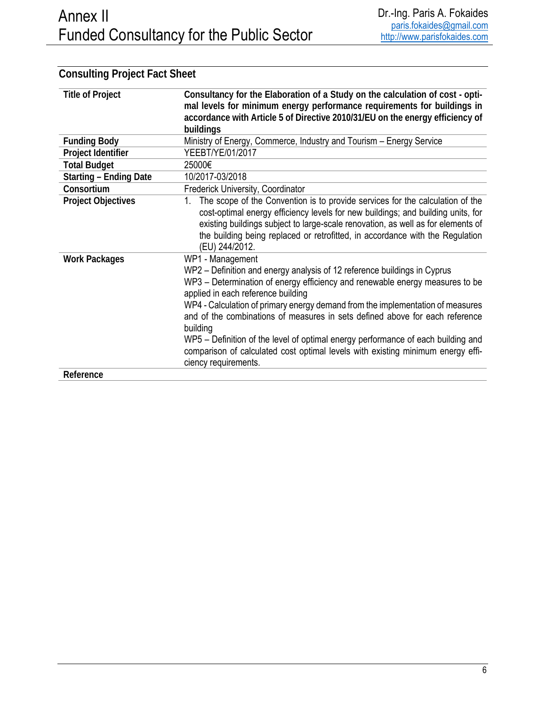| <b>Title of Project</b>       | Consultancy for the Elaboration of a Study on the calculation of cost - opti-<br>mal levels for minimum energy performance requirements for buildings in<br>accordance with Article 5 of Directive 2010/31/EU on the energy efficiency of<br>buildings                                                                                                                                                                                                                                                                                                                                          |
|-------------------------------|-------------------------------------------------------------------------------------------------------------------------------------------------------------------------------------------------------------------------------------------------------------------------------------------------------------------------------------------------------------------------------------------------------------------------------------------------------------------------------------------------------------------------------------------------------------------------------------------------|
| <b>Funding Body</b>           | Ministry of Energy, Commerce, Industry and Tourism - Energy Service                                                                                                                                                                                                                                                                                                                                                                                                                                                                                                                             |
| Project Identifier            | YEEBT/YE/01/2017                                                                                                                                                                                                                                                                                                                                                                                                                                                                                                                                                                                |
| <b>Total Budget</b>           | 25000€                                                                                                                                                                                                                                                                                                                                                                                                                                                                                                                                                                                          |
| <b>Starting - Ending Date</b> | 10/2017-03/2018                                                                                                                                                                                                                                                                                                                                                                                                                                                                                                                                                                                 |
| Consortium                    | Frederick University, Coordinator                                                                                                                                                                                                                                                                                                                                                                                                                                                                                                                                                               |
| <b>Project Objectives</b>     | The scope of the Convention is to provide services for the calculation of the<br>1.<br>cost-optimal energy efficiency levels for new buildings; and building units, for<br>existing buildings subject to large-scale renovation, as well as for elements of<br>the building being replaced or retrofitted, in accordance with the Regulation<br>(EU) 244/2012.                                                                                                                                                                                                                                  |
| <b>Work Packages</b>          | WP1 - Management<br>WP2 – Definition and energy analysis of 12 reference buildings in Cyprus<br>WP3 – Determination of energy efficiency and renewable energy measures to be<br>applied in each reference building<br>WP4 - Calculation of primary energy demand from the implementation of measures<br>and of the combinations of measures in sets defined above for each reference<br>building<br>WP5 – Definition of the level of optimal energy performance of each building and<br>comparison of calculated cost optimal levels with existing minimum energy effi-<br>ciency requirements. |
| Reference                     |                                                                                                                                                                                                                                                                                                                                                                                                                                                                                                                                                                                                 |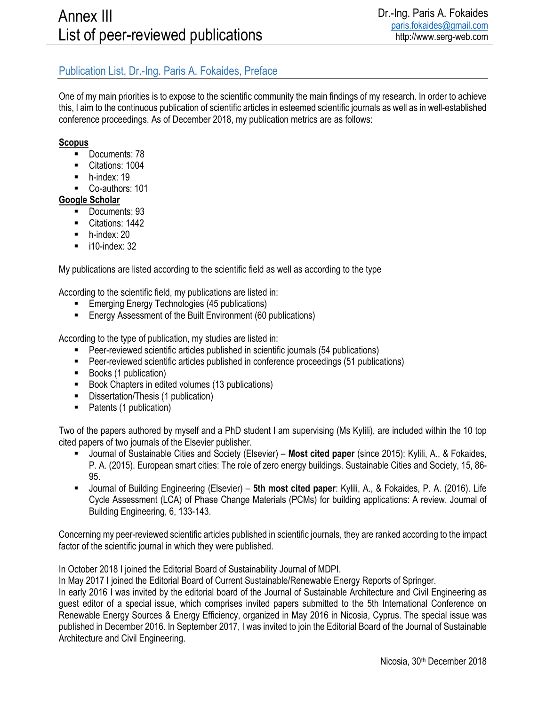#### Publication List, Dr.-Ing. Paris A. Fokaides, Preface

One of my main priorities is to expose to the scientific community the main findings of my research. In order to achieve this, I aim to the continuous publication of scientific articles in esteemed scientific journals as well as in well-established conference proceedings. As of December 2018, my publication metrics are as follows:

#### **Scopus**

- **Documents: 78**
- Citations: 1004
- $\blacksquare$  h-index: 19
- Co-authors: 101

#### **Google Scholar**

- Documents: 93
- Citations: 1442
- **h-index: 20**
- $\blacksquare$  i10-index: 32

My publications are listed according to the scientific field as well as according to the type

According to the scientific field, my publications are listed in:

- **Emerging Energy Technologies (45 publications)**
- Energy Assessment of the Built Environment (60 publications)

According to the type of publication, my studies are listed in:

- Peer-reviewed scientific articles published in scientific journals (54 publications)
- **Peer-reviewed scientific articles published in conference proceedings (51 publications)**
- Books (1 publication)
- Book Chapters in edited volumes (13 publications)
- **-** Dissertation/Thesis (1 publication)
- Patents (1 publication)

Two of the papers authored by myself and a PhD student I am supervising (Ms Kylili), are included within the 10 top cited papers of two journals of the Elsevier publisher.

- Journal of Sustainable Cities and Society (Elsevier) **Most cited paper** (since 2015): Kylili, A., & Fokaides, P. A. (2015). European smart cities: The role of zero energy buildings. Sustainable Cities and Society, 15, 86- 95.
- Journal of Building Engineering (Elsevier) **5th most cited paper**: Kylili, A., & Fokaides, P. A. (2016). Life Cycle Assessment (LCA) of Phase Change Materials (PCMs) for building applications: A review. Journal of Building Engineering, 6, 133-143.

Concerning my peer-reviewed scientific articles published in scientific journals, they are ranked according to the impact factor of the scientific journal in which they were published.

In October 2018 I joined the Editorial Board of Sustainability Journal of MDPI.

In May 2017 I joined the Editorial Board of Current Sustainable/Renewable Energy Reports of Springer.

In early 2016 I was invited by the editorial board of the Journal of Sustainable Architecture and Civil Engineering as guest editor of a special issue, which comprises invited papers submitted to the 5th International Conference on Renewable Energy Sources & Energy Efficiency, organized in May 2016 in Nicosia, Cyprus. The special issue was published in December 2016. In September 2017, I was invited to join the Editorial Board of the Journal of Sustainable Architecture and Civil Engineering.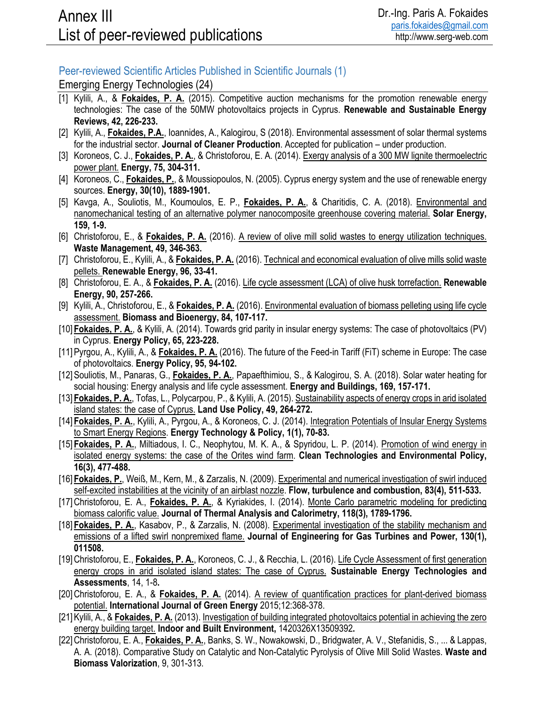#### Peer-reviewed Scientific Articles Published in Scientific Journals (1)

Emerging Energy Technologies (24)

- [1] Kylili, A., & **Fokaides, P. A.** (2015). Competitive auction mechanisms for the promotion renewable energy technologies: The case of the 50MW photovoltaics projects in Cyprus. **Renewable and Sustainable Energy Reviews, 42, 226-233.**
- [2] Kylili, A., **Fokaides, P.A.**, Ioannides, A., Kalogirou, S (2018). Environmental assessment of solar thermal systems for the industrial sector. **Journal of Cleaner Production**. Accepted for publication – under production.
- [3] Koroneos, C. J., **Fokaides, P. A.**, & Christoforou, E. A. (2014). Exergy analysis of a 300 MW lignite thermoelectric power plant. **Energy, 75, 304-311.**
- [4] Koroneos, C., **Fokaides, P.**, & Moussiopoulos, N. (2005). Cyprus energy system and the use of renewable energy sources. **Energy, 30(10), 1889-1901.**
- [5] Kavga, A., Souliotis, M., Koumoulos, E. P., **Fokaides, P. A.**, & Charitidis, C. A. (2018). Environmental and nanomechanical testing of an alternative polymer nanocomposite greenhouse covering material. **Solar Energy, 159, 1-9.**
- [6] Christoforou, E., & **Fokaides, P. A.** (2016). A review of olive mill solid wastes to energy utilization techniques. **Waste Management, 49, 346-363.**
- [7] Christoforou, E., Kylili, A., & **Fokaides, P. A.** (2016). Technical and economical evaluation of olive mills solid waste pellets. **Renewable Energy, 96, 33-41.**
- [8] Christoforou, E. A., & **Fokaides, P. A.** (2016). Life cycle assessment (LCA) of olive husk torrefaction. **Renewable Energy, 90, 257-266.**
- [9] Kylili, A., Christoforou, E., & **Fokaides, P. A.** (2016). Environmental evaluation of biomass pelleting using life cycle assessment. **Biomass and Bioenergy, 84, 107-117.**
- [10] **Fokaides, P. A.**, & Kylili, A. (2014). Towards grid parity in insular energy systems: The case of photovoltaics (PV) in Cyprus. **Energy Policy, 65, 223-228.**
- [11]Pyrgou, A., Kylili, A., & **Fokaides, P. A.** (2016). The future of the Feed-in Tariff (FiT) scheme in Europe: The case of photovoltaics. **Energy Policy, 95, 94-102.**
- [12]Souliotis, M., Panaras, G., **Fokaides, P. A.**, Papaefthimiou, S., & Kalogirou, S. A. (2018). Solar water heating for social housing: Energy analysis and life cycle assessment. **Energy and Buildings, 169, 157-171.**
- [13] **Fokaides, P. A.**, Tofas, L., Polycarpou, P., & Kylili, A. (2015). Sustainability aspects of energy crops in arid isolated island states: the case of Cyprus. **Land Use Policy, 49, 264-272.**
- [14] Fokaides, P. A., Kylili, A., Pyrgou, A., & Koroneos, C. J. (2014). Integration Potentials of Insular Energy Systems to Smart Energy Regions. **Energy Technology & Policy, 1(1), 70-83.**
- [15] **Fokaides, P. A.**, Miltiadous, I. C., Neophytou, M. K. A., & Spyridou, L. P. (2014). Promotion of wind energy in isolated energy systems: the case of the Orites wind farm. **Clean Technologies and Environmental Policy, 16(3), 477-488.**
- [16] **Fokaides, P.**, Weiß, M., Kern, M., & Zarzalis, N. (2009). Experimental and numerical investigation of swirl induced self-excited instabilities at the vicinity of an airblast nozzle. **Flow, turbulence and combustion, 83(4), 511-533.**
- [17] Christoforou, E. A., **Fokaides, P. A.**, & Kyriakides, I. (2014). Monte Carlo parametric modeling for predicting biomass calorific value. **Journal of Thermal Analysis and Calorimetry, 118(3), 1789-1796.**
- [18] **Fokaides, P. A.**, Kasabov, P., & Zarzalis, N. (2008). Experimental investigation of the stability mechanism and emissions of a lifted swirl nonpremixed flame. **Journal of Engineering for Gas Turbines and Power, 130(1), 011508.**
- [19]Christoforou, E., **Fokaides, P. A.**, Koroneos, C. J., & Recchia, L. (2016). Life Cycle Assessment of first generation energy crops in arid isolated island states: The case of Cyprus. **Sustainable Energy Technologies and Assessments**, 14, 1-8**.**
- [20]Christoforou, E. A., & **Fokaides, P. A.** (2014). A review of quantification practices for plant-derived biomass potential. **International Journal of Green Energy** 2015;12:368-378.
- [21]Kylili, A., & **Fokaides, P. A.** (2013). Investigation of building integrated photovoltaics potential in achieving the zero energy building target. **Indoor and Built Environment,** 1420326X13509392**.**
- [22]Christoforou, E. A., **Fokaides, P. A.**, Banks, S. W., Nowakowski, D., Bridgwater, A. V., Stefanidis, S., ... & Lappas, A. A. (2018). Comparative Study on Catalytic and Non-Catalytic Pyrolysis of Olive Mill Solid Wastes. **Waste and Biomass Valorization**, 9, 301-313.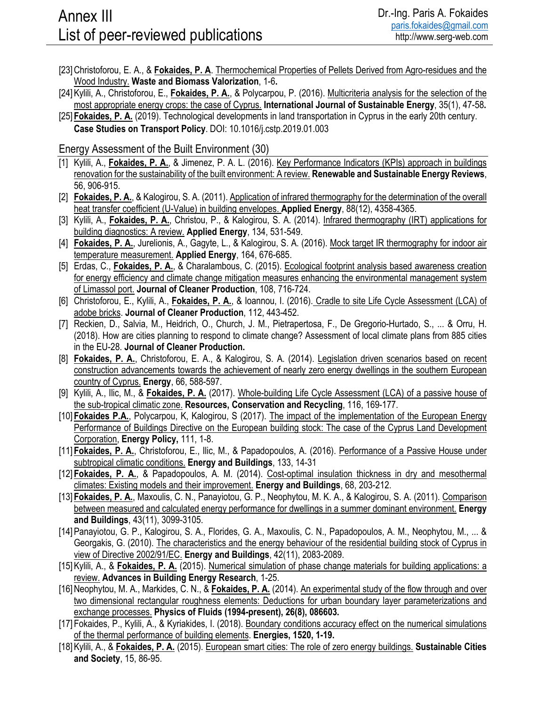- [23]Christoforou, E. A., & **Fokaides, P. A**. Thermochemical Properties of Pellets Derived from Agro-residues and the Wood Industry. **Waste and Biomass Valorization**, 1-6**.**
- [24]Kylili, A., Christoforou, E., **Fokaides, P. A.**, & Polycarpou, P. (2016). Multicriteria analysis for the selection of the most appropriate energy crops: the case of Cyprus. **International Journal of Sustainable Energy**, 35(1), 47-58**.**
- [25] **Fokaides, P. A.** (2019). Technological developments in land transportation in Cyprus in the early 20th century. **Case Studies on Transport Policy**. DOI: 10.1016/j.cstp.2019.01.003

#### Energy Assessment of the Built Environment (30)

- [1] Kylili, A., **Fokaides, P. A.**, & Jimenez, P. A. L. (2016). Key Performance Indicators (KPIs) approach in buildings renovation for the sustainability of the built environment: A review. **Renewable and Sustainable Energy Reviews**, 56, 906-915.
- [2] **Fokaides, P. A.**, & Kalogirou, S. A. (2011). Application of infrared thermography for the determination of the overall heat transfer coefficient (U-Value) in building envelopes. **Applied Energy**, 88(12), 4358-4365.
- [3] Kylili, A., **Fokaides, P. A.**, Christou, P., & Kalogirou, S. A. (2014). Infrared thermography (IRT) applications for building diagnostics: A review. **Applied Energy**, 134, 531-549.
- [4] Fokaides, P. A., Jurelionis, A., Gagyte, L., & Kalogirou, S. A. (2016). Mock target IR thermography for indoor air temperature measurement. **Applied Energy**, 164, 676-685.
- [5] Erdas, C., **Fokaides, P. A.**, & Charalambous, C. (2015). Ecological footprint analysis based awareness creation for energy efficiency and climate change mitigation measures enhancing the environmental management system of Limassol port. **Journal of Cleaner Production**, 108, 716-724.
- [6] Christoforou, E., Kylili, A., **Fokaides, P. A.**, & Ioannou, I. (2016). Cradle to site Life Cycle Assessment (LCA) of adobe bricks. **Journal of Cleaner Production**, 112, 443-452.
- [7] Reckien, D., Salvia, M., Heidrich, O., Church, J. M., Pietrapertosa, F., De Gregorio-Hurtado, S., ... & Orru, H. (2018). How are cities planning to respond to climate change? Assessment of local climate plans from 885 cities in the EU-28. **Journal of Cleaner Production.**
- [8] **Fokaides, P. A.**, Christoforou, E. A., & Kalogirou, S. A. (2014). Legislation driven scenarios based on recent construction advancements towards the achievement of nearly zero energy dwellings in the southern European country of Cyprus. **Energy**, 66, 588-597.
- [9] Kylili, A., Ilic, M., & **Fokaides, P. A.** (2017). Whole-building Life Cycle Assessment (LCA) of a passive house of the sub-tropical climatic zone. **Resources, Conservation and Recycling**, 116, 169-177.
- [10] **Fokaides P.A.**, Polycarpou, K, Kalogirou, S (2017). The impact of the implementation of the European Energy Performance of Buildings Directive on the European building stock: The case of the Cyprus Land Development Corporation, **Energy Policy,** 111, 1-8.
- [11] **Fokaides, P. A.**, Christoforou, E., Ilic, M., & Papadopoulos, A. (2016). Performance of a Passive House under subtropical climatic conditions. **Energy and Buildings**, 133, 14-31
- [12] **Fokaides, P. A.**, & Papadopoulos, A. M. (2014). Cost-optimal insulation thickness in dry and mesothermal climates: Existing models and their improvement. **Energy and Buildings**, 68, 203-212.
- [13] **Fokaides, P. A.**, Maxoulis, C. N., Panayiotou, G. P., Neophytou, M. K. A., & Kalogirou, S. A. (2011). Comparison between measured and calculated energy performance for dwellings in a summer dominant environment. **Energy and Buildings**, 43(11), 3099-3105.
- [14]Panayiotou, G. P., Kalogirou, S. A., Florides, G. A., Maxoulis, C. N., Papadopoulos, A. M., Neophytou, M., ... & Georgakis, G. (2010). The characteristics and the energy behaviour of the residential building stock of Cyprus in view of Directive 2002/91/EC. **Energy and Buildings**, 42(11), 2083-2089.
- [15] Kylili, A., & **Fokaides, P. A.** (2015). Numerical simulation of phase change materials for building applications: a review. **Advances in Building Energy Research**, 1-25.
- [16] Neophytou, M. A., Markides, C. N., & Fokaides, P. A. (2014). An experimental study of the flow through and over two dimensional rectangular roughness elements: Deductions for urban boundary layer parameterizations and exchange processes. **Physics of Fluids (1994-present), 26(8), 086603.**
- [17] Fokaides, P., Kylili, A., & Kyriakides, I. (2018). Boundary conditions accuracy effect on the numerical simulations of the thermal performance of building elements. **Energies, 1520, 1-19.**
- [18]Kylili, A., & **Fokaides, P. A.** (2015). European smart cities: The role of zero energy buildings. **Sustainable Cities and Society**, 15, 86-95.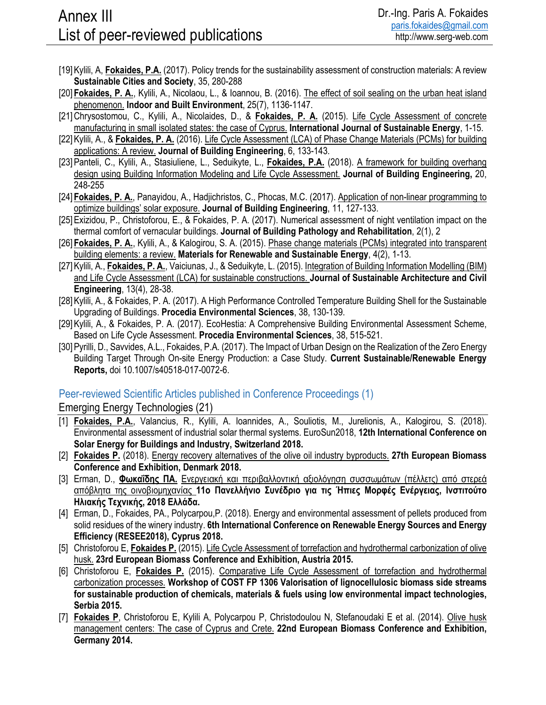- [19]Kylili, A, **Fokaides, P.A.** (2017). Policy trends for the sustainability assessment of construction materials: A review **Sustainable Cities and Society**, 35, 280-288
- [20] **Fokaides, P. A.**, Kylili, A., Nicolaou, L., & Ioannou, B. (2016). The effect of soil sealing on the urban heat island phenomenon. **Indoor and Built Environment**, 25(7), 1136-1147.
- [21]Chrysostomou, C., Kylili, A., Nicolaides, D., & **Fokaides, P. A.** (2015). Life Cycle Assessment of concrete manufacturing in small isolated states: the case of Cyprus. **International Journal of Sustainable Energy**, 1-15.
- [22]Kylili, A., & **Fokaides, P. A.** (2016). Life Cycle Assessment (LCA) of Phase Change Materials (PCMs) for building applications: A review. **Journal of Building Engineering**, 6, 133-143.
- [23]Panteli, C., Kylili, A., Stasiuliene, L., Seduikyte, L., **Fokaides, P.A.** (2018). A framework for building overhang design using Building Information Modeling and Life Cycle Assessment. **Journal of Building Engineering,** 20, 248-255
- [24] **Fokaides, P. A.**, Panayidou, A., Hadjichristos, C., Phocas, M.C. (2017). Application of non-linear programming to optimize buildings' solar exposure. **Journal of Building Engineering**, 11, 127-133.
- [25]Exizidou, P., Christoforou, E., & Fokaides, P. A. (2017). Numerical assessment of night ventilation impact on the thermal comfort of vernacular buildings. **Journal of Building Pathology and Rehabilitation**, 2(1), 2
- [26] **Fokaides, P. A.**, Kylili, A., & Kalogirou, S. A. (2015). Phase change materials (PCMs) integrated into transparent building elements: a review. **Materials for Renewable and Sustainable Energy**, 4(2), 1-13.
- [27]Kylili, A., **Fokaides, P. A.**, Vaiciunas, J., & Seduikyte, L. (2015). Integration of Building Information Modelling (BIM) and Life Cycle Assessment (LCA) for sustainable constructions. **Journal of Sustainable Architecture and Civil Engineering**, 13(4), 28-38.
- [28]Kylili, A., & Fokaides, P. A. (2017). A High Performance Controlled Temperature Building Shell for the Sustainable Upgrading of Buildings. **Procedia Environmental Sciences**, 38, 130-139.
- [29]Kylili, A., & Fokaides, P. A. (2017). EcoHestia: A Comprehensive Building Environmental Assessment Scheme, Based on Life Cycle Assessment. **Procedia Environmental Sciences**, 38, 515-521.
- [30]Pyrilli, D., Savvides, A.L., Fokaides, P.A. (2017). The Impact of Urban Design on the Realization of the Zero Energy Building Target Through On-site Energy Production: a Case Study. **Current Sustainable/Renewable Energy Reports,** doi 10.1007/s40518-017-0072-6.

#### Peer-reviewed Scientific Articles published in Conference Proceedings (1)

Emerging Energy Technologies (21)

- [1] **Fokaides, P.A.**, Valancius, R., Kylili, A. Ioannides, A., Souliotis, M., Jurelionis, A., Kalogirou, S. (2018). Environmental assessment of industrial solar thermal systems. EuroSun2018, **12th International Conference on Solar Energy for Buildings and Industry, Switzerland 2018.**
- [2] **Fokaides P.** (2018). Energy recovery alternatives of the olive oil industry byproducts. **27th European Biomass Conference and Exhibition, Denmark 2018.**
- [3] Erman, D., **Φωκαΐδης ΠΑ.** Ενεργειακή και περιβαλλοντική αξιολόγηση συσσωμάτων (πέλλετς) από στερεά απόβλητα της οινοβιομηχανίας **11ο Πανελλήνιο Συνέδριο για τις Ήπιες Μορφές Ενέργειας, Ινστιτούτο Ηλιακής Τεχνικής, 2018 Ελλάδα.**
- [4] Erman, D., Fokaides, PA., Polycarpou,P. (2018). Energy and environmental assessment of pellets produced from solid residues of the winery industry. **6th International Conference on Renewable Energy Sources and Energy Efficiency (RESEE2018), Cyprus 2018.**
- [5] Christoforou E, **Fokaides P.** (2015). Life Cycle Assessment of torrefaction and hydrothermal carbonization of olive husk. **23rd European Biomass Conference and Exhibition, Austria 2015.**
- [6] Christoforou E, **Fokaides P.** (2015). Comparative Life Cycle Assessment of torrefaction and hydrothermal carbonization processes. **Workshop of COST FP 1306 Valorisation of lignocellulosic biomass side streams for sustainable production of chemicals, materials & fuels using low environmental impact technologies, Serbia 2015.**
- [7] **Fokaides P**, Christoforou E, Kylili A, Polycarpou P, Christodoulou N, Stefanoudaki E et al. (2014). Olive husk management centers: The case of Cyprus and Crete. **22nd European Biomass Conference and Exhibition, Germany 2014.**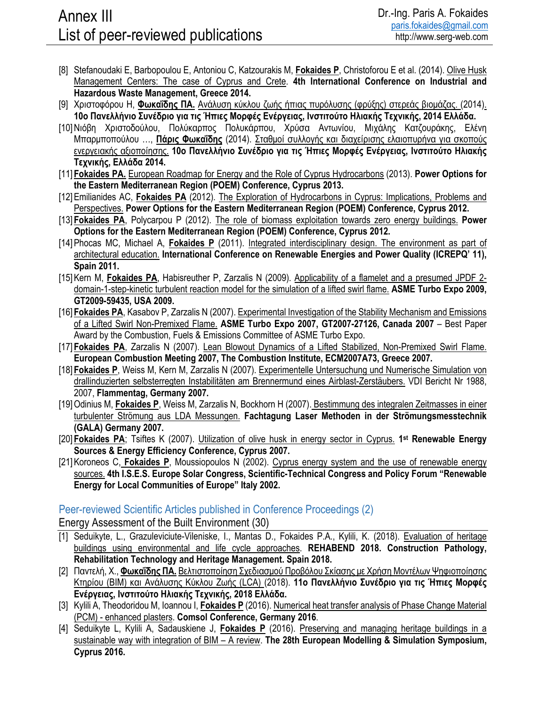- [8] Stefanoudaki E, Barbopoulou E, Antoniou C, Katzourakis M, **Fokaides P**, Christoforou E et al. (2014). Olive Husk Management Centers: The case of Cyprus and Crete. **4th International Conference on Industrial and Hazardous Waste Management, Greece 2014.**
- [9] Χριστοφόρου Η, **Φωκαΐδης ΠΑ.** Ανάλυση κύκλου ζωής ήπιας πυρόλυσης (φρύξης) στερεάς βιομάζας. (2014). **10ο Πανελλήνιο Συνέδριο για τις Ήπιες Μορφές Ενέργειας, Ινστιτούτο Ηλιακής Τεχνικής, 2014 Ελλάδα.**
- [10]Νιόβη Χριστοδούλου, Πολύκαρπος Πολυκάρπου, Χρύσα Αντωνίου, Μιχάλης Κατζουράκης, Ελένη Μπαρμποπούλου …, **Πάρις Φωκαΐδης** (2014). Σταθμοί συλλογής και διαχείρισης ελαιοπυρήνα για σκοπούς ενεργειακής αξιοποίησης. **10ο Πανελλήνιο Συνέδριο για τις Ήπιες Μορφές Ενέργειας, Ινστιτούτο Ηλιακής Τεχνικής, Ελλάδα 2014.**
- [11] **Fokaides PA.** European Roadmap for Energy and the Role of Cyprus Hydrocarbons (2013). **Power Options for the Eastern Mediterranean Region (POEM) Conference, Cyprus 2013.**
- [12]Emilianides AC, **Fokaides PA** (2012). The Exploration of Hydrocarbons in Cyprus: Implications, Problems and Perspectives. **Power Options for the Eastern Mediterranean Region (POEM) Conference, Cyprus 2012.**
- [13] **Fokaides PA**, Polycarpou P (2012). The role of biomass exploitation towards zero energy buildings. **Power Options for the Eastern Mediterranean Region (POEM) Conference, Cyprus 2012.**
- [14]Phocas MC, Michael A, **Fokaides P** (2011). Integrated interdisciplinary design. The environment as part of architectural education. **International Conference on Renewable Energies and Power Quality (ICREPQ' 11), Spain 2011.**
- [15]Kern M, **Fokaides PA**, Habisreuther P, Zarzalis N (2009). Applicability of a flamelet and a presumed JPDF 2 domain-1-step-kinetic turbulent reaction model for the simulation of a lifted swirl flame. **ASME Turbo Expo 2009, GT2009-59435, USA 2009.**
- [16] **Fokaides PA**, Kasabov P, Zarzalis N (2007). Experimental Investigation of the Stability Mechanism and Emissions of a Lifted Swirl Non-Premixed Flame. **ASME Turbo Expo 2007, GT2007-27126, Canada 2007** – Best Paper Award by the Combustion, Fuels & Emissions Committee of ASME Turbo Expo.
- [17] **Fokaides PA**, Zarzalis N (2007). Lean Blowout Dynamics of a Lifted Stabilized, Non-Premixed Swirl Flame. **European Combustion Meeting 2007, The Combustion Institute, ECM2007A73, Greece 2007.**
- [18] **Fokaides P**, Weiss M, Kern M, Zarzalis N (2007). Experimentelle Untersuchung und Numerische Simulation von drallinduzierten selbsterregten Instabilitäten am Brennermund eines Airblast-Zerstäubers. VDI Bericht Nr 1988, 2007, **Flammentag, Germany 2007.**
- [19]Odinius M, **Fokaides P**, Weiss M, Zarzalis N, Bockhorn H (2007). Bestimmung des integralen Zeitmasses in einer turbulenter Strömung aus LDA Messungen. **Fachtagung Laser Methoden in der Strömungsmesstechnik (GALA) Germany 2007.**
- [20] **Fokaides PA**; Tsiftes K (2007). Utilization of olive husk in energy sector in Cyprus. **1st Renewable Energy Sources & Energy Efficiency Conference, Cyprus 2007.**
- [21]Koroneos C, **Fokaides P**, Moussiopoulos N (2002). Cyprus energy system and the use of renewable energy sources. **4th I.S.E.S. Europe Solar Congress, Scientific-Technical Congress and Policy Forum "Renewable Energy for Local Communities of Europe" Italy 2002.**

#### Peer-reviewed Scientific Articles published in Conference Proceedings (2)

Energy Assessment of the Built Environment (30)

- [1] Seduikyte, L., Grazuleviciute-Vileniske, I., Mantas D., Fokaides P.A., Kylili, K. (2018). Evaluation of heritage buildings using environmental and life cycle approaches. **REHABEND 2018. Construction Pathology, Rehabilitation Technology and Heritage Management. Spain 2018.**
- [2] Παντελή, Χ., **Φωκαΐδης ΠΑ.** Βελτιστοποίηση Σχεδιασμού Προβόλου Σκίασης με Χρήση Μοντέλων Ψηφιοποίησης Κτηρίου (ΒΙΜ) και Ανάλυσης Κύκλου Ζωής (LCA) (2018). **11ο Πανελλήνιο Συνέδριο για τις Ήπιες Μορφές Ενέργειας, Ινστιτούτο Ηλιακής Τεχνικής, 2018 Ελλάδα.**
- [3] Kylili A, Theodoridou M, Ioannou I, **Fokaides P** (2016). Numerical heat transfer analysis of Phase Change Material (PCM) - enhanced plasters. **Comsol Conference, Germany 2016**.
- [4] Seduikyte L, Kylili A, Sadauskiene J, **Fokaides P** (2016). Preserving and managing heritage buildings in a sustainable way with integration of BIM – A review. **The 28th European Modelling & Simulation Symposium, Cyprus 2016.**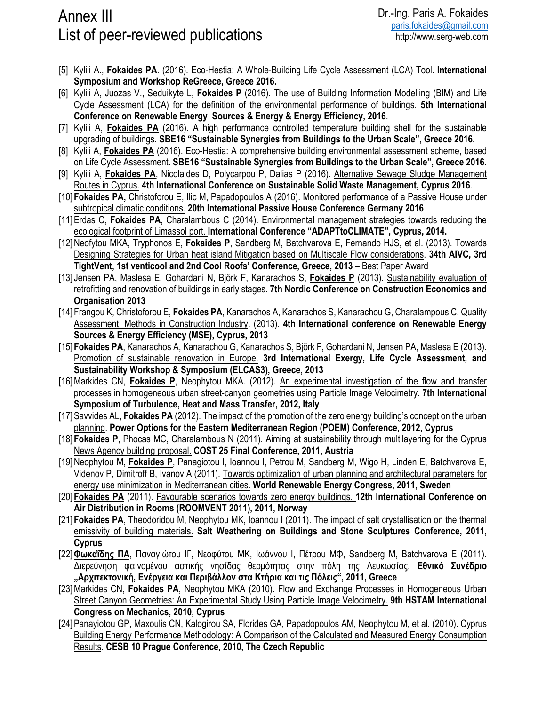- [5] Kylili A., **Fokaides PA**. (2016). Eco-Hestia: A Whole-Building Life Cycle Assessment (LCA) Tool. **International Symposium and Workshop ReGreece, Greece 2016.**
- [6] Kylili A, Juozas V., Seduikyte L, **Fokaides P** (2016). The use of Building Information Modelling (BIM) and Life Cycle Assessment (LCA) for the definition of the environmental performance of buildings. **5th International Conference on Renewable Energy Sources & Energy & Energy Efficiency, 2016**.
- [7] Kylili A, **Fokaides PA** (2016). A high performance controlled temperature building shell for the sustainable upgrading of buildings. **SBE16 "Sustainable Synergies from Buildings to the Urban Scale", Greece 2016.**
- [8] Kylili A, **Fokaides PA** (2016). Eco-Hestia: A comprehensive building environmental assessment scheme, based on Life Cycle Assessment. **SBE16 "Sustainable Synergies from Buildings to the Urban Scale", Greece 2016.**
- [9] Kylili A, **Fokaides PA**, Nicolaides D, Polycarpou P, Dalias P (2016). Alternative Sewage Sludge Management Routes in Cyprus. **4th International Conference on Sustainable Solid Waste Management, Cyprus 2016**.
- [10] **Fokaides PA,** Christoforou E, Ilic M, Papadopoulos A (2016). Monitored performance of a Passive House under subtropical climatic conditions. **20th International Passive House Conference Germany 2016**
- [11]Erdas C, **Fokaides PA,** Charalambous C (2014). Environmental management strategies towards reducing the ecological footprint of Limassol port. **International Conference "ADAPTtoCLIMATE", Cyprus, 2014.**
- [12]Neofytou MKA, Tryphonos E, **Fokaides P**, Sandberg M, Batchvarova E, Fernando HJS, et al. (2013). Towards Designing Strategies for Urban heat island Mitigation based on Multiscale Flow considerations. **34th AIVC, 3rd TightVent, 1st venticool and 2nd Cool Roofs' Conference, Greece, 2013** – Best Paper Award
- [13] Jensen PA, Maslesa E, Gohardani N, Björk F, Kanarachos S, **Fokaides P** (2013). Sustainability evaluation of retrofitting and renovation of buildings in early stages. **7th Nordic Conference on Construction Economics and Organisation 2013**
- [14] Frangou K, Christoforou E, **Fokaides PA**, Kanarachos A, Kanarachos S, Kanarachou G, Charalampous C. Quality Assessment: Methods in Construction Industry. (2013). **4th International conference on Renewable Energy Sources & Energy Efficiency (MSE), Cyprus, 2013**
- [15] **Fokaides PA**, Kanarachos A, Kanarachou G, Kanarachos S, Björk F, Gohardani N, Jensen PA, Maslesa E (2013). Promotion of sustainable renovation in Europe. **3rd International Exergy, Life Cycle Assessment, and Sustainability Workshop & Symposium (ELCAS3), Greece, 2013**
- [16] Markides CN, Fokaides P, Neophytou MKA. (2012). An experimental investigation of the flow and transfer processes in homogeneous urban street-canyon geometries using Particle Image Velocimetry. **7th International Symposium of Turbulence, Heat and Mass Transfer, 2012, Italy**
- [17] Savvides AL, **Fokaides PA** (2012). The impact of the promotion of the zero energy building's concept on the urban planning. **Power Options for the Eastern Mediterranean Region (POEM) Conference, 2012, Cyprus**
- [18] **Fokaides P**, Phocas MC, Charalambous N (2011). Aiming at sustainability through multilayering for the Cyprus News Agency building proposal. **COST 25 Final Conference, 2011, Austria**
- [19]Neophytou M, **Fokaides P**, Panagiotou I, Ioannou I, Petrou M, Sandberg M, Wigo H, Linden E, Batchvarova E, Videnov P, Dimitroff B, Ivanov A (2011). Towards optimization of urban planning and architectural parameters for energy use minimization in Mediterranean cities. **World Renewable Energy Congress, 2011, Sweden**
- [20] **Fokaides PA** (2011). Favourable scenarios towards zero energy buildings. **12th International Conference on Air Distribution in Rooms (ROOMVENT 2011), 2011, Norway**
- [21] **Fokaides PA**, Theodoridou M, Neophytou MK, Ioannou I (2011). The impact of salt crystallisation on the thermal emissivity of building materials. **Salt Weathering on Buildings and Stone Sculptures Conference, 2011, Cyprus**
- [22]**Φωκαΐδης ΠΑ**, Παναγιώτου ΙΓ, Νεοφύτου ΜΚ, Ιωάννου Ι, Πέτρου ΜΦ, Sandberg M, Batchvarova E (2011). Διερεύνηση φαινομένου αστικής νησίδας θερμότητας στην πόλη της Λευκωσίας. **Εθνικό Συνέδριο "Αρχιτεκτονική, Ενέργεια και Περιβάλλον στα Κτήρια και τις Πόλεις", 2011, Greece**
- [23] Markides CN, Fokaides PA, Neophytou MKA (2010). Flow and Exchange Processes in Homogeneous Urban Street Canyon Geometries: An Experimental Study Using Particle Image Velocimetry. **9th HSTAM International Congress on Mechanics, 2010, Cyprus**
- [24]Panayiotou GP, Maxoulis CN, Kalogirou SA, Florides GA, Papadopoulos AM, Neophytou M, et al. (2010). Cyprus Building Energy Performance Methodology: A Comparison of the Calculated and Measured Energy Consumption Results. **CESB 10 Prague Conference, 2010, The Czech Republic**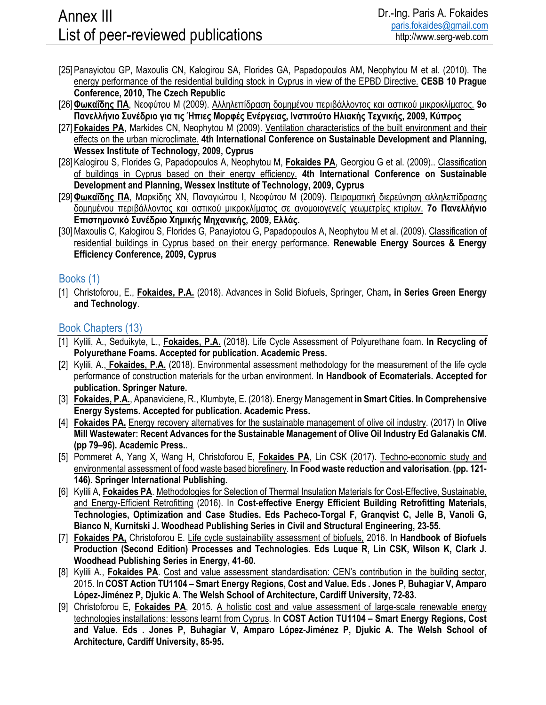- [25] Panayiotou GP, Maxoulis CN, Kalogirou SA, Florides GA, Papadopoulos AM, Neophytou M et al. (2010). The energy performance of the residential building stock in Cyprus in view of the EPBD Directive. **CESB 10 Prague Conference, 2010, The Czech Republic**
- [26]**Φωκαΐδης ΠΑ**, Νεοφύτου Μ (2009). Αλληλεπίδραση δομημένου περιβάλλοντος και αστικού μικροκλίματος. **9ο Πανελλήνιο Συνέδριο για τις Ήπιες Μορφές Ενέργειας, Ινστιτούτο Ηλιακής Τεχνικής, 2009, Κύπρος**
- [27] **Fokaides PA**, Markides CN, Neophytou M (2009). Ventilation characteristics of the built environment and their effects on the urban microclimate. **4th International Conference on Sustainable Development and Planning, Wessex Institute of Technology, 2009, Cyprus**
- [28]Kalogirou S, Florides G, Papadopoulos A, Neophytou M, **Fokaides PA**, Georgiou G et al. (2009).. Classification of buildings in Cyprus based on their energy efficiency. **4th International Conference on Sustainable Development and Planning, Wessex Institute of Technology, 2009, Cyprus**
- [29]**Φωκαΐδης ΠΑ**, Μαρκίδης ΧΝ, Παναγιώτου Ι, Νεοφύτου Μ (2009). Πειραματική διερεύνηση αλληλεπίδρασης δομημένου περιβάλλοντος και αστικού μικροκλίματος σε ανομοιογενείς γεωμετρίες κτιρίων. **7ο Πανελλήνιο Επιστημονικό Συνέδριο Χημικής Μηχανικής, 2009, Ελλάς.**
- [30]Maxoulis C, Kalogirou S, Florides G, Panayiotou G, Papadopoulos A, Neophytou M et al. (2009). Classification of residential buildings in Cyprus based on their energy performance. **Renewable Energy Sources & Energy Efficiency Conference, 2009, Cyprus**

#### Books (1)

[1] Christoforou, E., **Fokaides, P.A.** (2018). Advances in Solid Biofuels, Springer, Cham**, in Series Green Energy and Technology**.

#### Book Chapters (13)

- [1] Kylili, A., Seduikyte, L., **Fokaides, P.A.** (2018). Life Cycle Assessment of Polyurethane foam. **In Recycling of Polyurethane Foams. Accepted for publication. Academic Press.**
- [2] Kylili, A., **Fokaides, P.A.** (2018). Environmental assessment methodology for the measurement of the life cycle performance of construction materials for the urban environment. **In Handbook of Ecomaterials. Accepted for publication. Springer Nature.**
- [3] **Fokaides, P.A.**, Apanaviciene, R., Klumbyte, E. (2018). Energy Management **in Smart Cities. In Comprehensive Energy Systems. Accepted for publication. Academic Press.**
- [4] **Fokaides PA.** Energy recovery alternatives for the sustainable management of olive oil industry. (2017) In **Olive Mill Wastewater: Recent Advances for the Sustainable Management of Olive Oil Industry Ed Galanakis CM. (pp 79–96). Academic Press.**.
- [5] Pommeret A, Yang X, Wang H, Christoforou E, **Fokaides PA**, Lin CSK (2017). Techno-economic study and environmental assessment of food waste based biorefinery. **In Food waste reduction and valorisation**. **(pp. 121- 146). Springer International Publishing.**
- [6] Kylili A, **Fokaides PA**. Methodologies for Selection of Thermal Insulation Materials for Cost-Effective, Sustainable, and Energy-Efficient Retrofitting (2016). In **Cost-effective Energy Efficient Building Retrofitting Materials, Technologies, Optimization and Case Studies. Eds Pacheco-Torgal F, Granqvist C, Jelle B, Vanoli G, Bianco N, Kurnitski J. Woodhead Publishing Series in Civil and Structural Engineering, 23-55.**
- [7] **Fokaides PA,** Christoforou E. Life cycle sustainability assessment of biofuels, 2016. In **Handbook of Biofuels Production (Second Edition) Processes and Technologies. Eds Luque R, Lin CSK, Wilson K, Clark J. Woodhead Publishing Series in Energy, 41-60.**
- [8] Kylili A., **Fokaides PA**. Cost and value assessment standardisation: CEN's contribution in the building sector, 2015. In **COST Action TU1104 – Smart Energy Regions, Cost and Value. Eds . Jones P, Buhagiar V, Amparo López-Jiménez P, Djukic A. The Welsh School of Architecture, Cardiff University, 72-83.**
- [9] Christoforou E, **Fokaides PA**, 2015. A holistic cost and value assessment of large-scale renewable energy technologies installations: lessons learnt from Cyprus. In **COST Action TU1104 – Smart Energy Regions, Cost and Value. Eds . Jones P, Buhagiar V, Amparo López-Jiménez P, Djukic A. The Welsh School of Architecture, Cardiff University, 85-95.**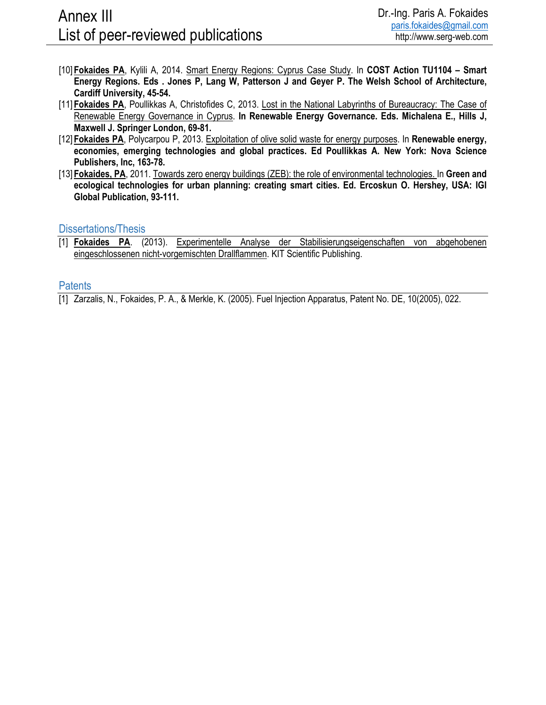- [10] **Fokaides PA**, Kylili A, 2014. Smart Energy Regions: Cyprus Case Study. In **COST Action TU1104 Smart Energy Regions. Eds . Jones P, Lang W, Patterson J and Geyer P. The Welsh School of Architecture, Cardiff University, 45-54.**
- [11] **Fokaides PA**, Poullikkas A, Christofides C, 2013. Lost in the National Labyrinths of Bureaucracy: The Case of Renewable Energy Governance in Cyprus. **In Renewable Energy Governance. Eds. Michalena E., Hills J, Maxwell J. Springer London, 69-81.**
- [12] **Fokaides PA**, Polycarpou P, 2013. Exploitation of olive solid waste for energy purposes. In **Renewable energy, economies, emerging technologies and global practices. Ed Poullikkas A. New York: Nova Science Publishers, Inc, 163-78.**
- [13] **Fokaides, PA**, 2011. Towards zero energy buildings (ZEB): the role of environmental technologies. In **Green and ecological technologies for urban planning: creating smart cities. Ed. Ercoskun O. Hershey, USA: IGI Global Publication, 93-111.**

### Dissertations/Thesis

[1] **Fokaides PA**. (2013). Experimentelle Analyse der Stabilisierungseigenschaften von abgehobenen eingeschlossenen nicht-vorgemischten Drallflammen. KIT Scientific Publishing.

#### **Patents**

[1] Zarzalis, N., Fokaides, P. A., & Merkle, K. (2005). Fuel Injection Apparatus, Patent No. DE, 10(2005), 022.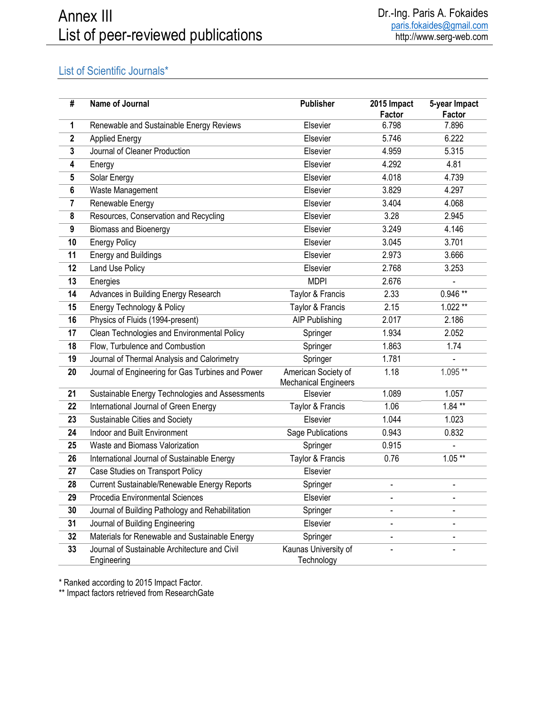# List of Scientific Journals\*

| #            | Name of Journal                                              | <b>Publisher</b>                                   | 2015 Impact<br>Factor        | 5-year Impact<br>Factor  |
|--------------|--------------------------------------------------------------|----------------------------------------------------|------------------------------|--------------------------|
| 1            | Renewable and Sustainable Energy Reviews                     | Elsevier                                           | 6.798                        | 7.896                    |
| $\mathbf{2}$ | <b>Applied Energy</b>                                        | Elsevier                                           | 5.746                        | 6.222                    |
| 3            | Journal of Cleaner Production                                | Elsevier                                           | 4.959                        | 5.315                    |
| 4            | Energy                                                       | Elsevier                                           | 4.292                        | 4.81                     |
| 5            | Solar Energy                                                 | Elsevier                                           | 4.018                        | 4.739                    |
| $\bf 6$      | Waste Management                                             | Elsevier                                           | 3.829                        | 4.297                    |
| 7            | Renewable Energy                                             | Elsevier                                           | 3.404                        | 4.068                    |
| 8            | Resources, Conservation and Recycling                        | Elsevier                                           | 3.28                         | 2.945                    |
| 9            | <b>Biomass and Bioenergy</b>                                 | Elsevier                                           | 3.249                        | 4.146                    |
| 10           | <b>Energy Policy</b>                                         | Elsevier                                           | 3.045                        | 3.701                    |
| 11           | <b>Energy and Buildings</b>                                  | Elsevier                                           | 2.973                        | 3.666                    |
| 12           | Land Use Policy                                              | Elsevier                                           | 2.768                        | 3.253                    |
| 13           | Energies                                                     | <b>MDPI</b>                                        | 2.676                        |                          |
| 14           | Advances in Building Energy Research                         | Taylor & Francis                                   | 2.33                         | $0.946**$                |
| 15           | Energy Technology & Policy                                   | Taylor & Francis                                   | 2.15                         | $1.022**$                |
| 16           | Physics of Fluids (1994-present)                             | <b>AIP Publishing</b>                              | 2.017                        | 2.186                    |
| 17           | Clean Technologies and Environmental Policy                  | Springer                                           | 1.934                        | 2.052                    |
| 18           | Flow, Turbulence and Combustion                              | Springer                                           | 1.863                        | 1.74                     |
| 19           | Journal of Thermal Analysis and Calorimetry                  | Springer                                           | 1.781                        |                          |
| 20           | Journal of Engineering for Gas Turbines and Power            | American Society of<br><b>Mechanical Engineers</b> | 1.18                         | $1.095**$                |
| 21           | Sustainable Energy Technologies and Assessments              | Elsevier                                           | 1.089                        | 1.057                    |
| 22           | <b>International Journal of Green Energy</b>                 | Taylor & Francis                                   | 1.06                         | $1.84**$                 |
| 23           | Sustainable Cities and Society                               | Elsevier                                           | 1.044                        | 1.023                    |
| 24           | Indoor and Built Environment                                 | Sage Publications                                  | 0.943                        | 0.832                    |
| 25           | Waste and Biomass Valorization                               | Springer                                           | 0.915                        | $\overline{a}$           |
| 26           | International Journal of Sustainable Energy                  | Taylor & Francis                                   | 0.76                         | $1.05***$                |
| 27           | Case Studies on Transport Policy                             | Elsevier                                           |                              |                          |
| 28           | Current Sustainable/Renewable Energy Reports                 | Springer                                           | $\blacksquare$               | $\overline{\phantom{m}}$ |
| 29           | Procedia Environmental Sciences                              | Elsevier                                           | $\overline{a}$               |                          |
| 30           | Journal of Building Pathology and Rehabilitation             | Springer                                           | $\overline{a}$               |                          |
| 31           | Journal of Building Engineering                              | Elsevier                                           |                              |                          |
| 32           | Materials for Renewable and Sustainable Energy               | Springer                                           | $\qquad \qquad \blacksquare$ |                          |
| 33           | Journal of Sustainable Architecture and Civil<br>Engineering | Kaunas University of<br>Technology                 |                              |                          |

\* Ranked according to 2015 Impact Factor.

\*\* Impact factors retrieved from ResearchGate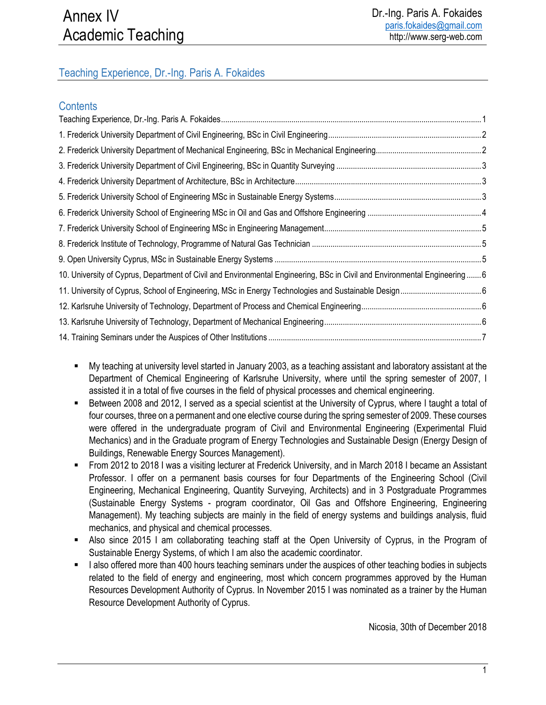## Teaching Experience, Dr.-Ing. Paris A. Fokaides

## **Contents**

| 10. University of Cyprus, Department of Civil and Environmental Engineering, BSc in Civil and Environmental Engineering  6 |  |
|----------------------------------------------------------------------------------------------------------------------------|--|
|                                                                                                                            |  |
|                                                                                                                            |  |
|                                                                                                                            |  |
|                                                                                                                            |  |
|                                                                                                                            |  |

- My teaching at university level started in January 2003, as a teaching assistant and laboratory assistant at the Department of Chemical Engineering of Karlsruhe University, where until the spring semester of 2007, I assisted it in a total of five courses in the field of physical processes and chemical engineering.
- Between 2008 and 2012, I served as a special scientist at the University of Cyprus, where I taught a total of four courses, three on a permanent and one elective course during the spring semester of 2009. These courses were offered in the undergraduate program of Civil and Environmental Engineering (Experimental Fluid Mechanics) and in the Graduate program of Energy Technologies and Sustainable Design (Energy Design of Buildings, Renewable Energy Sources Management).
- From 2012 to 2018 I was a visiting lecturer at Frederick University, and in March 2018 I became an Assistant Professor. I offer on a permanent basis courses for four Departments of the Engineering School (Civil Engineering, Mechanical Engineering, Quantity Surveying, Architects) and in 3 Postgraduate Programmes (Sustainable Energy Systems - program coordinator, Oil Gas and Offshore Engineering, Engineering Management). My teaching subjects are mainly in the field of energy systems and buildings analysis, fluid mechanics, and physical and chemical processes.
- Also since 2015 I am collaborating teaching staff at the Open University of Cyprus, in the Program of Sustainable Energy Systems, of which I am also the academic coordinator.
- I also offered more than 400 hours teaching seminars under the auspices of other teaching bodies in subjects related to the field of energy and engineering, most which concern programmes approved by the Human Resources Development Authority of Cyprus. In November 2015 I was nominated as a trainer by the Human Resource Development Authority of Cyprus.

Nicosia, 30th of December 2018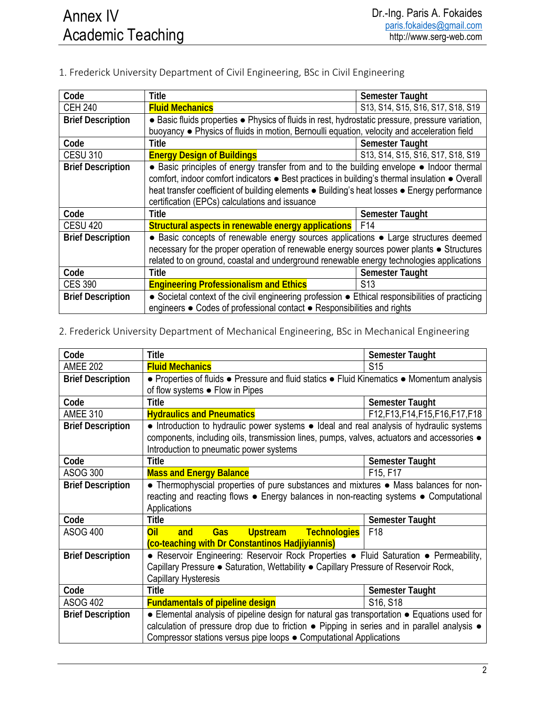1. Frederick University Department of Civil Engineering, BSc in Civil Engineering

| Code                     | <b>Title</b>                                                                                     | <b>Semester Taught</b>            |  |
|--------------------------|--------------------------------------------------------------------------------------------------|-----------------------------------|--|
| <b>CEH 240</b>           | <b>Fluid Mechanics</b>                                                                           | S13, S14, S15, S16, S17, S18, S19 |  |
| <b>Brief Description</b> | • Basic fluids properties • Physics of fluids in rest, hydrostatic pressure, pressure variation, |                                   |  |
|                          | buoyancy • Physics of fluids in motion, Bernoulli equation, velocity and acceleration field      |                                   |  |
| Code                     | Title                                                                                            | <b>Semester Taught</b>            |  |
| <b>CESU 310</b>          | <b>Energy Design of Buildings</b>                                                                | S13, S14, S15, S16, S17, S18, S19 |  |
| <b>Brief Description</b> | • Basic principles of energy transfer from and to the building envelope • Indoor thermal         |                                   |  |
|                          | comfort, indoor comfort indicators • Best practices in building's thermal insulation • Overall   |                                   |  |
|                          | heat transfer coefficient of building elements • Building's heat losses • Energy performance     |                                   |  |
|                          | certification (EPCs) calculations and issuance                                                   |                                   |  |
| Code                     | Title                                                                                            | <b>Semester Taught</b>            |  |
| <b>CESU 420</b>          | <b>Structural aspects in renewable energy applications</b>   F14                                 |                                   |  |
| <b>Brief Description</b> | • Basic concepts of renewable energy sources applications • Large structures deemed              |                                   |  |
|                          | necessary for the proper operation of renewable energy sources power plants • Structures         |                                   |  |
|                          | related to on ground, coastal and underground renewable energy technologies applications         |                                   |  |
| Code                     | <b>Title</b>                                                                                     | <b>Semester Taught</b>            |  |
| <b>CES 390</b>           | <b>Engineering Professionalism and Ethics</b>                                                    | S <sub>13</sub>                   |  |
| <b>Brief Description</b> | • Societal context of the civil engineering profession • Ethical responsibilities of practicing  |                                   |  |
|                          | engineers ● Codes of professional contact ● Responsibilities and rights                          |                                   |  |

### 2. Frederick University Department of Mechanical Engineering, BSc in Mechanical Engineering

| Code                     | <b>Title</b>                                                                                       | <b>Semester Taught</b>            |  |
|--------------------------|----------------------------------------------------------------------------------------------------|-----------------------------------|--|
| <b>AMEE 202</b>          | <b>Fluid Mechanics</b>                                                                             | S <sub>15</sub>                   |  |
| <b>Brief Description</b> | • Properties of fluids • Pressure and fluid statics • Fluid Kinematics • Momentum analysis         |                                   |  |
|                          | of flow systems • Flow in Pipes                                                                    |                                   |  |
| Code                     | <b>Title</b>                                                                                       | <b>Semester Taught</b>            |  |
| <b>AMEE 310</b>          | <b>Hydraulics and Pneumatics</b>                                                                   | F12, F13, F14, F15, F16, F17, F18 |  |
| <b>Brief Description</b> | • Introduction to hydraulic power systems • Ideal and real analysis of hydraulic systems           |                                   |  |
|                          | components, including oils, transmission lines, pumps, valves, actuators and accessories $\bullet$ |                                   |  |
|                          | Introduction to pneumatic power systems                                                            |                                   |  |
| Code                     | <b>Title</b>                                                                                       | Semester Taught                   |  |
| <b>ASOG 300</b>          | <b>Mass and Energy Balance</b><br>F15, F17                                                         |                                   |  |
| <b>Brief Description</b> | • Thermophyscial properties of pure substances and mixtures • Mass balances for non-               |                                   |  |
|                          | reacting and reacting flows • Energy balances in non-reacting systems • Computational              |                                   |  |
|                          | Applications                                                                                       |                                   |  |
| Code                     | <b>Title</b>                                                                                       | <b>Semester Taught</b>            |  |
| <b>ASOG 400</b>          | Upstream Technologies<br>Oil<br>and<br><b>Gas</b>                                                  | F <sub>18</sub>                   |  |
|                          | (co-teaching with Dr Constantinos Hadjiyiannis)                                                    |                                   |  |
| <b>Brief Description</b> | • Reservoir Engineering: Reservoir Rock Properties • Fluid Saturation • Permeability,              |                                   |  |
|                          | Capillary Pressure • Saturation, Wettability • Capillary Pressure of Reservoir Rock,               |                                   |  |
|                          | <b>Capillary Hysteresis</b>                                                                        |                                   |  |
| Code                     | Title                                                                                              | <b>Semester Taught</b>            |  |
| <b>ASOG 402</b>          | <b>Fundamentals of pipeline design</b>                                                             | S <sub>16</sub> , S <sub>18</sub> |  |
| <b>Brief Description</b> | • Elemental analysis of pipeline design for natural gas transportation • Equations used for        |                                   |  |
|                          | calculation of pressure drop due to friction . Pipping in series and in parallel analysis .        |                                   |  |
|                          | Compressor stations versus pipe loops • Computational Applications                                 |                                   |  |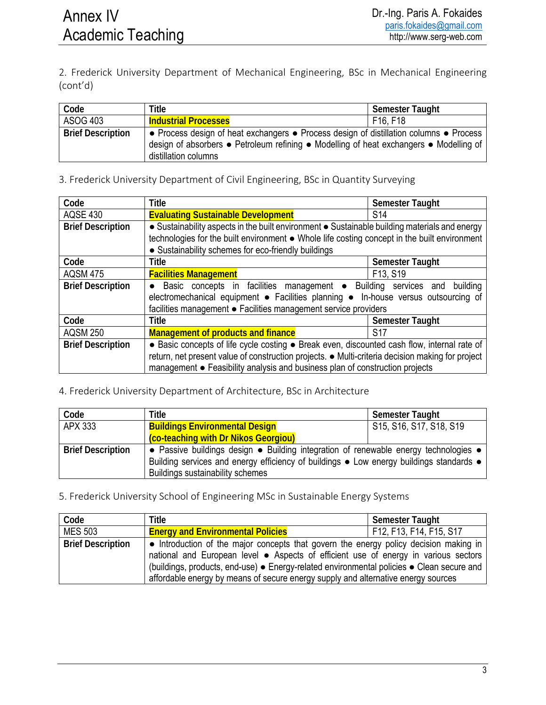2. Frederick University Department of Mechanical Engineering, BSc in Mechanical Engineering (cont'd)

| Code                     | Title                                                                                                                                                                                                    | Semester Taught |
|--------------------------|----------------------------------------------------------------------------------------------------------------------------------------------------------------------------------------------------------|-----------------|
| ASOG 403                 | <b>Industrial Processes</b>                                                                                                                                                                              | F16, F18        |
| <b>Brief Description</b> | • Process design of heat exchangers • Process design of distillation columns • Process<br>design of absorbers • Petroleum refining • Modelling of heat exchangers • Modelling of<br>distillation columns |                 |

3. Frederick University Department of Civil Engineering, BSc in Quantity Surveying

| Code                     | <b>Title</b>                                                                                                                                                                                                                                                                    | <b>Semester Taught</b> |  |
|--------------------------|---------------------------------------------------------------------------------------------------------------------------------------------------------------------------------------------------------------------------------------------------------------------------------|------------------------|--|
| <b>AQSE 430</b>          | <b>Evaluating Sustainable Development</b>                                                                                                                                                                                                                                       | S <sub>14</sub>        |  |
| <b>Brief Description</b> | • Sustainability aspects in the built environment • Sustainable building materials and energy<br>technologies for the built environment . Whole life costing concept in the built environment<br>• Sustainability schemes for eco-friendly buildings                            |                        |  |
| Code                     | <b>Title</b>                                                                                                                                                                                                                                                                    | <b>Semester Taught</b> |  |
| <b>AQSM 475</b>          | <b>Facilities Management</b>                                                                                                                                                                                                                                                    | F13, S19               |  |
| <b>Brief Description</b> | Basic concepts in facilities management • Building services and building<br>$\bullet$<br>electromechanical equipment · Facilities planning · In-house versus outsourcing of<br>facilities management · Facilities management service providers                                  |                        |  |
| Code                     | <b>Title</b>                                                                                                                                                                                                                                                                    | <b>Semester Taught</b> |  |
| <b>AQSM 250</b>          | <b>Management of products and finance</b>                                                                                                                                                                                                                                       | <b>S17</b>             |  |
| <b>Brief Description</b> | • Basic concepts of life cycle costing • Break even, discounted cash flow, internal rate of<br>return, net present value of construction projects. • Multi-criteria decision making for project<br>management • Feasibility analysis and business plan of construction projects |                        |  |

### 4. Frederick University Department of Architecture, BSc in Architecture

| Code                     | Title                                                                                                   | <b>Semester Taught</b>  |  |
|--------------------------|---------------------------------------------------------------------------------------------------------|-------------------------|--|
| APX 333                  | <b>Buildings Environmental Design</b>                                                                   | S15, S16, S17, S18, S19 |  |
|                          | (co-teaching with Dr Nikos Georgiou)                                                                    |                         |  |
| <b>Brief Description</b> | • Passive buildings design • Building integration of renewable energy technologies •                    |                         |  |
|                          | Building services and energy efficiency of buildings $\bullet$ Low energy buildings standards $\bullet$ |                         |  |
|                          | <b>Buildings sustainability schemes</b>                                                                 |                         |  |

| Code                     | Title                                                                                                                                                                                                                                                                                                                                                          | <b>Semester Taught</b>  |
|--------------------------|----------------------------------------------------------------------------------------------------------------------------------------------------------------------------------------------------------------------------------------------------------------------------------------------------------------------------------------------------------------|-------------------------|
| <b>MES 503</b>           | <b>Energy and Environmental Policies</b>                                                                                                                                                                                                                                                                                                                       | F12, F13, F14, F15, S17 |
| <b>Brief Description</b> | • Introduction of the major concepts that govern the energy policy decision making in<br>national and European level • Aspects of efficient use of energy in various sectors<br>(buildings, products, end-use) • Energy-related environmental policies • Clean secure and<br>affordable energy by means of secure energy supply and alternative energy sources |                         |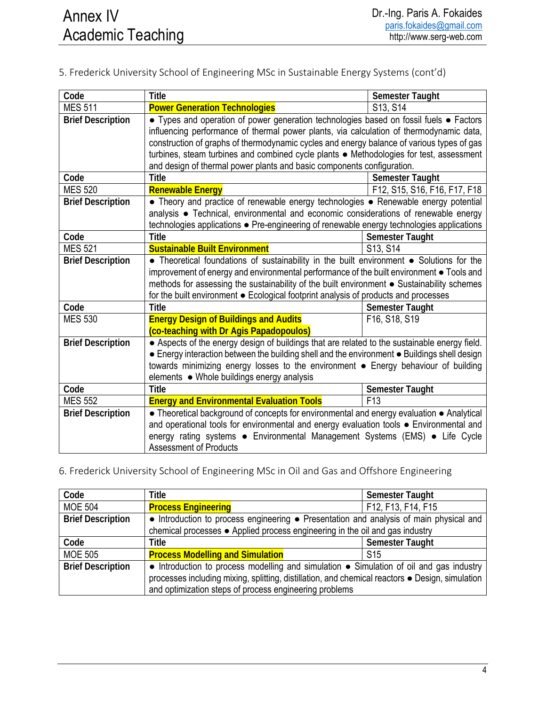| Code                                                                                                                      | <b>Title</b>                                                                                 | <b>Semester Taught</b>       |  |
|---------------------------------------------------------------------------------------------------------------------------|----------------------------------------------------------------------------------------------|------------------------------|--|
| <b>MES 511</b>                                                                                                            | <b>Power Generation Technologies</b>                                                         | S13, S14                     |  |
| <b>Brief Description</b>                                                                                                  | • Types and operation of power generation technologies based on fossil fuels • Factors       |                              |  |
|                                                                                                                           | influencing performance of thermal power plants, via calculation of thermodynamic data,      |                              |  |
|                                                                                                                           | construction of graphs of thermodynamic cycles and energy balance of various types of gas    |                              |  |
|                                                                                                                           | turbines, steam turbines and combined cycle plants . Methodologies for test, assessment      |                              |  |
|                                                                                                                           | and design of thermal power plants and basic components configuration.                       |                              |  |
| Code                                                                                                                      | <b>Title</b>                                                                                 | <b>Semester Taught</b>       |  |
| <b>MES 520</b>                                                                                                            | <b>Renewable Energy</b>                                                                      | F12, S15, S16, F16, F17, F18 |  |
| <b>Brief Description</b>                                                                                                  | • Theory and practice of renewable energy technologies • Renewable energy potential          |                              |  |
|                                                                                                                           | analysis • Technical, environmental and economic considerations of renewable energy          |                              |  |
|                                                                                                                           | technologies applications · Pre-engineering of renewable energy technologies applications    |                              |  |
| Code                                                                                                                      | <b>Title</b>                                                                                 | <b>Semester Taught</b>       |  |
| <b>MES 521</b>                                                                                                            | <b>Sustainable Built Environment</b><br>S13, S14                                             |                              |  |
| <b>Brief Description</b>                                                                                                  | • Theoretical foundations of sustainability in the built environment • Solutions for the     |                              |  |
|                                                                                                                           | improvement of energy and environmental performance of the built environment . Tools and     |                              |  |
|                                                                                                                           | methods for assessing the sustainability of the built environment • Sustainability schemes   |                              |  |
|                                                                                                                           | for the built environment . Ecological footprint analysis of products and processes          |                              |  |
| Code                                                                                                                      | <b>Title</b>                                                                                 | <b>Semester Taught</b>       |  |
| <b>MES 530</b>                                                                                                            | <b>Energy Design of Buildings and Audits</b>                                                 | F16, S18, S19                |  |
|                                                                                                                           | (co-teaching with Dr Agis Papadopoulos)                                                      |                              |  |
| • Aspects of the energy design of buildings that are related to the sustainable energy field.<br><b>Brief Description</b> |                                                                                              |                              |  |
|                                                                                                                           | • Energy interaction between the building shell and the environment • Buildings shell design |                              |  |
|                                                                                                                           | towards minimizing energy losses to the environment . Energy behaviour of building           |                              |  |
|                                                                                                                           | elements • Whole buildings energy analysis                                                   |                              |  |
| Code                                                                                                                      | <b>Title</b>                                                                                 | Semester Taught              |  |
| <b>MES 552</b>                                                                                                            | <b>Energy and Environmental Evaluation Tools</b><br>F <sub>13</sub>                          |                              |  |
| <b>Brief Description</b>                                                                                                  | • Theoretical background of concepts for environmental and energy evaluation • Analytical    |                              |  |
|                                                                                                                           | and operational tools for environmental and energy evaluation tools . Environmental and      |                              |  |
|                                                                                                                           | energy rating systems • Environmental Management Systems (EMS) • Life Cycle                  |                              |  |
|                                                                                                                           | <b>Assessment of Products</b>                                                                |                              |  |

### 6. Frederick University School of Engineering MSc in Oil and Gas and Offshore Engineering

| Code                     | Title                                                                                           | <b>Semester Taught</b>                                                                 |
|--------------------------|-------------------------------------------------------------------------------------------------|----------------------------------------------------------------------------------------|
| <b>MOE 504</b>           | <b>Process Engineering</b>                                                                      | F12, F13, F14, F15                                                                     |
| <b>Brief Description</b> |                                                                                                 | • Introduction to process engineering • Presentation and analysis of main physical and |
|                          | chemical processes ● Applied process engineering in the oil and gas industry                    |                                                                                        |
| Code                     | Title                                                                                           | <b>Semester Taught</b>                                                                 |
| <b>MOE 505</b>           | <b>Process Modelling and Simulation</b>                                                         | S <sub>15</sub>                                                                        |
| <b>Brief Description</b> | • Introduction to process modelling and simulation • Simulation of oil and gas industry         |                                                                                        |
|                          | processes including mixing, splitting, distillation, and chemical reactors . Design, simulation |                                                                                        |
|                          | and optimization steps of process engineering problems                                          |                                                                                        |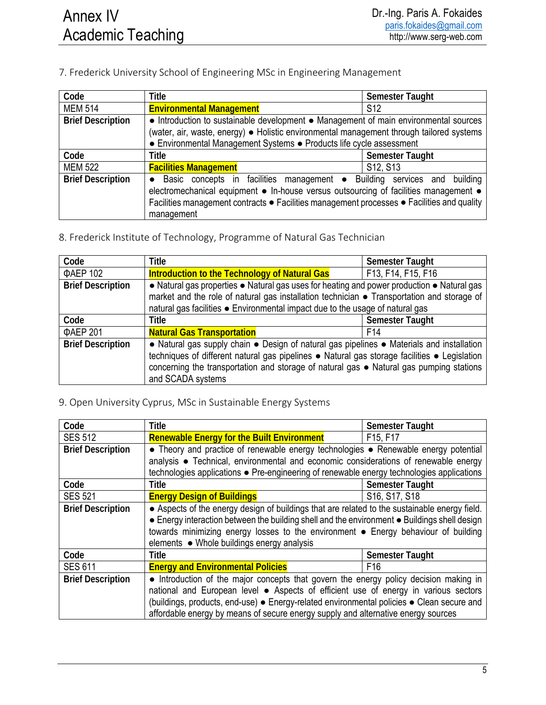### 7. Frederick University School of Engineering MSc in Engineering Management

| Code                     | <b>Title</b>                                                                                                                                                                                                                                                                              | <b>Semester Taught</b>            |  |
|--------------------------|-------------------------------------------------------------------------------------------------------------------------------------------------------------------------------------------------------------------------------------------------------------------------------------------|-----------------------------------|--|
| <b>MEM 514</b>           | <b>Environmental Management</b>                                                                                                                                                                                                                                                           | S <sub>12</sub>                   |  |
| <b>Brief Description</b> | • Introduction to sustainable development • Management of main environmental sources<br>(water, air, waste, energy) • Holistic environmental management through tailored systems<br>• Environmental Management Systems • Products life cycle assessment                                   |                                   |  |
| Code                     | <b>Title</b>                                                                                                                                                                                                                                                                              | <b>Semester Taught</b>            |  |
| <b>MEM 522</b>           | <b>Facilities Management</b>                                                                                                                                                                                                                                                              | S <sub>12</sub> , S <sub>13</sub> |  |
| <b>Brief Description</b> | Basic concepts in facilities management • Building services and building<br>$\bullet$<br>electromechanical equipment • In-house versus outsourcing of facilities management •<br>Facilities management contracts • Facilities management processes • Facilities and quality<br>management |                                   |  |

8. Frederick Institute of Technology, Programme of Natural Gas Technician

| Code                     | <b>Title</b>                                                                                 | Semester Taught    |  |
|--------------------------|----------------------------------------------------------------------------------------------|--------------------|--|
| ΦΑΕΡ 102                 | Introduction to the Technology of Natural Gas                                                | F13, F14, F15, F16 |  |
| <b>Brief Description</b> | • Natural gas properties • Natural gas uses for heating and power production • Natural gas   |                    |  |
|                          | market and the role of natural gas installation technician • Transportation and storage of   |                    |  |
|                          | natural gas facilities . Environmental impact due to the usage of natural gas                |                    |  |
| Code                     | <b>Title</b>                                                                                 | Semester Taught    |  |
| ΦΑΕΡ 201                 | <b>Natural Gas Transportation</b>                                                            | F <sub>14</sub>    |  |
| <b>Brief Description</b> | • Natural gas supply chain • Design of natural gas pipelines • Materials and installation    |                    |  |
|                          | techniques of different natural gas pipelines • Natural gas storage facilities • Legislation |                    |  |
|                          | concerning the transportation and storage of natural gas • Natural gas pumping stations      |                    |  |
|                          | and SCADA systems                                                                            |                    |  |

### 9. Open University Cyprus, MSc in Sustainable Energy Systems

| Code                     | <b>Title</b>                                                                                  | <b>Semester Taught</b> |
|--------------------------|-----------------------------------------------------------------------------------------------|------------------------|
| <b>SES 512</b>           | <b>Renewable Energy for the Built Environment</b>                                             | F15, F17               |
| <b>Brief Description</b> | • Theory and practice of renewable energy technologies • Renewable energy potential           |                        |
|                          | analysis • Technical, environmental and economic considerations of renewable energy           |                        |
|                          | technologies applications • Pre-engineering of renewable energy technologies applications     |                        |
| Code                     | <b>Title</b>                                                                                  | Semester Taught        |
| <b>SES 521</b>           | <b>Energy Design of Buildings</b>                                                             | S16, S17, S18          |
| <b>Brief Description</b> | • Aspects of the energy design of buildings that are related to the sustainable energy field. |                        |
|                          | • Energy interaction between the building shell and the environment • Buildings shell design  |                        |
|                          | towards minimizing energy losses to the environment • Energy behaviour of building            |                        |
|                          | elements ● Whole buildings energy analysis                                                    |                        |
| Code                     | <b>Title</b>                                                                                  | <b>Semester Taught</b> |
| <b>SES 611</b>           | <b>Energy and Environmental Policies</b>                                                      | F <sub>16</sub>        |
| <b>Brief Description</b> | • Introduction of the major concepts that govern the energy policy decision making in         |                        |
|                          | national and European level • Aspects of efficient use of energy in various sectors           |                        |
|                          | (buildings, products, end-use) · Energy-related environmental policies · Clean secure and     |                        |
|                          | affordable energy by means of secure energy supply and alternative energy sources             |                        |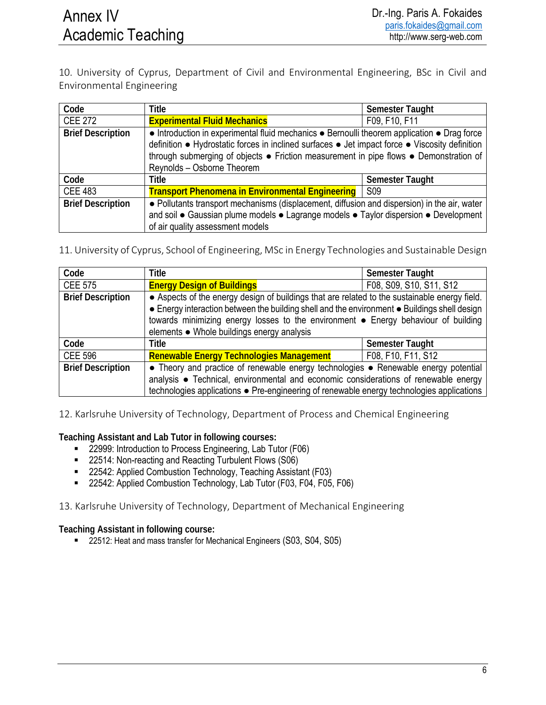10. University of Cyprus, Department of Civil and Environmental Engineering, BSc in Civil and Environmental Engineering

| Code                     | <b>Title</b>                                                                                                                                                                                                                                                                                                         | <b>Semester Taught</b>       |
|--------------------------|----------------------------------------------------------------------------------------------------------------------------------------------------------------------------------------------------------------------------------------------------------------------------------------------------------------------|------------------------------|
| <b>CEE 272</b>           | <b>Experimental Fluid Mechanics</b>                                                                                                                                                                                                                                                                                  | F09, F10, F11                |
| <b>Brief Description</b> | • Introduction in experimental fluid mechanics • Bernoulli theorem application • Drag force<br>definition • Hydrostatic forces in inclined surfaces • Jet impact force • Viscosity definition<br>through submerging of objects • Friction measurement in pipe flows • Demonstration of<br>Reynolds - Osborne Theorem |                              |
| Code                     | <b>Title</b>                                                                                                                                                                                                                                                                                                         | Semester Taught              |
| <b>CEE 483</b>           | <b>Transport Phenomena in Environmental Engineering</b>                                                                                                                                                                                                                                                              | $\overline{\phantom{0}}$ S09 |
| <b>Brief Description</b> | • Pollutants transport mechanisms (displacement, diffusion and dispersion) in the air, water<br>and soil . Gaussian plume models . Lagrange models . Taylor dispersion . Development<br>of air quality assessment models                                                                                             |                              |

11. University of Cyprus, School of Engineering, MSc in Energy Technologies and Sustainable Design

| Code                     | <b>Title</b>                                                                                                                                                                                                                                                                                                                      | <b>Semester Taught</b>  |
|--------------------------|-----------------------------------------------------------------------------------------------------------------------------------------------------------------------------------------------------------------------------------------------------------------------------------------------------------------------------------|-------------------------|
| <b>CEE 575</b>           | <b>Energy Design of Buildings</b>                                                                                                                                                                                                                                                                                                 | F08, S09, S10, S11, S12 |
| <b>Brief Description</b> | • Aspects of the energy design of buildings that are related to the sustainable energy field.<br>• Energy interaction between the building shell and the environment • Buildings shell design<br>towards minimizing energy losses to the environment • Energy behaviour of building<br>elements ● Whole buildings energy analysis |                         |
| Code                     | <b>Title</b>                                                                                                                                                                                                                                                                                                                      | Semester Taught         |
| <b>CEE 596</b>           | <b>Renewable Energy Technologies Management</b>                                                                                                                                                                                                                                                                                   | F08, F10, F11, S12      |
| <b>Brief Description</b> | • Theory and practice of renewable energy technologies • Renewable energy potential<br>analysis • Technical, environmental and economic considerations of renewable energy<br>technologies applications • Pre-engineering of renewable energy technologies applications                                                           |                         |

12. Karlsruhe University of Technology, Department of Process and Chemical Engineering

**Teaching Assistant and Lab Tutor in following courses:** 

- **22999:** Introduction to Process Engineering, Lab Tutor (F06)
- 22514: Non-reacting and Reacting Turbulent Flows (S06)
- 22542: Applied Combustion Technology, Teaching Assistant (F03)
- 22542: Applied Combustion Technology, Lab Tutor (F03, F04, F05, F06)

13. Karlsruhe University of Technology, Department of Mechanical Engineering

**Teaching Assistant in following course:** 

■ 22512: Heat and mass transfer for Mechanical Engineers (S03, S04, S05)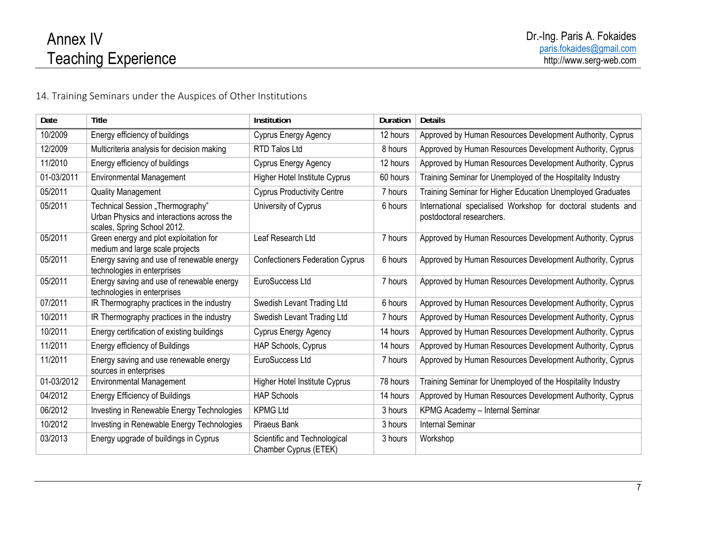# Annex IV Teaching Experience

14. Training Seminars under the Auspices of Other Institutions

| Date       | Title                                                                                                        | Institution                                           | Duration | <b>Details</b>                                                                            |
|------------|--------------------------------------------------------------------------------------------------------------|-------------------------------------------------------|----------|-------------------------------------------------------------------------------------------|
| 10/2009    | Energy efficiency of buildings                                                                               | Cyprus Energy Agency                                  | 12 hours | Approved by Human Resources Development Authority, Cyprus                                 |
| 12/2009    | Multicriteria analysis for decision making                                                                   | <b>RTD Talos Ltd</b>                                  | 8 hours  | Approved by Human Resources Development Authority, Cyprus                                 |
| 11/2010    | Energy efficiency of buildings                                                                               | Cyprus Energy Agency                                  | 12 hours | Approved by Human Resources Development Authority, Cyprus                                 |
| 01-03/2011 | <b>Environmental Management</b>                                                                              | <b>Higher Hotel Institute Cyprus</b>                  | 60 hours | Training Seminar for Unemployed of the Hospitality Industry                               |
| 05/2011    | <b>Quality Management</b>                                                                                    | <b>Cyprus Productivity Centre</b>                     | 7 hours  | Training Seminar for Higher Education Unemployed Graduates                                |
| 05/2011    | Technical Session "Thermography"<br>Urban Physics and interactions across the<br>scales, Spring School 2012. | University of Cyprus                                  | 6 hours  | International specialised Workshop for doctoral students and<br>postdoctoral researchers. |
| 05/2011    | Green energy and plot exploitation for<br>medium and large scale projects                                    | Leaf Research Ltd                                     | 7 hours  | Approved by Human Resources Development Authority, Cyprus                                 |
| 05/2011    | Energy saving and use of renewable energy<br>technologies in enterprises                                     | <b>Confectioners Federation Cyprus</b>                | 6 hours  | Approved by Human Resources Development Authority, Cyprus                                 |
| 05/2011    | Energy saving and use of renewable energy<br>technologies in enterprises                                     | EuroSuccess Ltd                                       | 7 hours  | Approved by Human Resources Development Authority, Cyprus                                 |
| 07/2011    | IR Thermography practices in the industry                                                                    | Swedish Levant Trading Ltd                            | 6 hours  | Approved by Human Resources Development Authority, Cyprus                                 |
| 10/2011    | IR Thermography practices in the industry                                                                    | Swedish Levant Trading Ltd                            | 7 hours  | Approved by Human Resources Development Authority, Cyprus                                 |
| 10/2011    | Energy certification of existing buildings                                                                   | Cyprus Energy Agency                                  | 14 hours | Approved by Human Resources Development Authority, Cyprus                                 |
| 11/2011    | Energy efficiency of Buildings                                                                               | HAP Schools, Cyprus                                   | 14 hours | Approved by Human Resources Development Authority, Cyprus                                 |
| 11/2011    | Energy saving and use renewable energy<br>sources in enterprises                                             | EuroSuccess Ltd                                       | 7 hours  | Approved by Human Resources Development Authority, Cyprus                                 |
| 01-03/2012 | <b>Environmental Management</b>                                                                              | <b>Higher Hotel Institute Cyprus</b>                  | 78 hours | Training Seminar for Unemployed of the Hospitality Industry                               |
| 04/2012    | <b>Energy Efficiency of Buildings</b>                                                                        | <b>HAP Schools</b>                                    | 14 hours | Approved by Human Resources Development Authority, Cyprus                                 |
| 06/2012    | Investing in Renewable Energy Technologies                                                                   | <b>KPMG Ltd</b>                                       | 3 hours  | KPMG Academy - Internal Seminar                                                           |
| 10/2012    | Investing in Renewable Energy Technologies                                                                   | Piraeus Bank                                          | 3 hours  | <b>Internal Seminar</b>                                                                   |
| 03/2013    | Energy upgrade of buildings in Cyprus                                                                        | Scientific and Technological<br>Chamber Cyprus (ETEK) | 3 hours  | Workshop                                                                                  |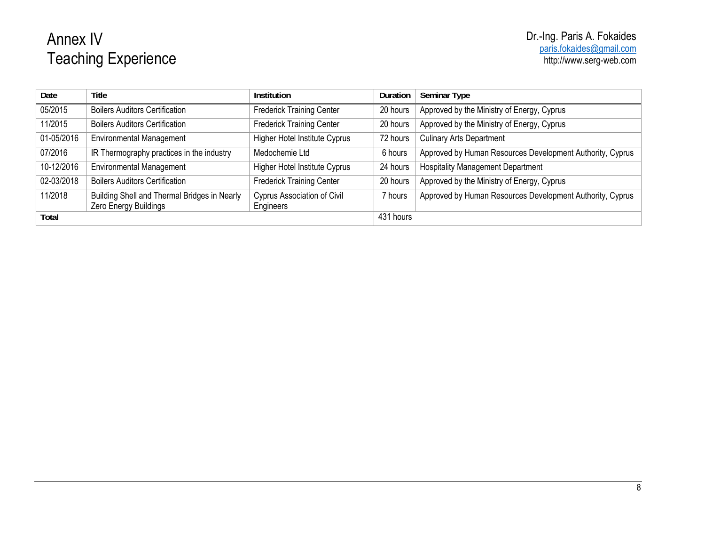# Annex IV Teaching Experience

| Date       | <b>Title</b>                                 | Institution                          | Duration  | <b>Seminar Type</b>                                       |
|------------|----------------------------------------------|--------------------------------------|-----------|-----------------------------------------------------------|
| 05/2015    | <b>Boilers Auditors Certification</b>        | <b>Frederick Training Center</b>     | 20 hours  | Approved by the Ministry of Energy, Cyprus                |
| 11/2015    | <b>Boilers Auditors Certification</b>        | <b>Frederick Training Center</b>     | 20 hours  | Approved by the Ministry of Energy, Cyprus                |
| 01-05/2016 | <b>Environmental Management</b>              | <b>Higher Hotel Institute Cyprus</b> | 72 hours  | <b>Culinary Arts Department</b>                           |
| 07/2016    | IR Thermography practices in the industry    | Medochemie Ltd                       | 6 hours   | Approved by Human Resources Development Authority, Cyprus |
| 10-12/2016 | <b>Environmental Management</b>              | <b>Higher Hotel Institute Cyprus</b> | 24 hours  | <b>Hospitality Management Department</b>                  |
| 02-03/2018 | <b>Boilers Auditors Certification</b>        | <b>Frederick Training Center</b>     | 20 hours  | Approved by the Ministry of Energy, Cyprus                |
| 11/2018    | Building Shell and Thermal Bridges in Nearly | <b>Cyprus Association of Civil</b>   | 7 hours   | Approved by Human Resources Development Authority, Cyprus |
|            | Zero Energy Buildings                        | Engineers                            |           |                                                           |
| Total      |                                              |                                      | 431 hours |                                                           |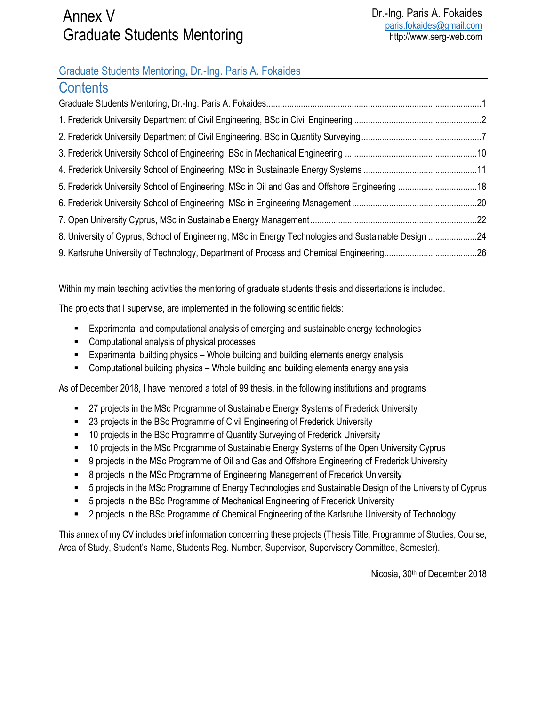## Graduate Students Mentoring, Dr.-Ing. Paris A. Fokaides

| <b>Contents</b>                                                                                      |  |
|------------------------------------------------------------------------------------------------------|--|
|                                                                                                      |  |
|                                                                                                      |  |
|                                                                                                      |  |
|                                                                                                      |  |
|                                                                                                      |  |
|                                                                                                      |  |
|                                                                                                      |  |
|                                                                                                      |  |
| 8. University of Cyprus, School of Engineering, MSc in Energy Technologies and Sustainable Design 24 |  |
|                                                                                                      |  |

Within my main teaching activities the mentoring of graduate students thesis and dissertations is included.

The projects that I supervise, are implemented in the following scientific fields:

- Experimental and computational analysis of emerging and sustainable energy technologies
- **EXECOMPUTATION COMPUTE:** Computational analysis of physical processes
- Experimental building physics Whole building and building elements energy analysis
- Computational building physics Whole building and building elements energy analysis

As of December 2018, I have mentored a total of 99 thesis, in the following institutions and programs

- **27 projects in the MSc Programme of Sustainable Energy Systems of Frederick University**
- 23 projects in the BSc Programme of Civil Engineering of Frederick University
- 10 projects in the BSc Programme of Quantity Surveying of Frederick University
- 10 projects in the MSc Programme of Sustainable Energy Systems of the Open University Cyprus
- 9 projects in the MSc Programme of Oil and Gas and Offshore Engineering of Frederick University
- 8 projects in the MSc Programme of Engineering Management of Frederick University
- 5 projects in the MSc Programme of Energy Technologies and Sustainable Design of the University of Cyprus
- 5 projects in the BSc Programme of Mechanical Engineering of Frederick University
- 2 projects in the BSc Programme of Chemical Engineering of the Karlsruhe University of Technology

This annex of my CV includes brief information concerning these projects (Thesis Title, Programme of Studies, Course, Area of Study, Student's Name, Students Reg. Number, Supervisor, Supervisory Committee, Semester).

Nicosia, 30th of December 2018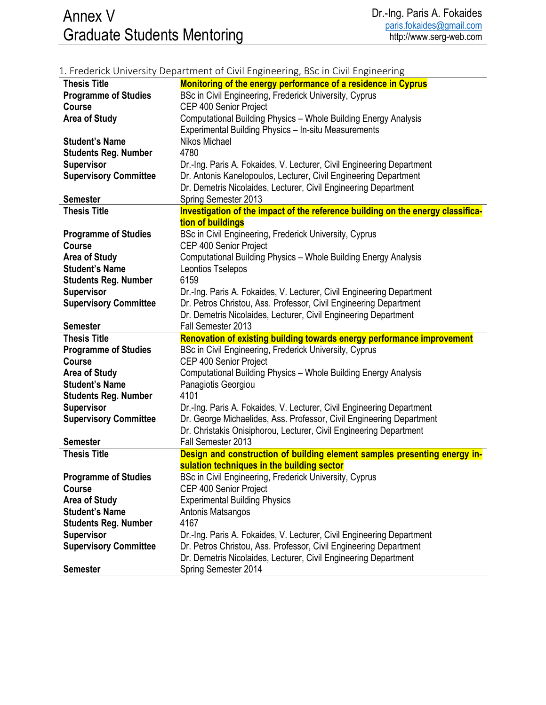|                              | 1. Frederick University Department of Civil Engineering, BSc in Civil Engineering       |
|------------------------------|-----------------------------------------------------------------------------------------|
| <b>Thesis Title</b>          | Monitoring of the energy performance of a residence in Cyprus                           |
| <b>Programme of Studies</b>  | BSc in Civil Engineering, Frederick University, Cyprus                                  |
| <b>Course</b>                | CEP 400 Senior Project                                                                  |
| <b>Area of Study</b>         | Computational Building Physics - Whole Building Energy Analysis                         |
|                              | Experimental Building Physics - In-situ Measurements                                    |
| <b>Student's Name</b>        | Nikos Michael                                                                           |
| <b>Students Reg. Number</b>  | 4780                                                                                    |
| Supervisor                   | Dr.-Ing. Paris A. Fokaides, V. Lecturer, Civil Engineering Department                   |
| <b>Supervisory Committee</b> | Dr. Antonis Kanelopoulos, Lecturer, Civil Engineering Department                        |
|                              | Dr. Demetris Nicolaides, Lecturer, Civil Engineering Department                         |
| <b>Semester</b>              | Spring Semester 2013                                                                    |
| <b>Thesis Title</b>          | Investigation of the impact of the reference building on the energy classifica-         |
|                              | tion of buildings                                                                       |
| <b>Programme of Studies</b>  | BSc in Civil Engineering, Frederick University, Cyprus                                  |
| <b>Course</b>                | CEP 400 Senior Project                                                                  |
| <b>Area of Study</b>         | Computational Building Physics - Whole Building Energy Analysis                         |
| <b>Student's Name</b>        | Leontios Tselepos                                                                       |
| <b>Students Reg. Number</b>  | 6159                                                                                    |
| <b>Supervisor</b>            | Dr.-Ing. Paris A. Fokaides, V. Lecturer, Civil Engineering Department                   |
| <b>Supervisory Committee</b> | Dr. Petros Christou, Ass. Professor, Civil Engineering Department                       |
|                              | Dr. Demetris Nicolaides, Lecturer, Civil Engineering Department                         |
| <b>Semester</b>              | Fall Semester 2013                                                                      |
| <b>Thesis Title</b>          | Renovation of existing building towards energy performance improvement                  |
| <b>Programme of Studies</b>  | BSc in Civil Engineering, Frederick University, Cyprus                                  |
|                              |                                                                                         |
| <b>Course</b>                | CEP 400 Senior Project                                                                  |
| <b>Area of Study</b>         | Computational Building Physics - Whole Building Energy Analysis                         |
| <b>Student's Name</b>        | Panagiotis Georgiou                                                                     |
| <b>Students Reg. Number</b>  | 4101                                                                                    |
| <b>Supervisor</b>            | Dr.-Ing. Paris A. Fokaides, V. Lecturer, Civil Engineering Department                   |
| <b>Supervisory Committee</b> | Dr. George Michaelides, Ass. Professor, Civil Engineering Department                    |
|                              | Dr. Christakis Onisiphorou, Lecturer, Civil Engineering Department                      |
| <b>Semester</b>              | Fall Semester 2013                                                                      |
| <b>Thesis Title</b>          | Design and construction of building element samples presenting energy in-               |
|                              | sulation techniques in the building sector                                              |
| <b>Programme of Studies</b>  | BSc in Civil Engineering, Frederick University, Cyprus                                  |
| Course                       | CEP 400 Senior Project                                                                  |
| <b>Area of Study</b>         | <b>Experimental Building Physics</b>                                                    |
| <b>Student's Name</b>        | Antonis Matsangos                                                                       |
| <b>Students Reg. Number</b>  | 4167                                                                                    |
| <b>Supervisor</b>            | Dr.-Ing. Paris A. Fokaides, V. Lecturer, Civil Engineering Department                   |
| <b>Supervisory Committee</b> | Dr. Petros Christou, Ass. Professor, Civil Engineering Department                       |
| <b>Semester</b>              | Dr. Demetris Nicolaides, Lecturer, Civil Engineering Department<br>Spring Semester 2014 |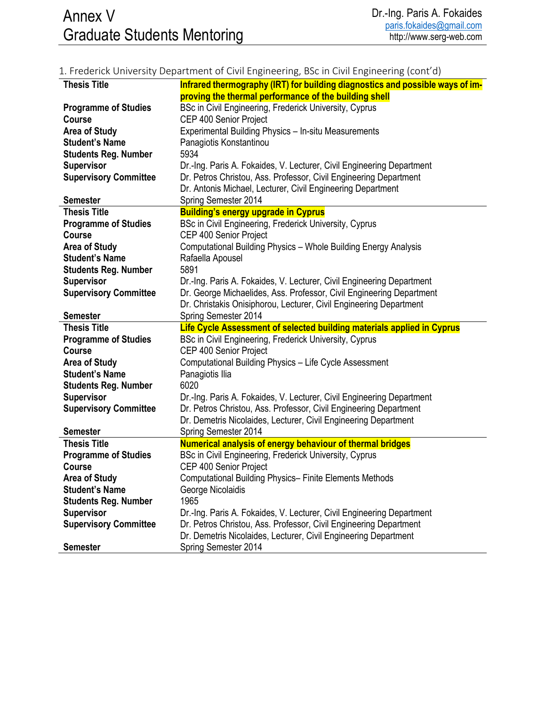## 1. Frederick University Department of Civil Engineering, BSc in Civil Engineering (cont'd)

| <b>Thesis Title</b>          | Infrared thermography (IRT) for building diagnostics and possible ways of im-           |
|------------------------------|-----------------------------------------------------------------------------------------|
|                              | proving the thermal performance of the building shell                                   |
| <b>Programme of Studies</b>  | BSc in Civil Engineering, Frederick University, Cyprus                                  |
| <b>Course</b>                | CEP 400 Senior Project                                                                  |
| <b>Area of Study</b>         | Experimental Building Physics - In-situ Measurements                                    |
| <b>Student's Name</b>        | Panagiotis Konstantinou                                                                 |
| <b>Students Reg. Number</b>  | 5934                                                                                    |
| <b>Supervisor</b>            | Dr.-Ing. Paris A. Fokaides, V. Lecturer, Civil Engineering Department                   |
| <b>Supervisory Committee</b> | Dr. Petros Christou, Ass. Professor, Civil Engineering Department                       |
|                              | Dr. Antonis Michael, Lecturer, Civil Engineering Department                             |
| <b>Semester</b>              | Spring Semester 2014                                                                    |
| <b>Thesis Title</b>          | <b>Building's energy upgrade in Cyprus</b>                                              |
| <b>Programme of Studies</b>  | BSc in Civil Engineering, Frederick University, Cyprus                                  |
| <b>Course</b>                | CEP 400 Senior Project                                                                  |
| <b>Area of Study</b>         | Computational Building Physics - Whole Building Energy Analysis                         |
| <b>Student's Name</b>        | Rafaella Apousel                                                                        |
| <b>Students Reg. Number</b>  | 5891                                                                                    |
| <b>Supervisor</b>            | Dr.-Ing. Paris A. Fokaides, V. Lecturer, Civil Engineering Department                   |
| <b>Supervisory Committee</b> | Dr. George Michaelides, Ass. Professor, Civil Engineering Department                    |
|                              | Dr. Christakis Onisiphorou, Lecturer, Civil Engineering Department                      |
| <b>Semester</b>              | Spring Semester 2014                                                                    |
|                              |                                                                                         |
| <b>Thesis Title</b>          | Life Cycle Assessment of selected building materials applied in Cyprus                  |
| <b>Programme of Studies</b>  | BSc in Civil Engineering, Frederick University, Cyprus                                  |
| <b>Course</b>                | CEP 400 Senior Project                                                                  |
| <b>Area of Study</b>         | Computational Building Physics - Life Cycle Assessment                                  |
| <b>Student's Name</b>        | Panagiotis Ilia                                                                         |
| <b>Students Reg. Number</b>  | 6020                                                                                    |
| <b>Supervisor</b>            | Dr.-Ing. Paris A. Fokaides, V. Lecturer, Civil Engineering Department                   |
| <b>Supervisory Committee</b> | Dr. Petros Christou, Ass. Professor, Civil Engineering Department                       |
|                              | Dr. Demetris Nicolaides, Lecturer, Civil Engineering Department                         |
| <b>Semester</b>              | Spring Semester 2014                                                                    |
| <b>Thesis Title</b>          | <b>Numerical analysis of energy behaviour of thermal bridges</b>                        |
| <b>Programme of Studies</b>  | BSc in Civil Engineering, Frederick University, Cyprus                                  |
| <b>Course</b>                | CEP 400 Senior Project                                                                  |
| <b>Area of Study</b>         | <b>Computational Building Physics- Finite Elements Methods</b>                          |
| <b>Student's Name</b>        | George Nicolaidis                                                                       |
| <b>Students Reg. Number</b>  | 1965                                                                                    |
| <b>Supervisor</b>            | Dr.-Ing. Paris A. Fokaides, V. Lecturer, Civil Engineering Department                   |
| <b>Supervisory Committee</b> | Dr. Petros Christou, Ass. Professor, Civil Engineering Department                       |
| <b>Semester</b>              | Dr. Demetris Nicolaides, Lecturer, Civil Engineering Department<br>Spring Semester 2014 |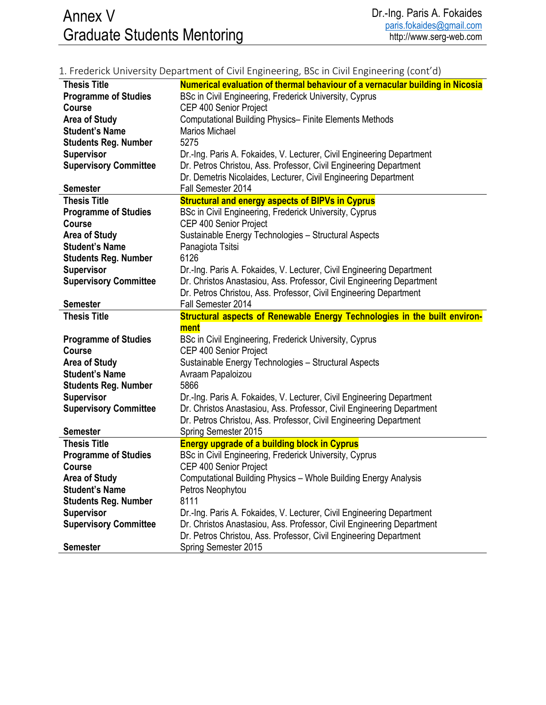# Annex V Graduate Students Mentoring

|                              | 1. Frederick University Department of Civil Engineering, BSc in Civil Engineering (cont'd) |
|------------------------------|--------------------------------------------------------------------------------------------|
| <b>Thesis Title</b>          | Numerical evaluation of thermal behaviour of a vernacular building in Nicosia              |
| <b>Programme of Studies</b>  | BSc in Civil Engineering, Frederick University, Cyprus                                     |
| <b>Course</b>                | CEP 400 Senior Project                                                                     |
| <b>Area of Study</b>         | <b>Computational Building Physics- Finite Elements Methods</b>                             |
| <b>Student's Name</b>        | Marios Michael                                                                             |
| <b>Students Reg. Number</b>  | 5275                                                                                       |
| <b>Supervisor</b>            | Dr.-Ing. Paris A. Fokaides, V. Lecturer, Civil Engineering Department                      |
| <b>Supervisory Committee</b> | Dr. Petros Christou, Ass. Professor, Civil Engineering Department                          |
|                              | Dr. Demetris Nicolaides, Lecturer, Civil Engineering Department                            |
| <b>Semester</b>              | Fall Semester 2014                                                                         |
| <b>Thesis Title</b>          | <b>Structural and energy aspects of BIPVs in Cyprus</b>                                    |
| <b>Programme of Studies</b>  | BSc in Civil Engineering, Frederick University, Cyprus                                     |
| <b>Course</b>                | CEP 400 Senior Project                                                                     |
| <b>Area of Study</b>         | Sustainable Energy Technologies - Structural Aspects                                       |
| <b>Student's Name</b>        | Panagiota Tsitsi                                                                           |
| <b>Students Reg. Number</b>  | 6126                                                                                       |
| <b>Supervisor</b>            | Dr.-Ing. Paris A. Fokaides, V. Lecturer, Civil Engineering Department                      |
| <b>Supervisory Committee</b> | Dr. Christos Anastasiou, Ass. Professor, Civil Engineering Department                      |
|                              | Dr. Petros Christou, Ass. Professor, Civil Engineering Department                          |
| <b>Semester</b>              | Fall Semester 2014                                                                         |
|                              |                                                                                            |
| <b>Thesis Title</b>          | Structural aspects of Renewable Energy Technologies in the built environ-                  |
|                              | ment                                                                                       |
| <b>Programme of Studies</b>  | BSc in Civil Engineering, Frederick University, Cyprus                                     |
| <b>Course</b>                | CEP 400 Senior Project                                                                     |
| <b>Area of Study</b>         | Sustainable Energy Technologies - Structural Aspects                                       |
| <b>Student's Name</b>        | Avraam Papaloizou                                                                          |
| <b>Students Reg. Number</b>  | 5866                                                                                       |
| <b>Supervisor</b>            | Dr.-Ing. Paris A. Fokaides, V. Lecturer, Civil Engineering Department                      |
| <b>Supervisory Committee</b> | Dr. Christos Anastasiou, Ass. Professor, Civil Engineering Department                      |
|                              | Dr. Petros Christou, Ass. Professor, Civil Engineering Department                          |
| <b>Semester</b>              | Spring Semester 2015                                                                       |
| <b>Thesis Title</b>          | <b>Energy upgrade of a building block in Cyprus</b>                                        |
| <b>Programme of Studies</b>  | BSc in Civil Engineering, Frederick University, Cyprus                                     |
| Course                       | CEP 400 Senior Project                                                                     |
| <b>Area of Study</b>         | Computational Building Physics - Whole Building Energy Analysis                            |
| <b>Student's Name</b>        | Petros Neophytou                                                                           |
| <b>Students Reg. Number</b>  | 8111                                                                                       |
| <b>Supervisor</b>            | Dr.-Ing. Paris A. Fokaides, V. Lecturer, Civil Engineering Department                      |
| <b>Supervisory Committee</b> | Dr. Christos Anastasiou, Ass. Professor, Civil Engineering Department                      |
| <b>Semester</b>              | Dr. Petros Christou, Ass. Professor, Civil Engineering Department<br>Spring Semester 2015  |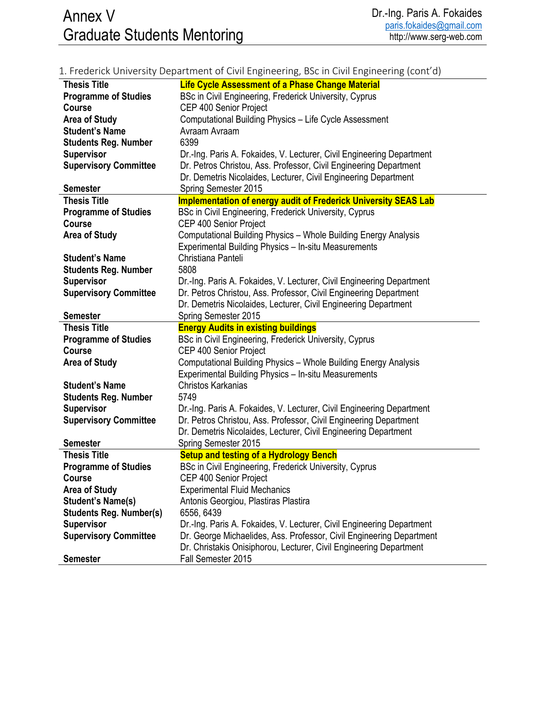|                                                  | 1. Frederick University Department of Civil Engineering, BSc in Civil Engineering (cont'd) |
|--------------------------------------------------|--------------------------------------------------------------------------------------------|
| <b>Thesis Title</b>                              | <b>Life Cycle Assessment of a Phase Change Material</b>                                    |
| <b>Programme of Studies</b>                      | BSc in Civil Engineering, Frederick University, Cyprus                                     |
| <b>Course</b>                                    | CEP 400 Senior Project                                                                     |
| <b>Area of Study</b>                             | Computational Building Physics - Life Cycle Assessment                                     |
| <b>Student's Name</b>                            | Avraam Avraam                                                                              |
| <b>Students Reg. Number</b>                      | 6399                                                                                       |
| <b>Supervisor</b>                                | Dr.-Ing. Paris A. Fokaides, V. Lecturer, Civil Engineering Department                      |
| <b>Supervisory Committee</b>                     | Dr. Petros Christou, Ass. Professor, Civil Engineering Department                          |
|                                                  | Dr. Demetris Nicolaides, Lecturer, Civil Engineering Department                            |
| <b>Semester</b>                                  | Spring Semester 2015                                                                       |
| <b>Thesis Title</b>                              | <b>Implementation of energy audit of Frederick University SEAS Lab</b>                     |
| <b>Programme of Studies</b>                      | BSc in Civil Engineering, Frederick University, Cyprus                                     |
| <b>Course</b>                                    | CEP 400 Senior Project                                                                     |
| <b>Area of Study</b>                             | Computational Building Physics - Whole Building Energy Analysis                            |
|                                                  | Experimental Building Physics - In-situ Measurements                                       |
| <b>Student's Name</b>                            | Christiana Panteli                                                                         |
| <b>Students Reg. Number</b>                      | 5808                                                                                       |
| <b>Supervisor</b>                                | Dr.-Ing. Paris A. Fokaides, V. Lecturer, Civil Engineering Department                      |
| <b>Supervisory Committee</b>                     | Dr. Petros Christou, Ass. Professor, Civil Engineering Department                          |
|                                                  | Dr. Demetris Nicolaides, Lecturer, Civil Engineering Department                            |
| <b>Semester</b>                                  | Spring Semester 2015                                                                       |
| <b>Thesis Title</b>                              | <b>Energy Audits in existing buildings</b>                                                 |
| <b>Programme of Studies</b>                      | BSc in Civil Engineering, Frederick University, Cyprus                                     |
| <b>Course</b>                                    | CEP 400 Senior Project                                                                     |
| <b>Area of Study</b>                             | Computational Building Physics - Whole Building Energy Analysis                            |
|                                                  | Experimental Building Physics - In-situ Measurements                                       |
| <b>Student's Name</b>                            | Christos Karkanias                                                                         |
| <b>Students Reg. Number</b>                      | 5749                                                                                       |
| <b>Supervisor</b>                                | Dr.-Ing. Paris A. Fokaides, V. Lecturer, Civil Engineering Department                      |
| <b>Supervisory Committee</b>                     | Dr. Petros Christou, Ass. Professor, Civil Engineering Department                          |
|                                                  | Dr. Demetris Nicolaides, Lecturer, Civil Engineering Department                            |
| <b>Semester</b>                                  | Spring Semester 2015                                                                       |
| <b>Thesis Title</b>                              | <b>Setup and testing of a Hydrology Bench</b>                                              |
| <b>Programme of Studies</b>                      | BSc in Civil Engineering, Frederick University, Cyprus                                     |
| Course                                           | CEP 400 Senior Project<br><b>Experimental Fluid Mechanics</b>                              |
| <b>Area of Study</b><br><b>Student's Name(s)</b> |                                                                                            |
| <b>Students Reg. Number(s)</b>                   | Antonis Georgiou, Plastiras Plastira<br>6556, 6439                                         |
| <b>Supervisor</b>                                | Dr.-Ing. Paris A. Fokaides, V. Lecturer, Civil Engineering Department                      |
| <b>Supervisory Committee</b>                     | Dr. George Michaelides, Ass. Professor, Civil Engineering Department                       |
|                                                  | Dr. Christakis Onisiphorou, Lecturer, Civil Engineering Department                         |
| <b>Semester</b>                                  | Fall Semester 2015                                                                         |
|                                                  |                                                                                            |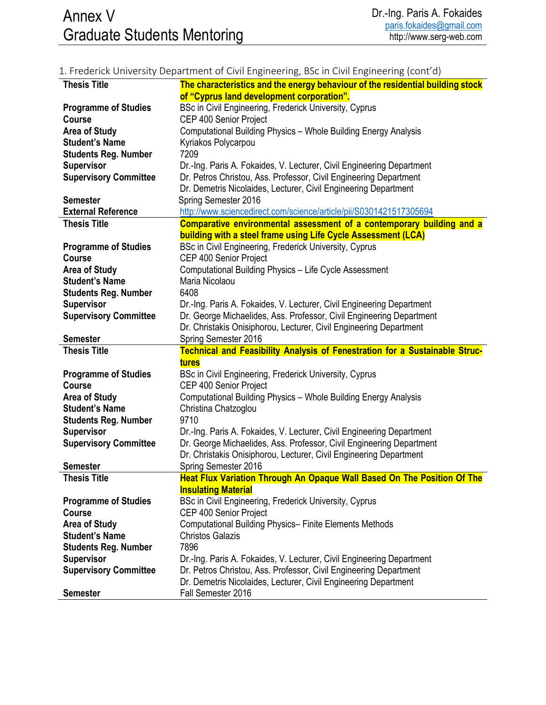## 1. Frederick University Department of Civil Engineering, BSc in Civil Engineering (cont'd)

| <b>Thesis Title</b>          | The characteristics and the energy behaviour of the residential building stock        |
|------------------------------|---------------------------------------------------------------------------------------|
|                              | of "Cyprus land development corporation".                                             |
| <b>Programme of Studies</b>  | BSc in Civil Engineering, Frederick University, Cyprus                                |
| <b>Course</b>                | CEP 400 Senior Project                                                                |
| <b>Area of Study</b>         | Computational Building Physics - Whole Building Energy Analysis                       |
| <b>Student's Name</b>        | Kyriakos Polycarpou                                                                   |
| <b>Students Reg. Number</b>  | 7209                                                                                  |
| <b>Supervisor</b>            | Dr.-Ing. Paris A. Fokaides, V. Lecturer, Civil Engineering Department                 |
| <b>Supervisory Committee</b> | Dr. Petros Christou, Ass. Professor, Civil Engineering Department                     |
|                              | Dr. Demetris Nicolaides, Lecturer, Civil Engineering Department                       |
| <b>Semester</b>              | Spring Semester 2016                                                                  |
| <b>External Reference</b>    | http://www.sciencedirect.com/science/article/pii/S0301421517305694                    |
| <b>Thesis Title</b>          | Comparative environmental assessment of a contemporary building and a                 |
|                              | building with a steel frame using Life Cycle Assessment (LCA)                         |
| <b>Programme of Studies</b>  | BSc in Civil Engineering, Frederick University, Cyprus                                |
| <b>Course</b>                | CEP 400 Senior Project                                                                |
| <b>Area of Study</b>         | Computational Building Physics - Life Cycle Assessment                                |
| <b>Student's Name</b>        | Maria Nicolaou                                                                        |
| <b>Students Reg. Number</b>  | 6408                                                                                  |
| <b>Supervisor</b>            | Dr.-Ing. Paris A. Fokaides, V. Lecturer, Civil Engineering Department                 |
| <b>Supervisory Committee</b> | Dr. George Michaelides, Ass. Professor, Civil Engineering Department                  |
|                              | Dr. Christakis Onisiphorou, Lecturer, Civil Engineering Department                    |
| <b>Semester</b>              | Spring Semester 2016                                                                  |
|                              |                                                                                       |
|                              |                                                                                       |
| <b>Thesis Title</b>          | Technical and Feasibility Analysis of Fenestration for a Sustainable Struc-           |
|                              | tures                                                                                 |
| <b>Programme of Studies</b>  | BSc in Civil Engineering, Frederick University, Cyprus                                |
| <b>Course</b>                | CEP 400 Senior Project                                                                |
| <b>Area of Study</b>         | Computational Building Physics - Whole Building Energy Analysis                       |
| <b>Student's Name</b>        | Christina Chatzoglou                                                                  |
| <b>Students Reg. Number</b>  | 9710                                                                                  |
| <b>Supervisor</b>            | Dr.-Ing. Paris A. Fokaides, V. Lecturer, Civil Engineering Department                 |
| <b>Supervisory Committee</b> | Dr. George Michaelides, Ass. Professor, Civil Engineering Department                  |
|                              | Dr. Christakis Onisiphorou, Lecturer, Civil Engineering Department                    |
| <b>Semester</b>              | Spring Semester 2016                                                                  |
| <b>Thesis Title</b>          | Heat Flux Variation Through An Opaque Wall Based On The Position Of The               |
|                              | <b>Insulating Material</b>                                                            |
| <b>Programme of Studies</b>  | BSc in Civil Engineering, Frederick University, Cyprus                                |
| <b>Course</b>                | CEP 400 Senior Project                                                                |
| <b>Area of Study</b>         | <b>Computational Building Physics- Finite Elements Methods</b>                        |
| <b>Student's Name</b>        | <b>Christos Galazis</b>                                                               |
| <b>Students Reg. Number</b>  | 7896                                                                                  |
| <b>Supervisor</b>            | Dr.-Ing. Paris A. Fokaides, V. Lecturer, Civil Engineering Department                 |
| <b>Supervisory Committee</b> | Dr. Petros Christou, Ass. Professor, Civil Engineering Department                     |
| <b>Semester</b>              | Dr. Demetris Nicolaides, Lecturer, Civil Engineering Department<br>Fall Semester 2016 |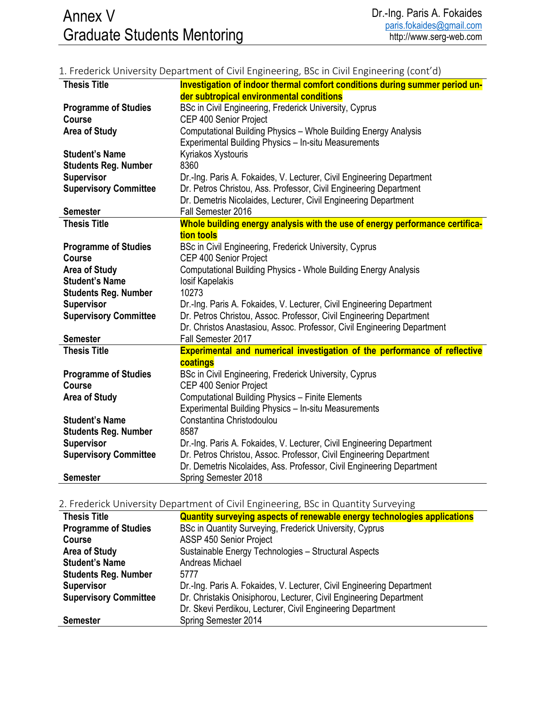## 1. Frederick University Department of Civil Engineering, BSc in Civil Engineering (cont'd)

| <b>Thesis Title</b>                          | Investigation of indoor thermal comfort conditions during summer period un-           |
|----------------------------------------------|---------------------------------------------------------------------------------------|
|                                              | der subtropical environmental conditions                                              |
| <b>Programme of Studies</b>                  | BSc in Civil Engineering, Frederick University, Cyprus                                |
| <b>Course</b>                                | CEP 400 Senior Project                                                                |
| <b>Area of Study</b>                         | Computational Building Physics - Whole Building Energy Analysis                       |
|                                              | Experimental Building Physics - In-situ Measurements                                  |
| <b>Student's Name</b>                        | Kyriakos Xystouris                                                                    |
| <b>Students Reg. Number</b>                  | 8360                                                                                  |
| <b>Supervisor</b>                            | Dr.-Ing. Paris A. Fokaides, V. Lecturer, Civil Engineering Department                 |
| <b>Supervisory Committee</b>                 | Dr. Petros Christou, Ass. Professor, Civil Engineering Department                     |
|                                              | Dr. Demetris Nicolaides, Lecturer, Civil Engineering Department                       |
| <b>Semester</b>                              | Fall Semester 2016                                                                    |
| <b>Thesis Title</b>                          | Whole building energy analysis with the use of energy performance certifica-          |
|                                              | tion tools                                                                            |
| <b>Programme of Studies</b>                  | BSc in Civil Engineering, Frederick University, Cyprus                                |
| Course                                       | CEP 400 Senior Project                                                                |
| <b>Area of Study</b>                         | Computational Building Physics - Whole Building Energy Analysis                       |
| <b>Student's Name</b>                        | losif Kapelakis                                                                       |
| <b>Students Reg. Number</b>                  | 10273                                                                                 |
| <b>Supervisor</b>                            | Dr.-Ing. Paris A. Fokaides, V. Lecturer, Civil Engineering Department                 |
| <b>Supervisory Committee</b>                 | Dr. Petros Christou, Assoc. Professor, Civil Engineering Department                   |
|                                              | Dr. Christos Anastasiou, Assoc. Professor, Civil Engineering Department               |
| <b>Semester</b>                              | Fall Semester 2017                                                                    |
| <b>Thesis Title</b>                          |                                                                                       |
|                                              | Experimental and numerical investigation of the performance of reflective<br>coatings |
|                                              |                                                                                       |
| <b>Programme of Studies</b><br><b>Course</b> | BSc in Civil Engineering, Frederick University, Cyprus                                |
|                                              | CEP 400 Senior Project                                                                |
| <b>Area of Study</b>                         | Computational Building Physics - Finite Elements                                      |
|                                              | Experimental Building Physics - In-situ Measurements                                  |
| <b>Student's Name</b>                        | Constantina Christodoulou                                                             |
| <b>Students Reg. Number</b>                  | 8587                                                                                  |
| <b>Supervisor</b>                            | Dr.-Ing. Paris A. Fokaides, V. Lecturer, Civil Engineering Department                 |
| <b>Supervisory Committee</b>                 | Dr. Petros Christou, Assoc. Professor, Civil Engineering Department                   |
|                                              | Dr. Demetris Nicolaides, Ass. Professor, Civil Engineering Department                 |
| <b>Semester</b>                              | Spring Semester 2018                                                                  |

### 2. Frederick University Department of Civil Engineering, BSc in Quantity Surveying

| <b>Thesis Title</b>          | Quantity surveying aspects of renewable energy technologies applications |
|------------------------------|--------------------------------------------------------------------------|
| <b>Programme of Studies</b>  | BSc in Quantity Surveying, Frederick University, Cyprus                  |
| <b>Course</b>                | ASSP 450 Senior Project                                                  |
| <b>Area of Study</b>         | Sustainable Energy Technologies - Structural Aspects                     |
| <b>Student's Name</b>        | Andreas Michael                                                          |
| <b>Students Reg. Number</b>  | 5777                                                                     |
| <b>Supervisor</b>            | Dr.-Ing. Paris A. Fokaides, V. Lecturer, Civil Engineering Department    |
| <b>Supervisory Committee</b> | Dr. Christakis Onisiphorou, Lecturer, Civil Engineering Department       |
|                              | Dr. Skevi Perdikou, Lecturer, Civil Engineering Department               |
| <b>Semester</b>              | Spring Semester 2014                                                     |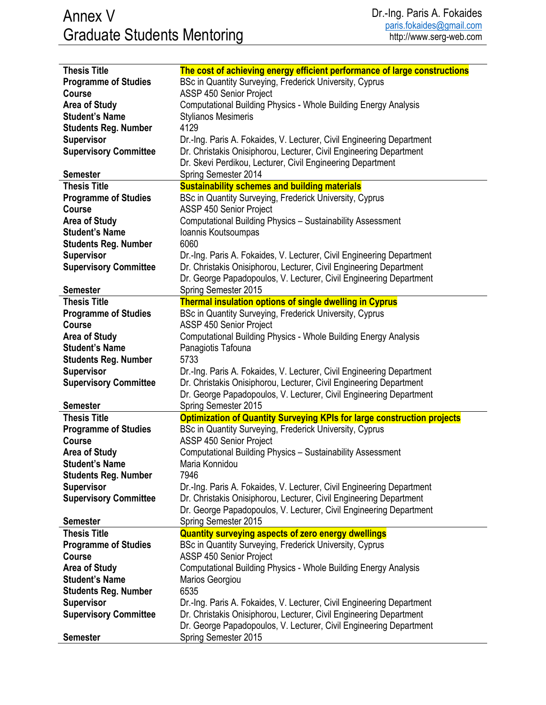| <b>Thesis Title</b>          | The cost of achieving energy efficient performance of large constructions      |
|------------------------------|--------------------------------------------------------------------------------|
| <b>Programme of Studies</b>  | BSc in Quantity Surveying, Frederick University, Cyprus                        |
| Course                       | ASSP 450 Senior Project                                                        |
| <b>Area of Study</b>         | Computational Building Physics - Whole Building Energy Analysis                |
| <b>Student's Name</b>        | <b>Stylianos Mesimeris</b>                                                     |
| <b>Students Reg. Number</b>  | 4129                                                                           |
| <b>Supervisor</b>            | Dr.-Ing. Paris A. Fokaides, V. Lecturer, Civil Engineering Department          |
| <b>Supervisory Committee</b> | Dr. Christakis Onisiphorou, Lecturer, Civil Engineering Department             |
|                              |                                                                                |
|                              | Dr. Skevi Perdikou, Lecturer, Civil Engineering Department                     |
| <b>Semester</b>              | Spring Semester 2014                                                           |
| <b>Thesis Title</b>          | <b>Sustainability schemes and building materials</b>                           |
| <b>Programme of Studies</b>  | BSc in Quantity Surveying, Frederick University, Cyprus                        |
| <b>Course</b>                | ASSP 450 Senior Project                                                        |
| <b>Area of Study</b>         | Computational Building Physics - Sustainability Assessment                     |
| <b>Student's Name</b>        | Ioannis Koutsoumpas                                                            |
| <b>Students Reg. Number</b>  | 6060                                                                           |
| <b>Supervisor</b>            | Dr.-Ing. Paris A. Fokaides, V. Lecturer, Civil Engineering Department          |
| <b>Supervisory Committee</b> | Dr. Christakis Onisiphorou, Lecturer, Civil Engineering Department             |
|                              | Dr. George Papadopoulos, V. Lecturer, Civil Engineering Department             |
| <b>Semester</b>              | Spring Semester 2015                                                           |
| <b>Thesis Title</b>          | <b>Thermal insulation options of single dwelling in Cyprus</b>                 |
| <b>Programme of Studies</b>  | BSc in Quantity Surveying, Frederick University, Cyprus                        |
| <b>Course</b>                | ASSP 450 Senior Project                                                        |
| <b>Area of Study</b>         | Computational Building Physics - Whole Building Energy Analysis                |
| <b>Student's Name</b>        | Panagiotis Tafouna                                                             |
| <b>Students Reg. Number</b>  | 5733                                                                           |
| <b>Supervisor</b>            | Dr.-Ing. Paris A. Fokaides, V. Lecturer, Civil Engineering Department          |
| <b>Supervisory Committee</b> | Dr. Christakis Onisiphorou, Lecturer, Civil Engineering Department             |
|                              | Dr. George Papadopoulos, V. Lecturer, Civil Engineering Department             |
| <b>Semester</b>              | Spring Semester 2015                                                           |
| <b>Thesis Title</b>          | <b>Optimization of Quantity Surveying KPIs for large construction projects</b> |
| <b>Programme of Studies</b>  | BSc in Quantity Surveying, Frederick University, Cyprus                        |
| <b>Course</b>                | ASSP 450 Senior Project                                                        |
| <b>Area of Study</b>         | Computational Building Physics - Sustainability Assessment                     |
| <b>Student's Name</b>        | Maria Konnidou                                                                 |
| <b>Students Reg. Number</b>  | 7946                                                                           |
| <b>Supervisor</b>            | Dr.-Ing. Paris A. Fokaides, V. Lecturer, Civil Engineering Department          |
| <b>Supervisory Committee</b> | Dr. Christakis Onisiphorou, Lecturer, Civil Engineering Department             |
|                              | Dr. George Papadopoulos, V. Lecturer, Civil Engineering Department             |
| <b>Semester</b>              | Spring Semester 2015                                                           |
| <b>Thesis Title</b>          | <b>Quantity surveying aspects of zero energy dwellings</b>                     |
| <b>Programme of Studies</b>  | BSc in Quantity Surveying, Frederick University, Cyprus                        |
| <b>Course</b>                | ASSP 450 Senior Project                                                        |
| <b>Area of Study</b>         | <b>Computational Building Physics - Whole Building Energy Analysis</b>         |
| <b>Student's Name</b>        | Marios Georgiou                                                                |
| <b>Students Reg. Number</b>  | 6535                                                                           |
| <b>Supervisor</b>            | Dr.-Ing. Paris A. Fokaides, V. Lecturer, Civil Engineering Department          |
| <b>Supervisory Committee</b> | Dr. Christakis Onisiphorou, Lecturer, Civil Engineering Department             |
|                              |                                                                                |
|                              | Dr. George Papadopoulos, V. Lecturer, Civil Engineering Department             |
| <b>Semester</b>              | Spring Semester 2015                                                           |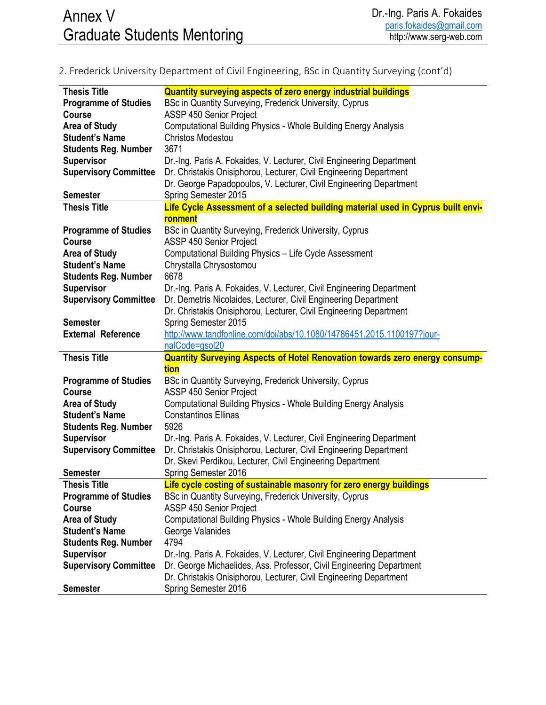## 2. Frederick University Department of Civil Engineering, BSc in Quantity Surveying (cont'd)

| <b>Thesis Title</b>                           | <b>Quantity surveying aspects of zero energy industrial buildings</b>                                                                      |
|-----------------------------------------------|--------------------------------------------------------------------------------------------------------------------------------------------|
| <b>Programme of Studies</b>                   | BSc in Quantity Surveying, Frederick University, Cyprus                                                                                    |
| <b>Course</b>                                 | ASSP 450 Senior Project                                                                                                                    |
| <b>Area of Study</b>                          | Computational Building Physics - Whole Building Energy Analysis                                                                            |
| <b>Student's Name</b>                         | <b>Christos Modestou</b>                                                                                                                   |
| <b>Students Reg. Number</b>                   | 3671                                                                                                                                       |
| <b>Supervisor</b>                             | Dr.-Ing. Paris A. Fokaides, V. Lecturer, Civil Engineering Department                                                                      |
| <b>Supervisory Committee</b>                  | Dr. Christakis Onisiphorou, Lecturer, Civil Engineering Department                                                                         |
|                                               | Dr. George Papadopoulos, V. Lecturer, Civil Engineering Department                                                                         |
| <b>Semester</b>                               | Spring Semester 2015                                                                                                                       |
| <b>Thesis Title</b>                           | Life Cycle Assessment of a selected building material used in Cyprus built envi-                                                           |
|                                               | ronment                                                                                                                                    |
| <b>Programme of Studies</b>                   | BSc in Quantity Surveying, Frederick University, Cyprus                                                                                    |
| <b>Course</b>                                 | ASSP 450 Senior Project                                                                                                                    |
| <b>Area of Study</b>                          | Computational Building Physics - Life Cycle Assessment                                                                                     |
| <b>Student's Name</b>                         | Chrystalla Chrysostomou                                                                                                                    |
| <b>Students Reg. Number</b>                   | 6678                                                                                                                                       |
| <b>Supervisor</b>                             | Dr.-Ing. Paris A. Fokaides, V. Lecturer, Civil Engineering Department                                                                      |
| <b>Supervisory Committee</b>                  | Dr. Demetris Nicolaides, Lecturer, Civil Engineering Department                                                                            |
|                                               | Dr. Christakis Onisiphorou, Lecturer, Civil Engineering Department                                                                         |
| <b>Semester</b>                               | Spring Semester 2015                                                                                                                       |
| <b>External Reference</b>                     | http://www.tandfonline.com/doi/abs/10.1080/14786451.2015.1100197?jour-                                                                     |
|                                               |                                                                                                                                            |
|                                               |                                                                                                                                            |
|                                               | nalCode=gsol20                                                                                                                             |
| <b>Thesis Title</b>                           | Quantity Surveying Aspects of Hotel Renovation towards zero energy consump-                                                                |
|                                               | tion                                                                                                                                       |
| <b>Programme of Studies</b><br><b>Course</b>  | BSc in Quantity Surveying, Frederick University, Cyprus                                                                                    |
|                                               | ASSP 450 Senior Project                                                                                                                    |
| <b>Area of Study</b><br><b>Student's Name</b> | <b>Computational Building Physics - Whole Building Energy Analysis</b>                                                                     |
|                                               | <b>Constantinos Ellinas</b>                                                                                                                |
| <b>Students Reg. Number</b>                   | 5926                                                                                                                                       |
| <b>Supervisor</b>                             | Dr.-Ing. Paris A. Fokaides, V. Lecturer, Civil Engineering Department                                                                      |
| <b>Supervisory Committee</b>                  | Dr. Christakis Onisiphorou, Lecturer, Civil Engineering Department                                                                         |
|                                               | Dr. Skevi Perdikou, Lecturer, Civil Engineering Department                                                                                 |
| <b>Semester</b>                               | Spring Semester 2016                                                                                                                       |
| <b>Thesis Title</b>                           | Life cycle costing of sustainable masonry for zero energy buildings                                                                        |
| <b>Programme of Studies</b><br><b>Course</b>  | BSc in Quantity Surveying, Frederick University, Cyprus                                                                                    |
|                                               | ASSP 450 Senior Project                                                                                                                    |
| <b>Area of Study</b><br><b>Student's Name</b> | <b>Computational Building Physics - Whole Building Energy Analysis</b>                                                                     |
|                                               | George Valanides<br>4794                                                                                                                   |
| <b>Students Reg. Number</b>                   |                                                                                                                                            |
| <b>Supervisor</b>                             | Dr.-Ing. Paris A. Fokaides, V. Lecturer, Civil Engineering Department                                                                      |
| <b>Supervisory Committee</b>                  | Dr. George Michaelides, Ass. Professor, Civil Engineering Department<br>Dr. Christakis Onisiphorou, Lecturer, Civil Engineering Department |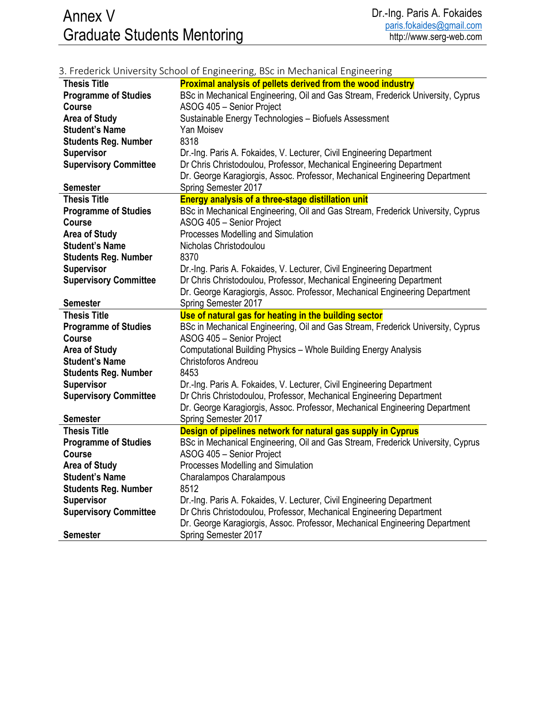# Annex V Graduate Students Mentoring

|                              | 3. Frederick University School of Engineering, BSc in Mechanical Engineering    |
|------------------------------|---------------------------------------------------------------------------------|
| <b>Thesis Title</b>          | <b>Proximal analysis of pellets derived from the wood industry</b>              |
| <b>Programme of Studies</b>  | BSc in Mechanical Engineering, Oil and Gas Stream, Frederick University, Cyprus |
| <b>Course</b>                | ASOG 405 - Senior Project                                                       |
| <b>Area of Study</b>         | Sustainable Energy Technologies - Biofuels Assessment                           |
| <b>Student's Name</b>        | Yan Moisev                                                                      |
| <b>Students Reg. Number</b>  | 8318                                                                            |
| <b>Supervisor</b>            | Dr.-Ing. Paris A. Fokaides, V. Lecturer, Civil Engineering Department           |
| <b>Supervisory Committee</b> | Dr Chris Christodoulou, Professor, Mechanical Engineering Department            |
|                              | Dr. George Karagiorgis, Assoc. Professor, Mechanical Engineering Department     |
| <b>Semester</b>              | Spring Semester 2017                                                            |
| <b>Thesis Title</b>          | <b>Energy analysis of a three-stage distillation unit</b>                       |
| <b>Programme of Studies</b>  | BSc in Mechanical Engineering, Oil and Gas Stream, Frederick University, Cyprus |
| <b>Course</b>                | ASOG 405 - Senior Project                                                       |
| <b>Area of Study</b>         | Processes Modelling and Simulation                                              |
| <b>Student's Name</b>        | Nicholas Christodoulou                                                          |
| <b>Students Reg. Number</b>  | 8370                                                                            |
| <b>Supervisor</b>            | Dr.-Ing. Paris A. Fokaides, V. Lecturer, Civil Engineering Department           |
| <b>Supervisory Committee</b> | Dr Chris Christodoulou, Professor, Mechanical Engineering Department            |
|                              | Dr. George Karagiorgis, Assoc. Professor, Mechanical Engineering Department     |
| <b>Semester</b>              | Spring Semester 2017                                                            |
| <b>Thesis Title</b>          | Use of natural gas for heating in the building sector                           |
| <b>Programme of Studies</b>  | BSc in Mechanical Engineering, Oil and Gas Stream, Frederick University, Cyprus |
| <b>Course</b>                | ASOG 405 - Senior Project                                                       |
| <b>Area of Study</b>         | Computational Building Physics - Whole Building Energy Analysis                 |
| <b>Student's Name</b>        | <b>Christoforos Andreou</b>                                                     |
| <b>Students Reg. Number</b>  | 8453                                                                            |
| <b>Supervisor</b>            | Dr.-Ing. Paris A. Fokaides, V. Lecturer, Civil Engineering Department           |
| <b>Supervisory Committee</b> | Dr Chris Christodoulou, Professor, Mechanical Engineering Department            |
|                              | Dr. George Karagiorgis, Assoc. Professor, Mechanical Engineering Department     |
| <b>Semester</b>              | Spring Semester 2017                                                            |
| <b>Thesis Title</b>          | Design of pipelines network for natural gas supply in Cyprus                    |
| <b>Programme of Studies</b>  | BSc in Mechanical Engineering, Oil and Gas Stream, Frederick University, Cyprus |
| <b>Course</b>                | ASOG 405 - Senior Project                                                       |
| <b>Area of Study</b>         | Processes Modelling and Simulation                                              |
| <b>Student's Name</b>        | Charalampos Charalampous                                                        |
| <b>Students Reg. Number</b>  | 8512                                                                            |
| <b>Supervisor</b>            | Dr.-Ing. Paris A. Fokaides, V. Lecturer, Civil Engineering Department           |
| <b>Supervisory Committee</b> | Dr Chris Christodoulou, Professor, Mechanical Engineering Department            |
|                              | Dr. George Karagiorgis, Assoc. Professor, Mechanical Engineering Department     |
| <b>Semester</b>              | Spring Semester 2017                                                            |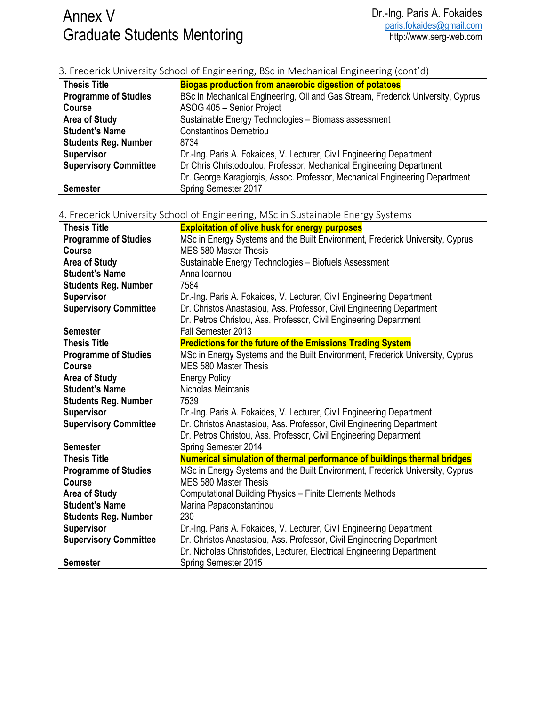## 3. Frederick University School of Engineering, BSc in Mechanical Engineering (cont'd)

| <b>Thesis Title</b>          | <b>Biogas production from anaerobic digestion of potatoes</b>                   |
|------------------------------|---------------------------------------------------------------------------------|
| <b>Programme of Studies</b>  | BSc in Mechanical Engineering, Oil and Gas Stream, Frederick University, Cyprus |
| <b>Course</b>                | ASOG 405 - Senior Project                                                       |
| <b>Area of Study</b>         | Sustainable Energy Technologies - Biomass assessment                            |
| <b>Student's Name</b>        | <b>Constantinos Demetriou</b>                                                   |
| <b>Students Reg. Number</b>  | 8734                                                                            |
| <b>Supervisor</b>            | Dr.-Ing. Paris A. Fokaides, V. Lecturer, Civil Engineering Department           |
| <b>Supervisory Committee</b> | Dr Chris Christodoulou, Professor, Mechanical Engineering Department            |
|                              | Dr. George Karagiorgis, Assoc. Professor, Mechanical Engineering Department     |
| <b>Semester</b>              | Spring Semester 2017                                                            |

| <b>Thesis Title</b>          | <b>Exploitation of olive husk for energy purposes</b>                         |
|------------------------------|-------------------------------------------------------------------------------|
| <b>Programme of Studies</b>  | MSc in Energy Systems and the Built Environment, Frederick University, Cyprus |
| <b>Course</b>                | <b>MES 580 Master Thesis</b>                                                  |
| <b>Area of Study</b>         | Sustainable Energy Technologies - Biofuels Assessment                         |
| <b>Student's Name</b>        | Anna Ioannou                                                                  |
| <b>Students Reg. Number</b>  | 7584                                                                          |
| <b>Supervisor</b>            | Dr.-Ing. Paris A. Fokaides, V. Lecturer, Civil Engineering Department         |
| <b>Supervisory Committee</b> | Dr. Christos Anastasiou, Ass. Professor, Civil Engineering Department         |
|                              | Dr. Petros Christou, Ass. Professor, Civil Engineering Department             |
| <b>Semester</b>              | Fall Semester 2013                                                            |
| <b>Thesis Title</b>          | <b>Predictions for the future of the Emissions Trading System</b>             |
| <b>Programme of Studies</b>  | MSc in Energy Systems and the Built Environment, Frederick University, Cyprus |
| <b>Course</b>                | MES 580 Master Thesis                                                         |
| <b>Area of Study</b>         | <b>Energy Policy</b>                                                          |
| <b>Student's Name</b>        | Nicholas Meintanis                                                            |
| <b>Students Reg. Number</b>  | 7539                                                                          |
| <b>Supervisor</b>            | Dr.-Ing. Paris A. Fokaides, V. Lecturer, Civil Engineering Department         |
| <b>Supervisory Committee</b> | Dr. Christos Anastasiou, Ass. Professor, Civil Engineering Department         |
|                              | Dr. Petros Christou, Ass. Professor, Civil Engineering Department             |
| <b>Semester</b>              | Spring Semester 2014                                                          |
| <b>Thesis Title</b>          | Numerical simulation of thermal performance of buildings thermal bridges      |
| <b>Programme of Studies</b>  | MSc in Energy Systems and the Built Environment, Frederick University, Cyprus |
| <b>Course</b>                | MES 580 Master Thesis                                                         |
| <b>Area of Study</b>         | <b>Computational Building Physics - Finite Elements Methods</b>               |
| <b>Student's Name</b>        | Marina Papaconstantinou                                                       |
| <b>Students Reg. Number</b>  | 230                                                                           |
| <b>Supervisor</b>            | Dr.-Ing. Paris A. Fokaides, V. Lecturer, Civil Engineering Department         |
| <b>Supervisory Committee</b> | Dr. Christos Anastasiou, Ass. Professor, Civil Engineering Department         |
|                              | Dr. Nicholas Christofides, Lecturer, Electrical Engineering Department        |
| <b>Semester</b>              | Spring Semester 2015                                                          |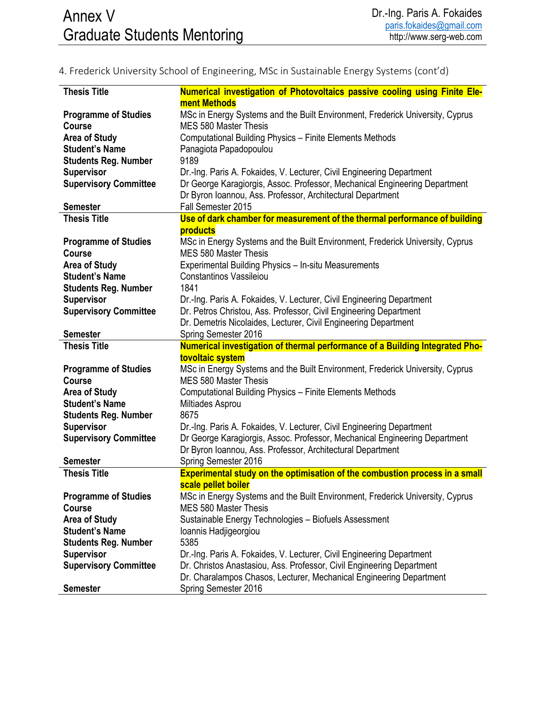| <b>Thesis Title</b>          | Numerical investigation of Photovoltaics passive cooling using Finite Ele-                  |
|------------------------------|---------------------------------------------------------------------------------------------|
|                              | ment Methods                                                                                |
| <b>Programme of Studies</b>  | MSc in Energy Systems and the Built Environment, Frederick University, Cyprus               |
| <b>Course</b>                | <b>MES 580 Master Thesis</b>                                                                |
| <b>Area of Study</b>         | Computational Building Physics - Finite Elements Methods                                    |
| <b>Student's Name</b>        | Panagiota Papadopoulou                                                                      |
| <b>Students Reg. Number</b>  | 9189                                                                                        |
| <b>Supervisor</b>            | Dr.-Ing. Paris A. Fokaides, V. Lecturer, Civil Engineering Department                       |
| <b>Supervisory Committee</b> | Dr George Karagiorgis, Assoc. Professor, Mechanical Engineering Department                  |
|                              | Dr Byron Ioannou, Ass. Professor, Architectural Department                                  |
| <b>Semester</b>              | Fall Semester 2015                                                                          |
| <b>Thesis Title</b>          | Use of dark chamber for measurement of the thermal performance of building                  |
|                              | <b>products</b>                                                                             |
| <b>Programme of Studies</b>  | MSc in Energy Systems and the Built Environment, Frederick University, Cyprus               |
| <b>Course</b>                | MES 580 Master Thesis                                                                       |
| <b>Area of Study</b>         | Experimental Building Physics - In-situ Measurements                                        |
| <b>Student's Name</b>        | Constantinos Vassileiou                                                                     |
| <b>Students Reg. Number</b>  | 1841                                                                                        |
| <b>Supervisor</b>            | Dr.-Ing. Paris A. Fokaides, V. Lecturer, Civil Engineering Department                       |
| <b>Supervisory Committee</b> | Dr. Petros Christou, Ass. Professor, Civil Engineering Department                           |
|                              | Dr. Demetris Nicolaides, Lecturer, Civil Engineering Department                             |
| <b>Semester</b>              | Spring Semester 2016                                                                        |
| <b>Thesis Title</b>          | Numerical investigation of thermal performance of a Building Integrated Pho-                |
|                              |                                                                                             |
|                              | tovoltaic system                                                                            |
| <b>Programme of Studies</b>  | MSc in Energy Systems and the Built Environment, Frederick University, Cyprus               |
| <b>Course</b>                | <b>MES 580 Master Thesis</b>                                                                |
| <b>Area of Study</b>         | <b>Computational Building Physics - Finite Elements Methods</b>                             |
| <b>Student's Name</b>        | Miltiades Asprou                                                                            |
| <b>Students Reg. Number</b>  | 8675                                                                                        |
| <b>Supervisor</b>            | Dr.-Ing. Paris A. Fokaides, V. Lecturer, Civil Engineering Department                       |
| <b>Supervisory Committee</b> | Dr George Karagiorgis, Assoc. Professor, Mechanical Engineering Department                  |
|                              | Dr Byron Ioannou, Ass. Professor, Architectural Department                                  |
| <b>Semester</b>              | Spring Semester 2016                                                                        |
| <b>Thesis Title</b>          | <b>Experimental study on the optimisation of the combustion process in a small</b>          |
|                              | scale pellet boiler                                                                         |
| <b>Programme of Studies</b>  | MSc in Energy Systems and the Built Environment, Frederick University, Cyprus               |
| <b>Course</b>                | <b>MES 580 Master Thesis</b>                                                                |
| <b>Area of Study</b>         | Sustainable Energy Technologies - Biofuels Assessment                                       |
| <b>Student's Name</b>        | Ioannis Hadjigeorgiou                                                                       |
| <b>Students Reg. Number</b>  | 5385                                                                                        |
| <b>Supervisor</b>            | Dr.-Ing. Paris A. Fokaides, V. Lecturer, Civil Engineering Department                       |
| <b>Supervisory Committee</b> | Dr. Christos Anastasiou, Ass. Professor, Civil Engineering Department                       |
| <b>Semester</b>              | Dr. Charalampos Chasos, Lecturer, Mechanical Engineering Department<br>Spring Semester 2016 |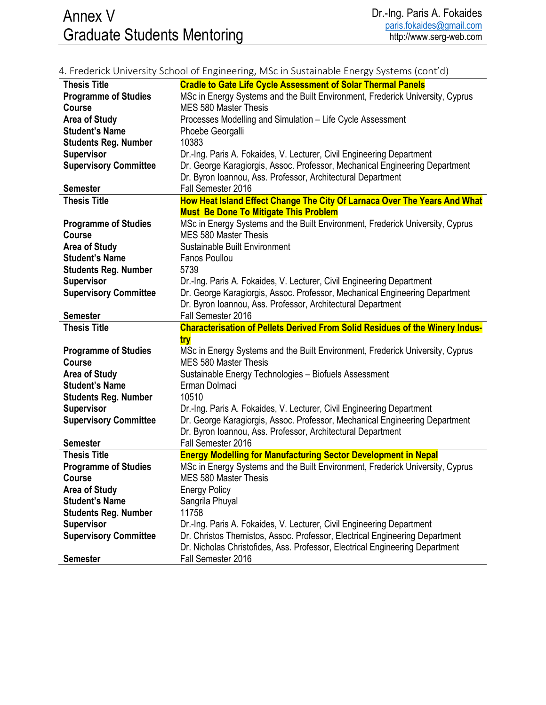# Annex V Graduate Students Mentoring

|                              | 4. Frederick University School of Engineering, MSc in Sustainable Energy Systems (cont'd)          |
|------------------------------|----------------------------------------------------------------------------------------------------|
| <b>Thesis Title</b>          | <b>Cradle to Gate Life Cycle Assessment of Solar Thermal Panels</b>                                |
| <b>Programme of Studies</b>  | MSc in Energy Systems and the Built Environment, Frederick University, Cyprus                      |
| <b>Course</b>                | <b>MES 580 Master Thesis</b>                                                                       |
| <b>Area of Study</b>         | Processes Modelling and Simulation - Life Cycle Assessment                                         |
| <b>Student's Name</b>        | Phoebe Georgalli                                                                                   |
| <b>Students Reg. Number</b>  | 10383                                                                                              |
| <b>Supervisor</b>            | Dr.-Ing. Paris A. Fokaides, V. Lecturer, Civil Engineering Department                              |
| <b>Supervisory Committee</b> | Dr. George Karagiorgis, Assoc. Professor, Mechanical Engineering Department                        |
|                              | Dr. Byron Ioannou, Ass. Professor, Architectural Department                                        |
| <b>Semester</b>              | Fall Semester 2016                                                                                 |
| <b>Thesis Title</b>          | How Heat Island Effect Change The City Of Larnaca Over The Years And What                          |
|                              | <b>Must Be Done To Mitigate This Problem</b>                                                       |
| <b>Programme of Studies</b>  | MSc in Energy Systems and the Built Environment, Frederick University, Cyprus                      |
| <b>Course</b>                | <b>MES 580 Master Thesis</b>                                                                       |
| <b>Area of Study</b>         | Sustainable Built Environment                                                                      |
| <b>Student's Name</b>        | Fanos Poullou                                                                                      |
| <b>Students Reg. Number</b>  | 5739                                                                                               |
| <b>Supervisor</b>            | Dr.-Ing. Paris A. Fokaides, V. Lecturer, Civil Engineering Department                              |
| <b>Supervisory Committee</b> | Dr. George Karagiorgis, Assoc. Professor, Mechanical Engineering Department                        |
|                              | Dr. Byron Ioannou, Ass. Professor, Architectural Department                                        |
| <b>Semester</b>              | Fall Semester 2016                                                                                 |
|                              |                                                                                                    |
| <b>Thesis Title</b>          | <b>Characterisation of Pellets Derived From Solid Residues of the Winery Indus-</b>                |
|                              | try                                                                                                |
| <b>Programme of Studies</b>  | MSc in Energy Systems and the Built Environment, Frederick University, Cyprus                      |
| <b>Course</b>                | <b>MES 580 Master Thesis</b>                                                                       |
| <b>Area of Study</b>         | Sustainable Energy Technologies - Biofuels Assessment                                              |
| <b>Student's Name</b>        | Erman Dolmaci                                                                                      |
| <b>Students Reg. Number</b>  | 10510                                                                                              |
| <b>Supervisor</b>            | Dr.-Ing. Paris A. Fokaides, V. Lecturer, Civil Engineering Department                              |
| <b>Supervisory Committee</b> | Dr. George Karagiorgis, Assoc. Professor, Mechanical Engineering Department                        |
|                              | Dr. Byron Ioannou, Ass. Professor, Architectural Department                                        |
| <b>Semester</b>              | Fall Semester 2016                                                                                 |
| <b>Thesis Title</b>          | <b>Energy Modelling for Manufacturing Sector Development in Nepal</b>                              |
| <b>Programme of Studies</b>  | MSc in Energy Systems and the Built Environment, Frederick University, Cyprus                      |
| <b>Course</b>                | <b>MES 580 Master Thesis</b>                                                                       |
| <b>Area of Study</b>         | <b>Energy Policy</b>                                                                               |
| <b>Student's Name</b>        | Sangrila Phuyal                                                                                    |
| <b>Students Reg. Number</b>  | 11758                                                                                              |
| <b>Supervisor</b>            | Dr.-Ing. Paris A. Fokaides, V. Lecturer, Civil Engineering Department                              |
| <b>Supervisory Committee</b> | Dr. Christos Themistos, Assoc. Professor, Electrical Engineering Department                        |
| <b>Semester</b>              | Dr. Nicholas Christofides, Ass. Professor, Electrical Engineering Department<br>Fall Semester 2016 |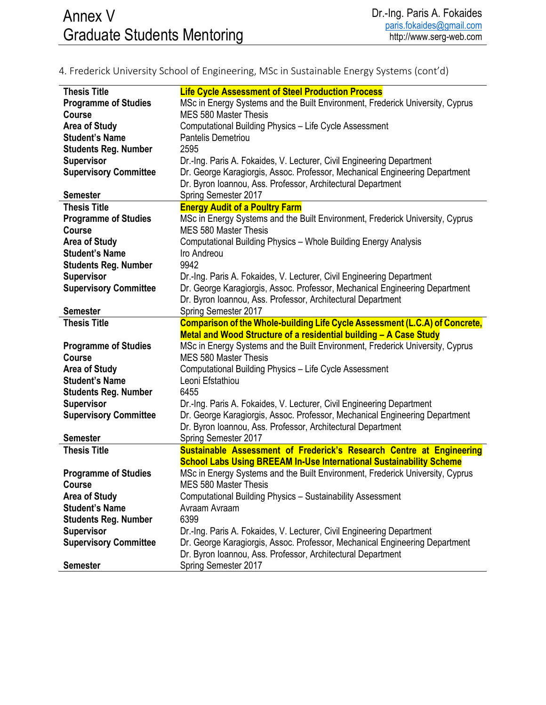| <b>Thesis Title</b>          | <b>Life Cycle Assessment of Steel Production Process</b>                      |
|------------------------------|-------------------------------------------------------------------------------|
| <b>Programme of Studies</b>  | MSc in Energy Systems and the Built Environment, Frederick University, Cyprus |
| <b>Course</b>                | MES 580 Master Thesis                                                         |
| <b>Area of Study</b>         | Computational Building Physics - Life Cycle Assessment                        |
| <b>Student's Name</b>        | <b>Pantelis Demetriou</b>                                                     |
| <b>Students Reg. Number</b>  | 2595                                                                          |
| <b>Supervisor</b>            | Dr.-Ing. Paris A. Fokaides, V. Lecturer, Civil Engineering Department         |
| <b>Supervisory Committee</b> | Dr. George Karagiorgis, Assoc. Professor, Mechanical Engineering Department   |
|                              | Dr. Byron Ioannou, Ass. Professor, Architectural Department                   |
| <b>Semester</b>              | Spring Semester 2017                                                          |
| <b>Thesis Title</b>          | <b>Energy Audit of a Poultry Farm</b>                                         |
| <b>Programme of Studies</b>  | MSc in Energy Systems and the Built Environment, Frederick University, Cyprus |
| <b>Course</b>                | <b>MES 580 Master Thesis</b>                                                  |
| <b>Area of Study</b>         | Computational Building Physics - Whole Building Energy Analysis               |
| <b>Student's Name</b>        | Iro Andreou                                                                   |
| <b>Students Reg. Number</b>  | 9942                                                                          |
| <b>Supervisor</b>            | Dr.-Ing. Paris A. Fokaides, V. Lecturer, Civil Engineering Department         |
| <b>Supervisory Committee</b> | Dr. George Karagiorgis, Assoc. Professor, Mechanical Engineering Department   |
|                              | Dr. Byron Ioannou, Ass. Professor, Architectural Department                   |
| <b>Semester</b>              | Spring Semester 2017                                                          |
| <b>Thesis Title</b>          | Comparison of the Whole-building Life Cycle Assessment (L.C.A) of Concrete,   |
|                              | Metal and Wood Structure of a residential building - A Case Study             |
| <b>Programme of Studies</b>  | MSc in Energy Systems and the Built Environment, Frederick University, Cyprus |
| <b>Course</b>                | <b>MES 580 Master Thesis</b>                                                  |
| <b>Area of Study</b>         | Computational Building Physics - Life Cycle Assessment                        |
| <b>Student's Name</b>        | Leoni Efstathiou                                                              |
| <b>Students Reg. Number</b>  | 6455                                                                          |
| <b>Supervisor</b>            | Dr.-Ing. Paris A. Fokaides, V. Lecturer, Civil Engineering Department         |
| <b>Supervisory Committee</b> | Dr. George Karagiorgis, Assoc. Professor, Mechanical Engineering Department   |
|                              | Dr. Byron Ioannou, Ass. Professor, Architectural Department                   |
| <b>Semester</b>              | Spring Semester 2017                                                          |
| <b>Thesis Title</b>          | Sustainable Assessment of Frederick's Research Centre at Engineering          |
|                              | <b>School Labs Using BREEAM In-Use International Sustainability Scheme</b>    |
| <b>Programme of Studies</b>  | MSc in Energy Systems and the Built Environment, Frederick University, Cyprus |
| Course                       | MES 580 Master Thesis                                                         |
| <b>Area of Study</b>         | Computational Building Physics - Sustainability Assessment                    |
| <b>Student's Name</b>        | Avraam Avraam                                                                 |
| <b>Students Reg. Number</b>  | 6399                                                                          |
| <b>Supervisor</b>            | Dr.-Ing. Paris A. Fokaides, V. Lecturer, Civil Engineering Department         |
| <b>Supervisory Committee</b> | Dr. George Karagiorgis, Assoc. Professor, Mechanical Engineering Department   |
|                              | Dr. Byron Ioannou, Ass. Professor, Architectural Department                   |
| <b>Semester</b>              | Spring Semester 2017                                                          |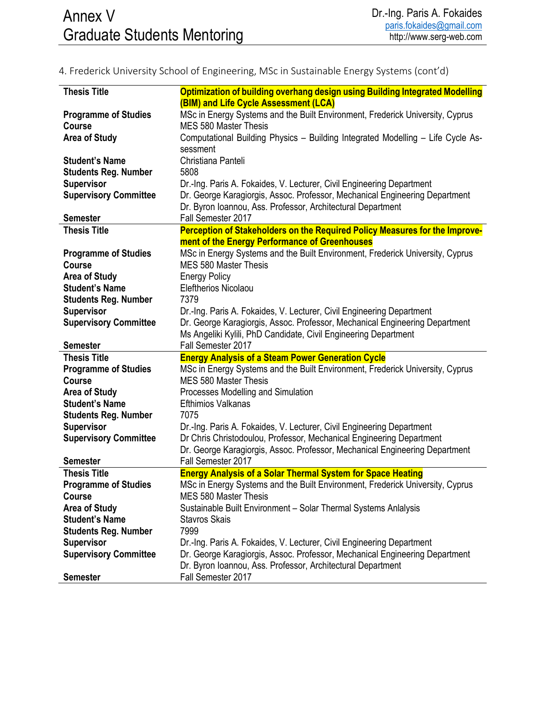| <b>Thesis Title</b>          | Optimization of building overhang design using Building Integrated Modelling      |
|------------------------------|-----------------------------------------------------------------------------------|
|                              | (BIM) and Life Cycle Assessment (LCA)                                             |
| <b>Programme of Studies</b>  | MSc in Energy Systems and the Built Environment, Frederick University, Cyprus     |
| <b>Course</b>                | MES 580 Master Thesis                                                             |
| <b>Area of Study</b>         | Computational Building Physics - Building Integrated Modelling - Life Cycle As-   |
|                              | sessment                                                                          |
| <b>Student's Name</b>        | Christiana Panteli                                                                |
| <b>Students Reg. Number</b>  | 5808                                                                              |
| <b>Supervisor</b>            | Dr.-Ing. Paris A. Fokaides, V. Lecturer, Civil Engineering Department             |
| <b>Supervisory Committee</b> | Dr. George Karagiorgis, Assoc. Professor, Mechanical Engineering Department       |
|                              | Dr. Byron Ioannou, Ass. Professor, Architectural Department                       |
| <b>Semester</b>              | Fall Semester 2017                                                                |
| <b>Thesis Title</b>          | Perception of Stakeholders on the Required Policy Measures for the Improve-       |
|                              | ment of the Energy Performance of Greenhouses                                     |
| <b>Programme of Studies</b>  | MSc in Energy Systems and the Built Environment, Frederick University, Cyprus     |
| <b>Course</b>                | <b>MES 580 Master Thesis</b>                                                      |
| <b>Area of Study</b>         | <b>Energy Policy</b>                                                              |
| <b>Student's Name</b>        | <b>Eleftherios Nicolaou</b>                                                       |
| <b>Students Reg. Number</b>  | 7379                                                                              |
| <b>Supervisor</b>            | Dr.-Ing. Paris A. Fokaides, V. Lecturer, Civil Engineering Department             |
| <b>Supervisory Committee</b> | Dr. George Karagiorgis, Assoc. Professor, Mechanical Engineering Department       |
|                              | Ms Angeliki Kylili, PhD Candidate, Civil Engineering Department                   |
| <b>Semester</b>              | Fall Semester 2017                                                                |
| <b>Thesis Title</b>          | <b>Energy Analysis of a Steam Power Generation Cycle</b>                          |
|                              |                                                                                   |
|                              |                                                                                   |
| <b>Programme of Studies</b>  | MSc in Energy Systems and the Built Environment, Frederick University, Cyprus     |
| Course                       | <b>MES 580 Master Thesis</b>                                                      |
| <b>Area of Study</b>         | Processes Modelling and Simulation                                                |
| <b>Student's Name</b>        | <b>Efthimios Valkanas</b>                                                         |
| <b>Students Reg. Number</b>  | 7075                                                                              |
| <b>Supervisor</b>            | Dr.-Ing. Paris A. Fokaides, V. Lecturer, Civil Engineering Department             |
| <b>Supervisory Committee</b> | Dr Chris Christodoulou, Professor, Mechanical Engineering Department              |
|                              | Dr. George Karagiorgis, Assoc. Professor, Mechanical Engineering Department       |
| <b>Semester</b>              | Fall Semester 2017                                                                |
| <b>Thesis Title</b>          | <b>Energy Analysis of a Solar Thermal System for Space Heating</b>                |
| <b>Programme of Studies</b>  | MSc in Energy Systems and the Built Environment, Frederick University, Cyprus     |
| <b>Course</b>                | <b>MES 580 Master Thesis</b>                                                      |
| <b>Area of Study</b>         | Sustainable Built Environment - Solar Thermal Systems Anlalysis                   |
| <b>Student's Name</b>        | <b>Stavros Skais</b>                                                              |
| <b>Students Reg. Number</b>  | 7999                                                                              |
| <b>Supervisor</b>            | Dr.-Ing. Paris A. Fokaides, V. Lecturer, Civil Engineering Department             |
| <b>Supervisory Committee</b> | Dr. George Karagiorgis, Assoc. Professor, Mechanical Engineering Department       |
| <b>Semester</b>              | Dr. Byron Ioannou, Ass. Professor, Architectural Department<br>Fall Semester 2017 |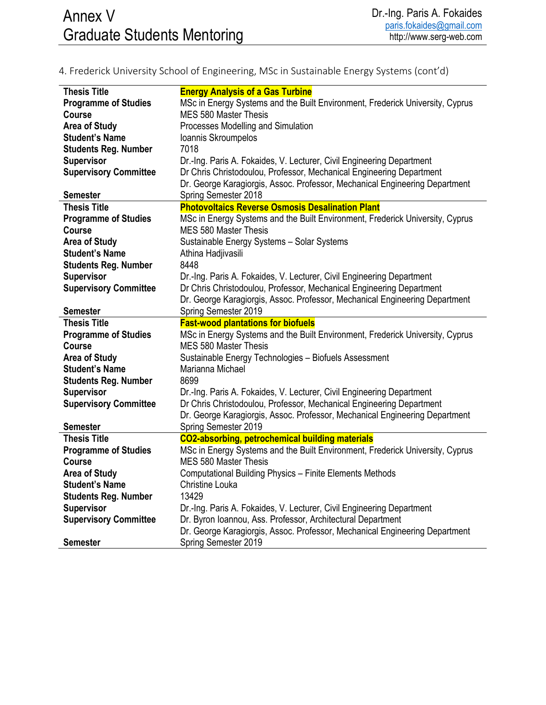| <b>Thesis Title</b>          | <b>Energy Analysis of a Gas Turbine</b>                                       |
|------------------------------|-------------------------------------------------------------------------------|
| <b>Programme of Studies</b>  | MSc in Energy Systems and the Built Environment, Frederick University, Cyprus |
| <b>Course</b>                | MES 580 Master Thesis                                                         |
| <b>Area of Study</b>         | Processes Modelling and Simulation                                            |
| <b>Student's Name</b>        | Ioannis Skroumpelos                                                           |
| <b>Students Reg. Number</b>  | 7018                                                                          |
| <b>Supervisor</b>            | Dr.-Ing. Paris A. Fokaides, V. Lecturer, Civil Engineering Department         |
| <b>Supervisory Committee</b> | Dr Chris Christodoulou, Professor, Mechanical Engineering Department          |
|                              | Dr. George Karagiorgis, Assoc. Professor, Mechanical Engineering Department   |
| <b>Semester</b>              | Spring Semester 2018                                                          |
| <b>Thesis Title</b>          | <b>Photovoltaics Reverse Osmosis Desalination Plant</b>                       |
| <b>Programme of Studies</b>  | MSc in Energy Systems and the Built Environment, Frederick University, Cyprus |
| <b>Course</b>                | <b>MES 580 Master Thesis</b>                                                  |
| <b>Area of Study</b>         | Sustainable Energy Systems - Solar Systems                                    |
| <b>Student's Name</b>        | Athina Hadjivasili                                                            |
| <b>Students Reg. Number</b>  | 8448                                                                          |
| <b>Supervisor</b>            | Dr.-Ing. Paris A. Fokaides, V. Lecturer, Civil Engineering Department         |
|                              |                                                                               |
| <b>Supervisory Committee</b> | Dr Chris Christodoulou, Professor, Mechanical Engineering Department          |
|                              | Dr. George Karagiorgis, Assoc. Professor, Mechanical Engineering Department   |
| <b>Semester</b>              | Spring Semester 2019                                                          |
|                              |                                                                               |
| <b>Thesis Title</b>          | <b>Fast-wood plantations for biofuels</b>                                     |
| <b>Programme of Studies</b>  | MSc in Energy Systems and the Built Environment, Frederick University, Cyprus |
| <b>Course</b>                | <b>MES 580 Master Thesis</b>                                                  |
| <b>Area of Study</b>         | Sustainable Energy Technologies - Biofuels Assessment                         |
| <b>Student's Name</b>        | Marianna Michael                                                              |
| <b>Students Reg. Number</b>  | 8699                                                                          |
| <b>Supervisor</b>            | Dr.-Ing. Paris A. Fokaides, V. Lecturer, Civil Engineering Department         |
| <b>Supervisory Committee</b> | Dr Chris Christodoulou, Professor, Mechanical Engineering Department          |
|                              | Dr. George Karagiorgis, Assoc. Professor, Mechanical Engineering Department   |
| <b>Semester</b>              | Spring Semester 2019                                                          |
| <b>Thesis Title</b>          | <b>CO2-absorbing, petrochemical building materials</b>                        |
| <b>Programme of Studies</b>  | MSc in Energy Systems and the Built Environment, Frederick University, Cyprus |
| <b>Course</b>                | <b>MES 580 Master Thesis</b>                                                  |
| <b>Area of Study</b>         | <b>Computational Building Physics - Finite Elements Methods</b>               |
| <b>Student's Name</b>        | Christine Louka                                                               |
| <b>Students Reg. Number</b>  | 13429                                                                         |
| <b>Supervisor</b>            | Dr.-Ing. Paris A. Fokaides, V. Lecturer, Civil Engineering Department         |
| <b>Supervisory Committee</b> | Dr. Byron Ioannou, Ass. Professor, Architectural Department                   |
|                              | Dr. George Karagiorgis, Assoc. Professor, Mechanical Engineering Department   |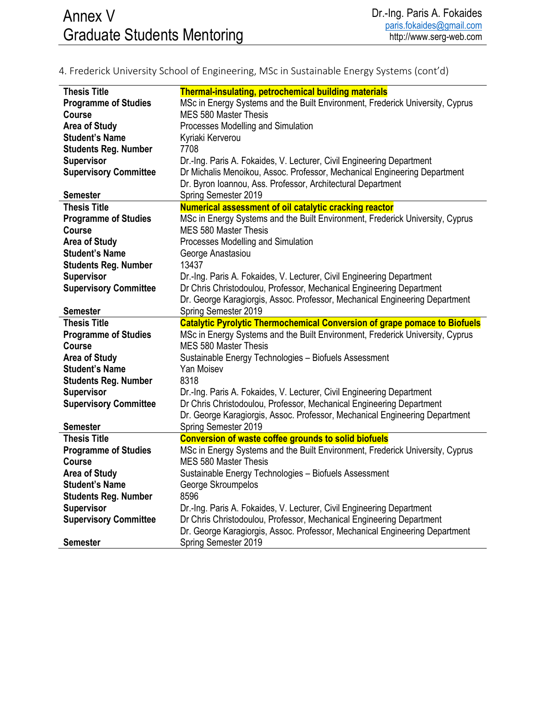| <b>Thesis Title</b>          | <b>Thermal-insulating, petrochemical building materials</b>                                                                                         |
|------------------------------|-----------------------------------------------------------------------------------------------------------------------------------------------------|
| <b>Programme of Studies</b>  | MSc in Energy Systems and the Built Environment, Frederick University, Cyprus                                                                       |
| <b>Course</b>                | MES 580 Master Thesis                                                                                                                               |
| <b>Area of Study</b>         | Processes Modelling and Simulation                                                                                                                  |
| <b>Student's Name</b>        | Kyriaki Kerverou                                                                                                                                    |
| <b>Students Reg. Number</b>  | 7708                                                                                                                                                |
| <b>Supervisor</b>            | Dr.-Ing. Paris A. Fokaides, V. Lecturer, Civil Engineering Department                                                                               |
| <b>Supervisory Committee</b> | Dr Michalis Menoikou, Assoc. Professor, Mechanical Engineering Department                                                                           |
|                              | Dr. Byron Ioannou, Ass. Professor, Architectural Department                                                                                         |
| <b>Semester</b>              | Spring Semester 2019                                                                                                                                |
| <b>Thesis Title</b>          | Numerical assessment of oil catalytic cracking reactor                                                                                              |
| <b>Programme of Studies</b>  | MSc in Energy Systems and the Built Environment, Frederick University, Cyprus                                                                       |
| <b>Course</b>                | <b>MES 580 Master Thesis</b>                                                                                                                        |
| <b>Area of Study</b>         | Processes Modelling and Simulation                                                                                                                  |
| <b>Student's Name</b>        | George Anastasiou                                                                                                                                   |
| <b>Students Reg. Number</b>  | 13437                                                                                                                                               |
| <b>Supervisor</b>            | Dr.-Ing. Paris A. Fokaides, V. Lecturer, Civil Engineering Department                                                                               |
| <b>Supervisory Committee</b> | Dr Chris Christodoulou, Professor, Mechanical Engineering Department                                                                                |
|                              | Dr. George Karagiorgis, Assoc. Professor, Mechanical Engineering Department                                                                         |
| <b>Semester</b>              | Spring Semester 2019                                                                                                                                |
|                              |                                                                                                                                                     |
|                              |                                                                                                                                                     |
| <b>Thesis Title</b>          | <b>Catalytic Pyrolytic Thermochemical Conversion of grape pomace to Biofuels</b>                                                                    |
| <b>Programme of Studies</b>  | MSc in Energy Systems and the Built Environment, Frederick University, Cyprus                                                                       |
| <b>Course</b>                | <b>MES 580 Master Thesis</b>                                                                                                                        |
| <b>Area of Study</b>         | Sustainable Energy Technologies - Biofuels Assessment                                                                                               |
| <b>Student's Name</b>        | Yan Moisev                                                                                                                                          |
| <b>Students Reg. Number</b>  | 8318                                                                                                                                                |
| <b>Supervisor</b>            | Dr.-Ing. Paris A. Fokaides, V. Lecturer, Civil Engineering Department                                                                               |
| <b>Supervisory Committee</b> | Dr Chris Christodoulou, Professor, Mechanical Engineering Department                                                                                |
|                              | Dr. George Karagiorgis, Assoc. Professor, Mechanical Engineering Department                                                                         |
| <b>Semester</b>              | Spring Semester 2019                                                                                                                                |
| <b>Thesis Title</b>          | <b>Conversion of waste coffee grounds to solid biofuels</b>                                                                                         |
| <b>Programme of Studies</b>  | MSc in Energy Systems and the Built Environment, Frederick University, Cyprus                                                                       |
| <b>Course</b>                | MES 580 Master Thesis                                                                                                                               |
| <b>Area of Study</b>         | Sustainable Energy Technologies - Biofuels Assessment                                                                                               |
| <b>Student's Name</b>        | George Skroumpelos<br>8596                                                                                                                          |
| <b>Students Reg. Number</b>  |                                                                                                                                                     |
| <b>Supervisor</b>            | Dr.-Ing. Paris A. Fokaides, V. Lecturer, Civil Engineering Department                                                                               |
| <b>Supervisory Committee</b> | Dr Chris Christodoulou, Professor, Mechanical Engineering Department<br>Dr. George Karagiorgis, Assoc. Professor, Mechanical Engineering Department |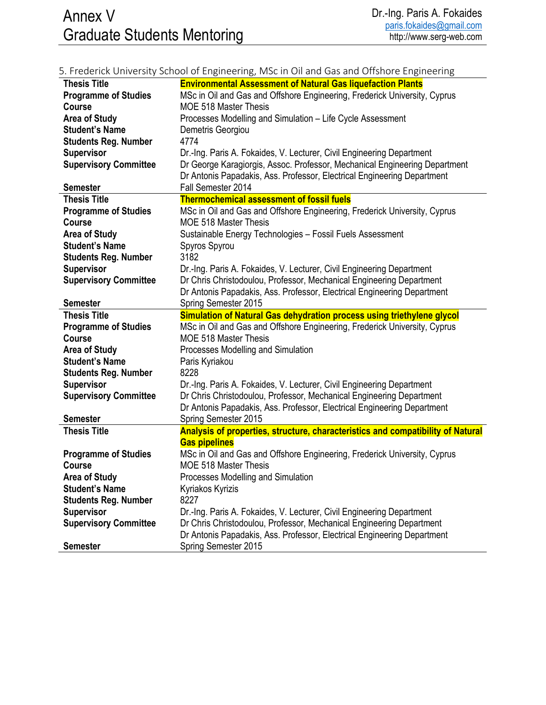|                              | 5. Frederick University School of Engineering, MSc in Oil and Gas and Offshore Engineering      |
|------------------------------|-------------------------------------------------------------------------------------------------|
| <b>Thesis Title</b>          | <b>Environmental Assessment of Natural Gas liquefaction Plants</b>                              |
| <b>Programme of Studies</b>  | MSc in Oil and Gas and Offshore Engineering, Frederick University, Cyprus                       |
| <b>Course</b>                | <b>MOE 518 Master Thesis</b>                                                                    |
| <b>Area of Study</b>         | Processes Modelling and Simulation - Life Cycle Assessment                                      |
| <b>Student's Name</b>        | Demetris Georgiou                                                                               |
| <b>Students Reg. Number</b>  | 4774                                                                                            |
| <b>Supervisor</b>            | Dr.-Ing. Paris A. Fokaides, V. Lecturer, Civil Engineering Department                           |
| <b>Supervisory Committee</b> | Dr George Karagiorgis, Assoc. Professor, Mechanical Engineering Department                      |
|                              | Dr Antonis Papadakis, Ass. Professor, Electrical Engineering Department                         |
| <b>Semester</b>              | Fall Semester 2014                                                                              |
| <b>Thesis Title</b>          | <b>Thermochemical assessment of fossil fuels</b>                                                |
| <b>Programme of Studies</b>  | MSc in Oil and Gas and Offshore Engineering, Frederick University, Cyprus                       |
| <b>Course</b>                | <b>MOE 518 Master Thesis</b>                                                                    |
| <b>Area of Study</b>         | Sustainable Energy Technologies - Fossil Fuels Assessment                                       |
| <b>Student's Name</b>        | Spyros Spyrou                                                                                   |
| <b>Students Reg. Number</b>  | 3182                                                                                            |
| <b>Supervisor</b>            | Dr.-Ing. Paris A. Fokaides, V. Lecturer, Civil Engineering Department                           |
| <b>Supervisory Committee</b> | Dr Chris Christodoulou, Professor, Mechanical Engineering Department                            |
|                              | Dr Antonis Papadakis, Ass. Professor, Electrical Engineering Department                         |
| <b>Semester</b>              | Spring Semester 2015                                                                            |
|                              |                                                                                                 |
|                              |                                                                                                 |
| <b>Thesis Title</b>          | Simulation of Natural Gas dehydration process using triethylene glycol                          |
| <b>Programme of Studies</b>  | MSc in Oil and Gas and Offshore Engineering, Frederick University, Cyprus                       |
| <b>Course</b>                | <b>MOE 518 Master Thesis</b>                                                                    |
| <b>Area of Study</b>         | Processes Modelling and Simulation                                                              |
| <b>Student's Name</b>        | Paris Kyriakou                                                                                  |
| <b>Students Reg. Number</b>  | 8228                                                                                            |
| <b>Supervisor</b>            | Dr.-Ing. Paris A. Fokaides, V. Lecturer, Civil Engineering Department                           |
| <b>Supervisory Committee</b> | Dr Chris Christodoulou, Professor, Mechanical Engineering Department                            |
|                              | Dr Antonis Papadakis, Ass. Professor, Electrical Engineering Department                         |
| <b>Semester</b>              | Spring Semester 2015                                                                            |
| <b>Thesis Title</b>          | Analysis of properties, structure, characteristics and compatibility of Natural                 |
|                              | <b>Gas pipelines</b>                                                                            |
| <b>Programme of Studies</b>  | MSc in Oil and Gas and Offshore Engineering, Frederick University, Cyprus                       |
| Course                       | MOE 518 Master Thesis                                                                           |
| <b>Area of Study</b>         | Processes Modelling and Simulation                                                              |
| <b>Student's Name</b>        | Kyriakos Kyrizis                                                                                |
| <b>Students Reg. Number</b>  | 8227                                                                                            |
| <b>Supervisor</b>            | Dr.-Ing. Paris A. Fokaides, V. Lecturer, Civil Engineering Department                           |
| <b>Supervisory Committee</b> | Dr Chris Christodoulou, Professor, Mechanical Engineering Department                            |
| <b>Semester</b>              | Dr Antonis Papadakis, Ass. Professor, Electrical Engineering Department<br>Spring Semester 2015 |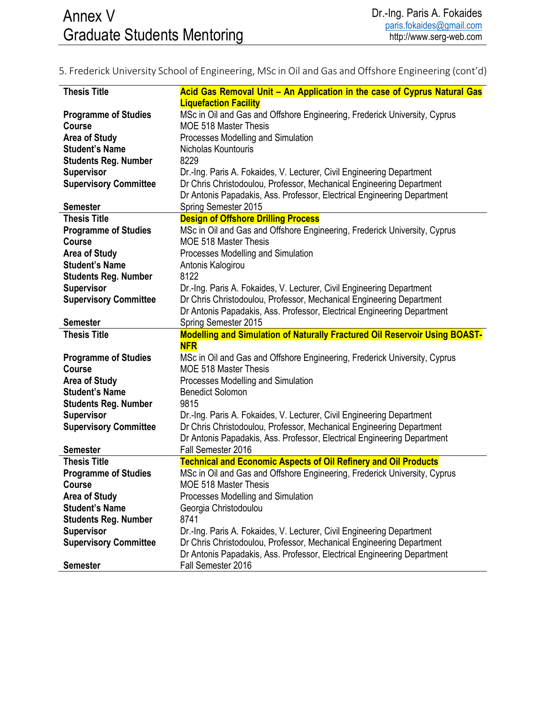## 5. Frederick University School of Engineering, MSc in Oil and Gas and Offshore Engineering (cont'd)

| <b>Thesis Title</b>          | Acid Gas Removal Unit - An Application in the case of Cyprus Natural Gas          |
|------------------------------|-----------------------------------------------------------------------------------|
|                              | <b>Liquefaction Facility</b>                                                      |
| <b>Programme of Studies</b>  | MSc in Oil and Gas and Offshore Engineering, Frederick University, Cyprus         |
| Course                       | <b>MOE 518 Master Thesis</b>                                                      |
| <b>Area of Study</b>         | Processes Modelling and Simulation                                                |
| <b>Student's Name</b>        | Nicholas Kountouris                                                               |
| <b>Students Reg. Number</b>  | 8229                                                                              |
| <b>Supervisor</b>            | Dr.-Ing. Paris A. Fokaides, V. Lecturer, Civil Engineering Department             |
| <b>Supervisory Committee</b> | Dr Chris Christodoulou, Professor, Mechanical Engineering Department              |
|                              | Dr Antonis Papadakis, Ass. Professor, Electrical Engineering Department           |
| <b>Semester</b>              | Spring Semester 2015                                                              |
| <b>Thesis Title</b>          | <b>Design of Offshore Drilling Process</b>                                        |
| <b>Programme of Studies</b>  | MSc in Oil and Gas and Offshore Engineering, Frederick University, Cyprus         |
| <b>Course</b>                | MOE 518 Master Thesis                                                             |
| <b>Area of Study</b>         | Processes Modelling and Simulation                                                |
| <b>Student's Name</b>        | Antonis Kalogirou                                                                 |
| <b>Students Reg. Number</b>  | 8122                                                                              |
| <b>Supervisor</b>            | Dr.-Ing. Paris A. Fokaides, V. Lecturer, Civil Engineering Department             |
| <b>Supervisory Committee</b> | Dr Chris Christodoulou, Professor, Mechanical Engineering Department              |
|                              | Dr Antonis Papadakis, Ass. Professor, Electrical Engineering Department           |
| <b>Semester</b>              | Spring Semester 2015                                                              |
|                              |                                                                                   |
| <b>Thesis Title</b>          | <b>Modelling and Simulation of Naturally Fractured Oil Reservoir Using BOAST-</b> |
|                              | <b>NFR</b>                                                                        |
| <b>Programme of Studies</b>  | MSc in Oil and Gas and Offshore Engineering, Frederick University, Cyprus         |
| <b>Course</b>                | <b>MOE 518 Master Thesis</b>                                                      |
| <b>Area of Study</b>         | Processes Modelling and Simulation                                                |
| <b>Student's Name</b>        | <b>Benedict Solomon</b>                                                           |
| <b>Students Reg. Number</b>  | 9815                                                                              |
| <b>Supervisor</b>            | Dr.-Ing. Paris A. Fokaides, V. Lecturer, Civil Engineering Department             |
| <b>Supervisory Committee</b> | Dr Chris Christodoulou, Professor, Mechanical Engineering Department              |
|                              | Dr Antonis Papadakis, Ass. Professor, Electrical Engineering Department           |
| <b>Semester</b>              | Fall Semester 2016                                                                |
| <b>Thesis Title</b>          | <b>Technical and Economic Aspects of Oil Refinery and Oil Products</b>            |
| <b>Programme of Studies</b>  | MSc in Oil and Gas and Offshore Engineering, Frederick University, Cyprus         |
| Course                       | <b>MOE 518 Master Thesis</b>                                                      |
| <b>Area of Study</b>         | Processes Modelling and Simulation                                                |
| <b>Student's Name</b>        | Georgia Christodoulou                                                             |
| <b>Students Reg. Number</b>  | 8741                                                                              |
| <b>Supervisor</b>            | Dr.-Ing. Paris A. Fokaides, V. Lecturer, Civil Engineering Department             |
| <b>Supervisory Committee</b> | Dr Chris Christodoulou, Professor, Mechanical Engineering Department              |
|                              | Dr Antonis Papadakis, Ass. Professor, Electrical Engineering Department           |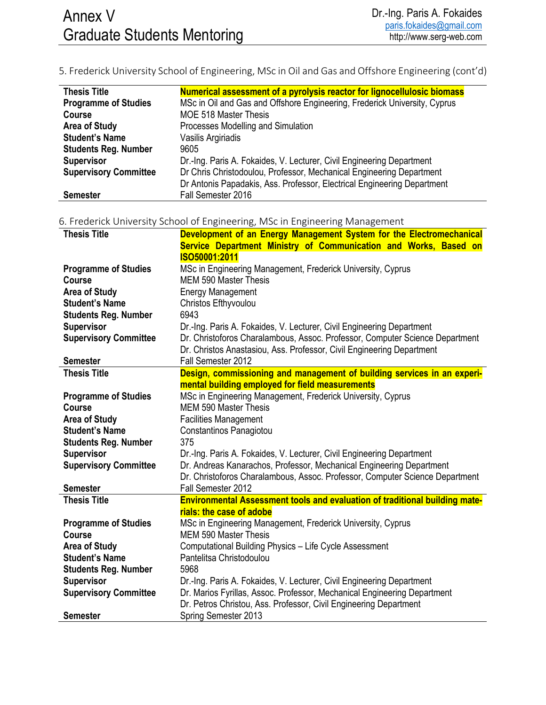5. Frederick University School of Engineering, MSc in Oil and Gas and Offshore Engineering (cont'd)

| <b>Thesis Title</b>          | Numerical assessment of a pyrolysis reactor for lignocellulosic biomass   |
|------------------------------|---------------------------------------------------------------------------|
| <b>Programme of Studies</b>  | MSc in Oil and Gas and Offshore Engineering, Frederick University, Cyprus |
| Course                       | <b>MOE 518 Master Thesis</b>                                              |
| <b>Area of Study</b>         | Processes Modelling and Simulation                                        |
| <b>Student's Name</b>        | Vasilis Argiriadis                                                        |
| <b>Students Reg. Number</b>  | 9605                                                                      |
| <b>Supervisor</b>            | Dr.-Ing. Paris A. Fokaides, V. Lecturer, Civil Engineering Department     |
| <b>Supervisory Committee</b> | Dr Chris Christodoulou, Professor, Mechanical Engineering Department      |
|                              | Dr Antonis Papadakis, Ass. Professor, Electrical Engineering Department   |
| <b>Semester</b>              | Fall Semester 2016                                                        |

6. Frederick University School of Engineering, MSc in Engineering Management

| <b>Thesis Title</b>          | Development of an Energy Management System for the Electromechanical         |
|------------------------------|------------------------------------------------------------------------------|
|                              | Service Department Ministry of Communication and Works, Based on             |
|                              | ISO50001:2011                                                                |
| <b>Programme of Studies</b>  | MSc in Engineering Management, Frederick University, Cyprus                  |
| Course                       | <b>MEM 590 Master Thesis</b>                                                 |
| <b>Area of Study</b>         | <b>Energy Management</b>                                                     |
| <b>Student's Name</b>        | Christos Efthyvoulou                                                         |
| <b>Students Reg. Number</b>  | 6943                                                                         |
| <b>Supervisor</b>            | Dr.-Ing. Paris A. Fokaides, V. Lecturer, Civil Engineering Department        |
| <b>Supervisory Committee</b> | Dr. Christoforos Charalambous, Assoc. Professor, Computer Science Department |
|                              | Dr. Christos Anastasiou, Ass. Professor, Civil Engineering Department        |
| <b>Semester</b>              | Fall Semester 2012                                                           |
| <b>Thesis Title</b>          | Design, commissioning and management of building services in an experi-      |
|                              | mental building employed for field measurements                              |
| <b>Programme of Studies</b>  | MSc in Engineering Management, Frederick University, Cyprus                  |
| <b>Course</b>                | <b>MEM 590 Master Thesis</b>                                                 |
| <b>Area of Study</b>         | <b>Facilities Management</b>                                                 |
| <b>Student's Name</b>        | Constantinos Panagiotou                                                      |
| <b>Students Reg. Number</b>  | 375                                                                          |
| <b>Supervisor</b>            | Dr.-Ing. Paris A. Fokaides, V. Lecturer, Civil Engineering Department        |
| <b>Supervisory Committee</b> | Dr. Andreas Kanarachos, Professor, Mechanical Engineering Department         |
|                              | Dr. Christoforos Charalambous, Assoc. Professor, Computer Science Department |
| <b>Semester</b>              | Fall Semester 2012                                                           |
| <b>Thesis Title</b>          | Environmental Assessment tools and evaluation of traditional building mate-  |
|                              | rials: the case of adobe                                                     |
| <b>Programme of Studies</b>  | MSc in Engineering Management, Frederick University, Cyprus                  |
| <b>Course</b>                | <b>MEM 590 Master Thesis</b>                                                 |
| <b>Area of Study</b>         | Computational Building Physics - Life Cycle Assessment                       |
| <b>Student's Name</b>        | Pantelitsa Christodoulou                                                     |
| <b>Students Reg. Number</b>  | 5968                                                                         |
| <b>Supervisor</b>            | Dr.-Ing. Paris A. Fokaides, V. Lecturer, Civil Engineering Department        |
| <b>Supervisory Committee</b> | Dr. Marios Fyrillas, Assoc. Professor, Mechanical Engineering Department     |
|                              | Dr. Petros Christou, Ass. Professor, Civil Engineering Department            |
| <b>Semester</b>              | Spring Semester 2013                                                         |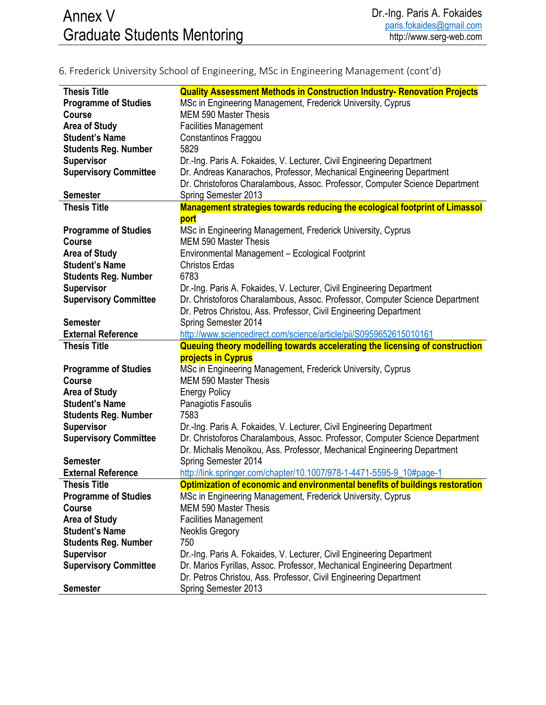## 6. Frederick University School of Engineering, MSc in Engineering Management (cont'd)

| <b>Thesis Title</b>          | <b>Quality Assessment Methods in Construction Industry- Renovation Projects</b> |
|------------------------------|---------------------------------------------------------------------------------|
| <b>Programme of Studies</b>  | MSc in Engineering Management, Frederick University, Cyprus                     |
| <b>Course</b>                | <b>MEM 590 Master Thesis</b>                                                    |
| <b>Area of Study</b>         | <b>Facilities Management</b>                                                    |
| <b>Student's Name</b>        | Constantinos Fraggou                                                            |
| <b>Students Reg. Number</b>  | 5829                                                                            |
| <b>Supervisor</b>            | Dr.-Ing. Paris A. Fokaides, V. Lecturer, Civil Engineering Department           |
| <b>Supervisory Committee</b> | Dr. Andreas Kanarachos, Professor, Mechanical Engineering Department            |
|                              | Dr. Christoforos Charalambous, Assoc. Professor, Computer Science Department    |
| <b>Semester</b>              | Spring Semester 2013                                                            |
| <b>Thesis Title</b>          | Management strategies towards reducing the ecological footprint of Limassol     |
|                              | port                                                                            |
| <b>Programme of Studies</b>  | MSc in Engineering Management, Frederick University, Cyprus                     |
| <b>Course</b>                | <b>MEM 590 Master Thesis</b>                                                    |
| <b>Area of Study</b>         | Environmental Management - Ecological Footprint                                 |
| <b>Student's Name</b>        | <b>Christos Erdas</b>                                                           |
| <b>Students Reg. Number</b>  | 6783                                                                            |
| <b>Supervisor</b>            | Dr.-Ing. Paris A. Fokaides, V. Lecturer, Civil Engineering Department           |
| <b>Supervisory Committee</b> | Dr. Christoforos Charalambous, Assoc. Professor, Computer Science Department    |
|                              | Dr. Petros Christou, Ass. Professor, Civil Engineering Department               |
| <b>Semester</b>              |                                                                                 |
| <b>External Reference</b>    | Spring Semester 2014                                                            |
|                              | http://www.sciencedirect.com/science/article/pii/S0959652615010161              |
|                              |                                                                                 |
| <b>Thesis Title</b>          | Queuing theory modelling towards accelerating the licensing of construction     |
|                              | <b>projects in Cyprus</b>                                                       |
| <b>Programme of Studies</b>  | MSc in Engineering Management, Frederick University, Cyprus                     |
| <b>Course</b>                | <b>MEM 590 Master Thesis</b>                                                    |
| <b>Area of Study</b>         | <b>Energy Policy</b>                                                            |
| <b>Student's Name</b>        | Panagiotis Fasoulis                                                             |
| <b>Students Reg. Number</b>  | 7583                                                                            |
| <b>Supervisor</b>            | Dr.-Ing. Paris A. Fokaides, V. Lecturer, Civil Engineering Department           |
| <b>Supervisory Committee</b> | Dr. Christoforos Charalambous, Assoc. Professor, Computer Science Department    |
|                              | Dr. Michalis Menoikou, Ass. Professor, Mechanical Engineering Department        |
| <b>Semester</b>              | Spring Semester 2014                                                            |
| <b>External Reference</b>    | http://link.springer.com/chapter/10.1007/978-1-4471-5595-9_10#page-1            |
| <b>Thesis Title</b>          | Optimization of economic and environmental benefits of buildings restoration    |
| <b>Programme of Studies</b>  | MSc in Engineering Management, Frederick University, Cyprus                     |
| <b>Course</b>                | <b>MEM 590 Master Thesis</b>                                                    |
| <b>Area of Study</b>         | <b>Facilities Management</b>                                                    |
| <b>Student's Name</b>        | <b>Neoklis Gregory</b>                                                          |
| <b>Students Reg. Number</b>  | 750                                                                             |
| <b>Supervisor</b>            | Dr.-Ing. Paris A. Fokaides, V. Lecturer, Civil Engineering Department           |
| <b>Supervisory Committee</b> | Dr. Marios Fyrillas, Assoc. Professor, Mechanical Engineering Department        |
|                              | Dr. Petros Christou, Ass. Professor, Civil Engineering Department               |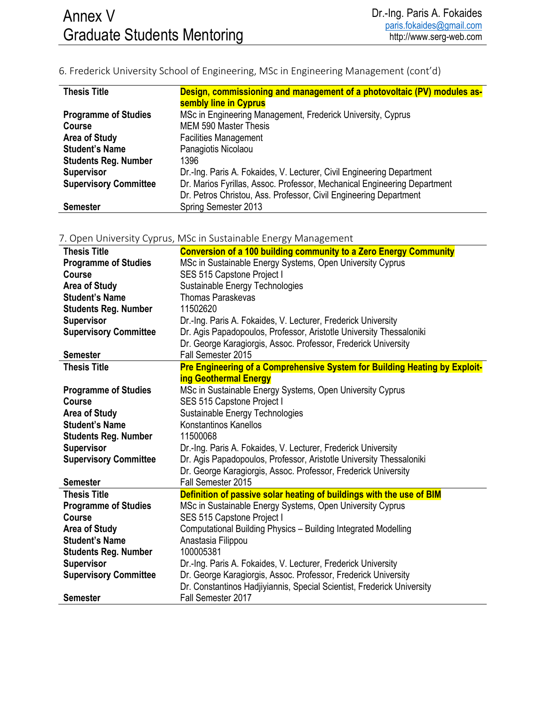## 6. Frederick University School of Engineering, MSc in Engineering Management (cont'd)

| <b>Thesis Title</b>          | Design, commissioning and management of a photovoltaic (PV) modules as-  |
|------------------------------|--------------------------------------------------------------------------|
|                              | sembly line in Cyprus                                                    |
| <b>Programme of Studies</b>  | MSc in Engineering Management, Frederick University, Cyprus              |
| <b>Course</b>                | <b>MEM 590 Master Thesis</b>                                             |
| <b>Area of Study</b>         | <b>Facilities Management</b>                                             |
| <b>Student's Name</b>        | Panagiotis Nicolaou                                                      |
| <b>Students Reg. Number</b>  | 1396                                                                     |
| <b>Supervisor</b>            | Dr.-Ing. Paris A. Fokaides, V. Lecturer, Civil Engineering Department    |
| <b>Supervisory Committee</b> | Dr. Marios Fyrillas, Assoc. Professor, Mechanical Engineering Department |
|                              | Dr. Petros Christou, Ass. Professor, Civil Engineering Department        |
| <b>Semester</b>              | Spring Semester 2013                                                     |

#### 7. Open University Cyprus, MSc in Sustainable Energy Management

| <b>Thesis Title</b>          | <b>Conversion of a 100 building community to a Zero Energy Community</b>   |
|------------------------------|----------------------------------------------------------------------------|
| <b>Programme of Studies</b>  | MSc in Sustainable Energy Systems, Open University Cyprus                  |
| <b>Course</b>                | SES 515 Capstone Project I                                                 |
| <b>Area of Study</b>         | Sustainable Energy Technologies                                            |
| <b>Student's Name</b>        | <b>Thomas Paraskevas</b>                                                   |
| <b>Students Reg. Number</b>  | 11502620                                                                   |
| <b>Supervisor</b>            | Dr.-Ing. Paris A. Fokaides, V. Lecturer, Frederick University              |
| <b>Supervisory Committee</b> | Dr. Agis Papadopoulos, Professor, Aristotle University Thessaloniki        |
|                              | Dr. George Karagiorgis, Assoc. Professor, Frederick University             |
| <b>Semester</b>              | Fall Semester 2015                                                         |
| <b>Thesis Title</b>          | Pre Engineering of a Comprehensive System for Building Heating by Exploit- |
|                              | <b>ing Geothermal Energy</b>                                               |
| <b>Programme of Studies</b>  | MSc in Sustainable Energy Systems, Open University Cyprus                  |
| <b>Course</b>                | SES 515 Capstone Project I                                                 |
| <b>Area of Study</b>         | Sustainable Energy Technologies                                            |
| <b>Student's Name</b>        | Konstantinos Kanellos                                                      |
| <b>Students Reg. Number</b>  | 11500068                                                                   |
| <b>Supervisor</b>            | Dr.-Ing. Paris A. Fokaides, V. Lecturer, Frederick University              |
| <b>Supervisory Committee</b> | Dr. Agis Papadopoulos, Professor, Aristotle University Thessaloniki        |
|                              | Dr. George Karagiorgis, Assoc. Professor, Frederick University             |
| <b>Semester</b>              | Fall Semester 2015                                                         |
| <b>Thesis Title</b>          | Definition of passive solar heating of buildings with the use of BIM       |
| <b>Programme of Studies</b>  | MSc in Sustainable Energy Systems, Open University Cyprus                  |
| <b>Course</b>                | SES 515 Capstone Project I                                                 |
| <b>Area of Study</b>         | Computational Building Physics - Building Integrated Modelling             |
| <b>Student's Name</b>        | Anastasia Filippou                                                         |
| <b>Students Reg. Number</b>  | 100005381                                                                  |
| <b>Supervisor</b>            | Dr.-Ing. Paris A. Fokaides, V. Lecturer, Frederick University              |
| <b>Supervisory Committee</b> | Dr. George Karagiorgis, Assoc. Professor, Frederick University             |
|                              | Dr. Constantinos Hadjiyiannis, Special Scientist, Frederick University     |
| <b>Semester</b>              | Fall Semester 2017                                                         |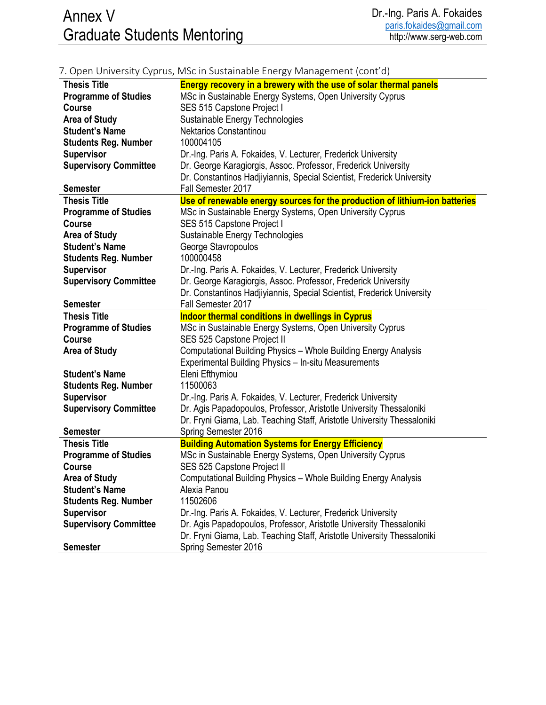|                              | 7. Open University Cyprus, MSc in Sustainable Energy Management (cont d)                        |
|------------------------------|-------------------------------------------------------------------------------------------------|
| <b>Thesis Title</b>          | Energy recovery in a brewery with the use of solar thermal panels                               |
| <b>Programme of Studies</b>  | MSc in Sustainable Energy Systems, Open University Cyprus                                       |
| <b>Course</b>                | SES 515 Capstone Project I                                                                      |
| <b>Area of Study</b>         | Sustainable Energy Technologies                                                                 |
| <b>Student's Name</b>        | Nektarios Constantinou                                                                          |
| <b>Students Reg. Number</b>  | 100004105                                                                                       |
| <b>Supervisor</b>            | Dr.-Ing. Paris A. Fokaides, V. Lecturer, Frederick University                                   |
| <b>Supervisory Committee</b> | Dr. George Karagiorgis, Assoc. Professor, Frederick University                                  |
|                              | Dr. Constantinos Hadjiyiannis, Special Scientist, Frederick University                          |
| <b>Semester</b>              | Fall Semester 2017                                                                              |
| <b>Thesis Title</b>          | Use of renewable energy sources for the production of lithium-ion batteries                     |
| <b>Programme of Studies</b>  | MSc in Sustainable Energy Systems, Open University Cyprus                                       |
| <b>Course</b>                | SES 515 Capstone Project I                                                                      |
| <b>Area of Study</b>         | Sustainable Energy Technologies                                                                 |
| <b>Student's Name</b>        | George Stavropoulos                                                                             |
| <b>Students Reg. Number</b>  | 100000458                                                                                       |
| <b>Supervisor</b>            | Dr.-Ing. Paris A. Fokaides, V. Lecturer, Frederick University                                   |
| <b>Supervisory Committee</b> | Dr. George Karagiorgis, Assoc. Professor, Frederick University                                  |
|                              | Dr. Constantinos Hadjiyiannis, Special Scientist, Frederick University                          |
| <b>Semester</b>              | Fall Semester 2017                                                                              |
|                              |                                                                                                 |
| <b>Thesis Title</b>          | <b>Indoor thermal conditions in dwellings in Cyprus</b>                                         |
| <b>Programme of Studies</b>  | MSc in Sustainable Energy Systems, Open University Cyprus                                       |
| Course                       | SES 525 Capstone Project II                                                                     |
| <b>Area of Study</b>         | Computational Building Physics - Whole Building Energy Analysis                                 |
|                              | Experimental Building Physics - In-situ Measurements                                            |
| <b>Student's Name</b>        | Eleni Efthymiou                                                                                 |
| <b>Students Reg. Number</b>  | 11500063                                                                                        |
| <b>Supervisor</b>            | Dr.-Ing. Paris A. Fokaides, V. Lecturer, Frederick University                                   |
| <b>Supervisory Committee</b> | Dr. Agis Papadopoulos, Professor, Aristotle University Thessaloniki                             |
|                              | Dr. Fryni Giama, Lab. Teaching Staff, Aristotle University Thessaloniki                         |
| <b>Semester</b>              | Spring Semester 2016                                                                            |
| <b>Thesis Title</b>          | <b>Building Automation Systems for Energy Efficiency</b>                                        |
| <b>Programme of Studies</b>  | MSc in Sustainable Energy Systems, Open University Cyprus                                       |
| <b>Course</b>                | SES 525 Capstone Project II                                                                     |
| <b>Area of Study</b>         | Computational Building Physics - Whole Building Energy Analysis                                 |
| <b>Student's Name</b>        | Alexia Panou                                                                                    |
| <b>Students Reg. Number</b>  | 11502606                                                                                        |
| <b>Supervisor</b>            | Dr.-Ing. Paris A. Fokaides, V. Lecturer, Frederick University                                   |
| <b>Supervisory Committee</b> | Dr. Agis Papadopoulos, Professor, Aristotle University Thessaloniki                             |
| <b>Semester</b>              | Dr. Fryni Giama, Lab. Teaching Staff, Aristotle University Thessaloniki<br>Spring Semester 2016 |

#### 7. Open University Cyprus, MSc in Sustainable Energy Management (cont'd)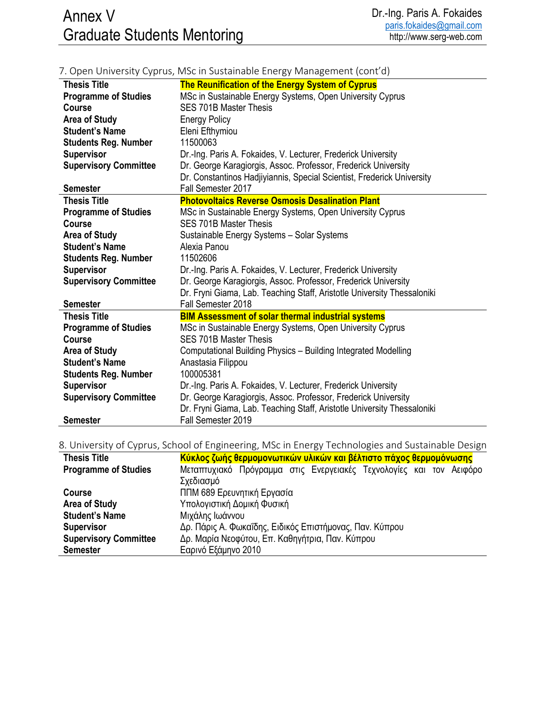|                              | $\mu$ . Open omreibity cyprub, ivide in bustaniable Energy ividiagement (com up |
|------------------------------|---------------------------------------------------------------------------------|
| <b>Thesis Title</b>          | The Reunification of the Energy System of Cyprus                                |
| <b>Programme of Studies</b>  | MSc in Sustainable Energy Systems, Open University Cyprus                       |
| <b>Course</b>                | <b>SES 701B Master Thesis</b>                                                   |
| <b>Area of Study</b>         | <b>Energy Policy</b>                                                            |
| <b>Student's Name</b>        | Eleni Efthymiou                                                                 |
| <b>Students Reg. Number</b>  | 11500063                                                                        |
| <b>Supervisor</b>            | Dr.-Ing. Paris A. Fokaides, V. Lecturer, Frederick University                   |
| <b>Supervisory Committee</b> | Dr. George Karagiorgis, Assoc. Professor, Frederick University                  |
|                              | Dr. Constantinos Hadjiyiannis, Special Scientist, Frederick University          |
| <b>Semester</b>              | Fall Semester 2017                                                              |
| <b>Thesis Title</b>          | <b>Photovoltaics Reverse Osmosis Desalination Plant</b>                         |
| <b>Programme of Studies</b>  | MSc in Sustainable Energy Systems, Open University Cyprus                       |
| <b>Course</b>                | <b>SES 701B Master Thesis</b>                                                   |
| <b>Area of Study</b>         | Sustainable Energy Systems - Solar Systems                                      |
| <b>Student's Name</b>        | Alexia Panou                                                                    |
| <b>Students Reg. Number</b>  | 11502606                                                                        |
| <b>Supervisor</b>            | Dr.-Ing. Paris A. Fokaides, V. Lecturer, Frederick University                   |
| <b>Supervisory Committee</b> | Dr. George Karagiorgis, Assoc. Professor, Frederick University                  |
|                              | Dr. Fryni Giama, Lab. Teaching Staff, Aristotle University Thessaloniki         |
| <b>Semester</b>              | Fall Semester 2018                                                              |
| <b>Thesis Title</b>          | <b>BIM Assessment of solar thermal industrial systems</b>                       |
| <b>Programme of Studies</b>  | MSc in Sustainable Energy Systems, Open University Cyprus                       |
| <b>Course</b>                | <b>SES 701B Master Thesis</b>                                                   |
| <b>Area of Study</b>         | Computational Building Physics - Building Integrated Modelling                  |
| <b>Student's Name</b>        | Anastasia Filippou                                                              |
| <b>Students Reg. Number</b>  | 100005381                                                                       |
| <b>Supervisor</b>            | Dr.-Ing. Paris A. Fokaides, V. Lecturer, Frederick University                   |
| <b>Supervisory Committee</b> | Dr. George Karagiorgis, Assoc. Professor, Frederick University                  |
|                              | Dr. Fryni Giama, Lab. Teaching Staff, Aristotle University Thessaloniki         |
| <b>Semester</b>              | Fall Semester 2019                                                              |

#### 7. Open University Cyprus, MSc in Sustainable Energy Management (cont'd)

### 8. University of Cyprus, School of Engineering, MSc in Energy Technologies and Sustainable Design

| <b>Thesis Title</b>          | Κύκλος ζωής θερμομονωτικών υλικών και βέλτιστο πάχος θερμομόνωσης   |
|------------------------------|---------------------------------------------------------------------|
| <b>Programme of Studies</b>  | Μεταπτυχιακό Πρόγραμμα στις Ενεργειακές Τεχνολογίες και τον Αειφόρο |
|                              | Σχεδιασμό                                                           |
| <b>Course</b>                | ΠΠΜ 689 Ερευνητική Εργασία                                          |
| <b>Area of Study</b>         | Υπολογιστική Δομική Φυσική                                          |
| <b>Student's Name</b>        | Μιχάλης Ιωάννου                                                     |
| <b>Supervisor</b>            | Δρ. Πάρις Α. Φωκαΐδης, Ειδικός Επιστήμονας, Παν. Κύπρου             |
| <b>Supervisory Committee</b> | Δρ. Μαρία Νεοφύτου, Επ. Καθηγήτρια, Παν. Κύπρου                     |
| <b>Semester</b>              | Εαρινό Εξάμηνο 2010                                                 |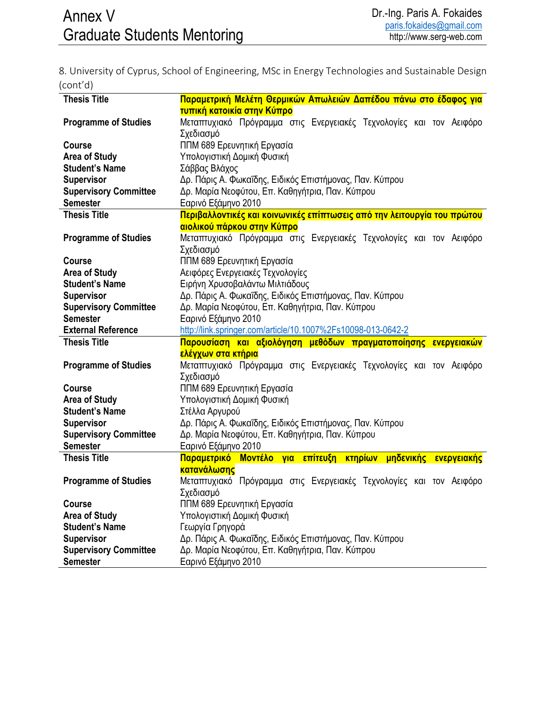8. University of Cyprus, School of Engineering, MSc in Energy Technologies and Sustainable Design (cont'd)

| <b>Thesis Title</b>                               | Παραμετρική Μελέτη Θερμικών Απωλειών Δαπέδου πάνω στο έδαφος για                                           |
|---------------------------------------------------|------------------------------------------------------------------------------------------------------------|
|                                                   | τυπική κατοικία στην Κύπρο                                                                                 |
| <b>Programme of Studies</b>                       | Μεταπτυχιακό Πρόγραμμα στις Ενεργειακές Τεχνολογίες και τον Αειφόρο                                        |
|                                                   | Σχεδιασμό                                                                                                  |
| <b>Course</b>                                     | ΠΠΜ 689 Ερευνητική Εργασία                                                                                 |
| <b>Area of Study</b>                              | Υπολογιστική Δομική Φυσική                                                                                 |
| <b>Student's Name</b>                             | Σάββας Βλάχος                                                                                              |
| <b>Supervisor</b>                                 | Δρ. Πάρις Α. Φωκαΐδης, Ειδικός Επιστήμονας, Παν. Κύπρου                                                    |
| <b>Supervisory Committee</b>                      | Δρ. Μαρία Νεοφύτου, Επ. Καθηγήτρια, Παν. Κύπρου                                                            |
| <b>Semester</b>                                   | Εαρινό Εξάμηνο 2010                                                                                        |
| <b>Thesis Title</b>                               | Περιβαλλοντικές και κοινωνικές επίπτωσεις από την λειτουργία του πρώτου                                    |
|                                                   | αιολικού πάρκου στην Κύπρο                                                                                 |
| <b>Programme of Studies</b>                       | Μεταπτυχιακό Πρόγραμμα στις Ενεργειακές Τεχνολογίες και τον Αειφόρο                                        |
|                                                   | Σχεδιασμό                                                                                                  |
| <b>Course</b>                                     | ΠΠΜ 689 Ερευνητική Εργασία                                                                                 |
| <b>Area of Study</b>                              | Αειφόρες Ενεργειακές Τεχνολογίες                                                                           |
| <b>Student's Name</b>                             | Ειρήνη Χρυσοβαλάντω Μιλτιάδους                                                                             |
| <b>Supervisor</b>                                 | Δρ. Πάρις Α. Φωκαΐδης, Ειδικός Επιστήμονας, Παν. Κύπρου                                                    |
| <b>Supervisory Committee</b>                      | Δρ. Μαρία Νεοφύτου, Επ. Καθηγήτρια, Παν. Κύπρου                                                            |
| <b>Semester</b>                                   | Εαρινό Εξάμηνο 2010                                                                                        |
| <b>External Reference</b>                         | http://link.springer.com/article/10.1007%2Fs10098-013-0642-2                                               |
|                                                   |                                                                                                            |
|                                                   |                                                                                                            |
| <b>Thesis Title</b>                               | Παρουσίαση και αξιολόγηση μεθόδων πραγματοποίησης ενεργειακών                                              |
|                                                   | <mark>ελέγχων στα κτήρια</mark>                                                                            |
| <b>Programme of Studies</b>                       | Μεταπτυχιακό Πρόγραμμα στις Ενεργειακές Τεχνολογίες και τον Αειφόρο                                        |
|                                                   | Σχεδιασμό                                                                                                  |
| <b>Course</b>                                     | ΠΠΜ 689 Ερευνητική Εργασία                                                                                 |
| <b>Area of Study</b>                              | Υπολογιστική Δομική Φυσική                                                                                 |
| <b>Student's Name</b>                             | Στέλλα Αργυρού                                                                                             |
| <b>Supervisor</b>                                 | Δρ. Πάρις Α. Φωκαΐδης, Ειδικός Επιστήμονας, Παν. Κύπρου                                                    |
| <b>Supervisory Committee</b><br><b>Semester</b>   | Δρ. Μαρία Νεοφύτου, Επ. Καθηγήτρια, Παν. Κύπρου                                                            |
|                                                   | Εαρινό Εξάμηνο 2010                                                                                        |
| <b>Thesis Title</b>                               | Παραμετρικό Μοντέλο για επίτευξη κτηρίων μηδενικής ενεργειακής                                             |
|                                                   | κατανάλωσης                                                                                                |
| <b>Programme of Studies</b>                       | Μεταπτυχιακό Πρόγραμμα στις Ενεργειακές Τεχνολογίες και τον Αειφόρο                                        |
| <b>Course</b>                                     | Σχεδιασμό                                                                                                  |
|                                                   | ΠΠΜ 689 Ερευνητική Εργασία                                                                                 |
| <b>Area of Study</b><br><b>Student's Name</b>     | Υπολογιστική Δομική Φυσική                                                                                 |
|                                                   | Γεωργία Γρηγορά                                                                                            |
| <b>Supervisor</b><br><b>Supervisory Committee</b> | Δρ. Πάρις Α. Φωκαΐδης, Ειδικός Επιστήμονας, Παν. Κύπρου<br>Δρ. Μαρία Νεοφύτου, Επ. Καθηγήτρια, Παν. Κύπρου |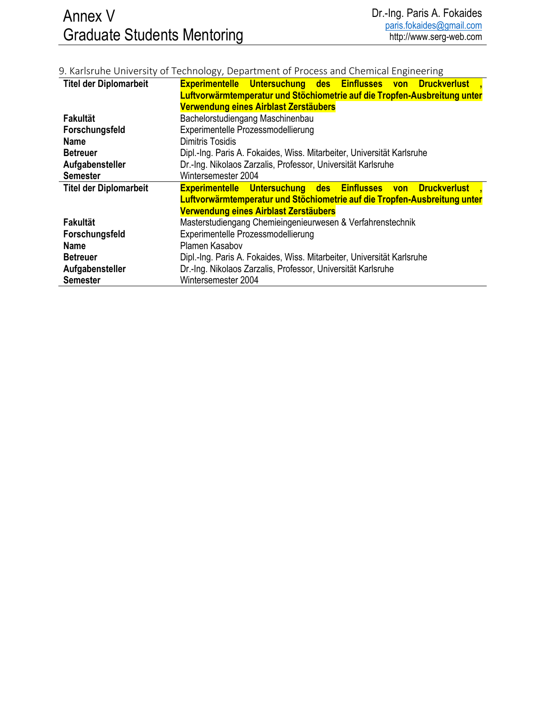## 9. Karlsruhe University of Technology, Department of Process and Chemical Engineering

| <b>Titel der Diplomarbeit</b> | Experimentelle Untersuchung des Einflusses von Druckverlust               |
|-------------------------------|---------------------------------------------------------------------------|
|                               | Luftvorwärmtemperatur und Stöchiometrie auf die Tropfen-Ausbreitung unter |
|                               | Verwendung eines Airblast Zerstäubers                                     |
| Fakultät                      | Bachelorstudiengang Maschinenbau                                          |
| Forschungsfeld                | Experimentelle Prozessmodellierung                                        |
| <b>Name</b>                   | <b>Dimitris Tosidis</b>                                                   |
| <b>Betreuer</b>               | Dipl.-Ing. Paris A. Fokaides, Wiss. Mitarbeiter, Universität Karlsruhe    |
| Aufgabensteller               | Dr.-Ing. Nikolaos Zarzalis, Professor, Universität Karlsruhe              |
| <b>Semester</b>               | Wintersemester 2004                                                       |
|                               |                                                                           |
| <b>Titel der Diplomarbeit</b> | Experimentelle Untersuchung des Einflusses von Druckverlust               |
|                               | Luftvorwärmtemperatur und Stöchiometrie auf die Tropfen-Ausbreitung unter |
|                               | Verwendung eines Airblast Zerstäubers                                     |
| <b>Fakultät</b>               | Masterstudiengang Chemieingenieurwesen & Verfahrenstechnik                |
| Forschungsfeld                | Experimentelle Prozessmodellierung                                        |
| <b>Name</b>                   | Plamen Kasabov                                                            |
| <b>Betreuer</b>               | Dipl.-Ing. Paris A. Fokaides, Wiss. Mitarbeiter, Universität Karlsruhe    |
| Aufgabensteller               | Dr.-Ing. Nikolaos Zarzalis, Professor, Universität Karlsruhe              |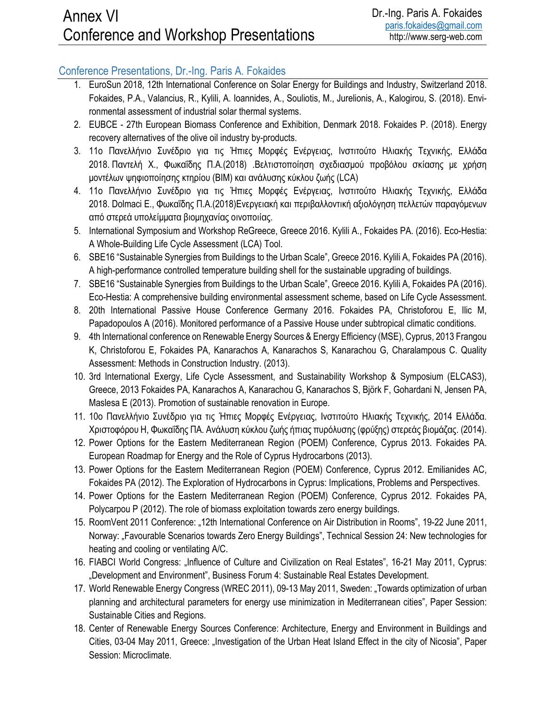## Conference Presentations, Dr.-Ing. Paris A. Fokaides

- 1. EuroSun 2018, 12th International Conference on Solar Energy for Buildings and Industry, Switzerland 2018. Fokaides, P.A., Valancius, R., Kylili, A. Ioannides, A., Souliotis, M., Jurelionis, A., Kalogirou, S. (2018). Environmental assessment of industrial solar thermal systems.
- 2. EUBCE 27th European Biomass Conference and Exhibition, Denmark 2018. Fokaides P. (2018). Energy recovery alternatives of the olive oil industry by-products.
- 3. 11ο Πανελλήνιο Συνέδριο για τις Ήπιες Μορφές Ενέργειας, Ινστιτούτο Ηλιακής Τεχνικής, Ελλάδα 2018. Παντελή Χ., Φωκαΐδης Π.Α.(2018) .Βελτιστοποίηση σχεδιασμού προβόλου σκίασης με χρήση μοντέλων ψηφιοποίησης κτηρίου (BIM) και ανάλυσης κύκλου ζωής (LCA)
- 4. 11ο Πανελλήνιο Συνέδριο για τις Ήπιες Μορφές Ενέργειας, Ινστιτούτο Ηλιακής Τεχνικής, Ελλάδα 2018. Dolmaci E., Φωκαΐδης Π.Α.(2018)Ενεργειακή και περιβαλλοντική αξιολόγηση πελλετών παραγόμενων από στερεά υπολείμματα βιομηχανίας οινοποιίας.
- 5. International Symposium and Workshop ReGreece, Greece 2016. Kylili A., Fokaides PA. (2016). Eco-Hestia: A Whole-Building Life Cycle Assessment (LCA) Tool.
- 6. SBE16 "Sustainable Synergies from Buildings to the Urban Scale", Greece 2016. Kylili A, Fokaides PA (2016). A high-performance controlled temperature building shell for the sustainable upgrading of buildings.
- 7. SBE16 "Sustainable Synergies from Buildings to the Urban Scale", Greece 2016. Kylili A, Fokaides PA (2016). Eco-Hestia: A comprehensive building environmental assessment scheme, based on Life Cycle Assessment.
- 8. 20th International Passive House Conference Germany 2016. Fokaides PA, Christoforou E, Ilic M, Papadopoulos A (2016). Monitored performance of a Passive House under subtropical climatic conditions.
- 9. 4th International conference on Renewable Energy Sources & Energy Efficiency (MSE), Cyprus, 2013 Frangou K, Christoforou E, Fokaides PA, Kanarachos A, Kanarachos S, Kanarachou G, Charalampous C. Quality Assessment: Methods in Construction Industry. (2013).
- 10. 3rd International Exergy, Life Cycle Assessment, and Sustainability Workshop & Symposium (ELCAS3), Greece, 2013 Fokaides PA, Kanarachos A, Kanarachou G, Kanarachos S, Björk F, Gohardani N, Jensen PA, Maslesa E (2013). Promotion of sustainable renovation in Europe.
- 11. 10ο Πανελλήνιο Συνέδριο για τις Ήπιες Μορφές Ενέργειας, Ινστιτούτο Ηλιακής Τεχνικής, 2014 Ελλάδα. Χριστοφόρου Η, Φωκαΐδης ΠΑ. Ανάλυση κύκλου ζωής ήπιας πυρόλυσης (φρύξης) στερεάς βιομάζας. (2014).
- 12. Power Options for the Eastern Mediterranean Region (POEM) Conference, Cyprus 2013. Fokaides PA. European Roadmap for Energy and the Role of Cyprus Hydrocarbons (2013).
- 13. Power Options for the Eastern Mediterranean Region (POEM) Conference, Cyprus 2012. Emilianides AC, Fokaides PA (2012). The Exploration of Hydrocarbons in Cyprus: Implications, Problems and Perspectives.
- 14. Power Options for the Eastern Mediterranean Region (POEM) Conference, Cyprus 2012. Fokaides PA, Polycarpou P (2012). The role of biomass exploitation towards zero energy buildings.
- 15. RoomVent 2011 Conference: "12th International Conference on Air Distribution in Rooms", 19-22 June 2011, Norway: "Favourable Scenarios towards Zero Energy Buildings", Technical Session 24: New technologies for heating and cooling or ventilating A/C.
- 16. FIABCI World Congress: "Influence of Culture and Civilization on Real Estates", 16-21 May 2011, Cyprus: "Development and Environment", Business Forum 4: Sustainable Real Estates Development.
- 17. World Renewable Energy Congress (WREC 2011), 09-13 May 2011, Sweden: "Towards optimization of urban planning and architectural parameters for energy use minimization in Mediterranean cities", Paper Session: Sustainable Cities and Regions.
- 18. Center of Renewable Energy Sources Conference: Architecture, Energy and Environment in Buildings and Cities, 03-04 May 2011, Greece: "Investigation of the Urban Heat Island Effect in the city of Nicosia", Paper Session: Microclimate.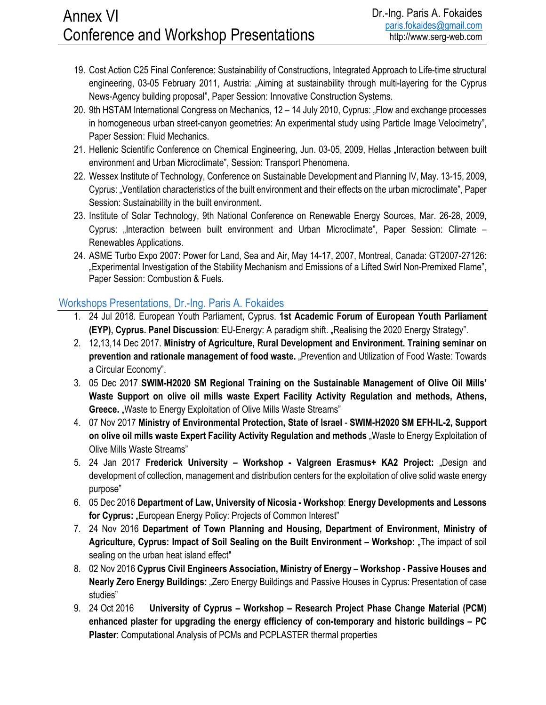## Annex VI Conference and Workshop Presentations

- 19. Cost Action C25 Final Conference: Sustainability of Constructions, Integrated Approach to Life-time structural engineering, 03-05 February 2011, Austria: "Aiming at sustainability through multi-layering for the Cyprus News-Agency building proposal", Paper Session: Innovative Construction Systems.
- 20. 9th HSTAM International Congress on Mechanics, 12 14 July 2010, Cyprus: "Flow and exchange processes in homogeneous urban street-canyon geometries: An experimental study using Particle Image Velocimetry", Paper Session: Fluid Mechanics.
- 21. Hellenic Scientific Conference on Chemical Engineering, Jun. 03-05, 2009, Hellas "Interaction between built environment and Urban Microclimate", Session: Transport Phenomena.
- 22. Wessex Institute of Technology, Conference on Sustainable Development and Planning IV, May. 13-15, 2009, Cyprus: "Ventilation characteristics of the built environment and their effects on the urban microclimate", Paper Session: Sustainability in the built environment.
- 23. Institute of Solar Technology, 9th National Conference on Renewable Energy Sources, Mar. 26-28, 2009, Cyprus: "Interaction between built environment and Urban Microclimate", Paper Session: Climate -Renewables Applications.
- 24. ASME Turbo Expo 2007: Power for Land, Sea and Air, May 14-17, 2007, Montreal, Canada: GT2007-27126: "Experimental Investigation of the Stability Mechanism and Emissions of a Lifted Swirl Non-Premixed Flame", Paper Session: Combustion & Fuels.

## Workshops Presentations, Dr.-Ing. Paris A. Fokaides

- 1. 24 Jul 2018. European Youth Parliament, Cyprus. **1st Academic Forum of European Youth Parliament (EYP), Cyprus. Panel Discussion**: EU-Energy: A paradigm shift. "Realising the 2020 Energy Strategy".
- 2. 12,13,14 Dec 2017. **Ministry of Agriculture, Rural Development and Environment. Training seminar on**  prevention and rationale management of food waste. "Prevention and Utilization of Food Waste: Towards a Circular Economy".
- 3. 05 Dec 2017 **SWIM-H2020 SM Regional Training on the Sustainable Management of Olive Oil Mills' Waste Support on olive oil mills waste Expert Facility Activity Regulation and methods, Athens, Greece.** "Waste to Energy Exploitation of Olive Mills Waste Streams"
- 4. 07 Nov 2017 **Ministry of Environmental Protection, State of Israel SWIM-H2020 SM EFH-IL-2, Support on olive oil mills waste Expert Facility Activity Regulation and methods** "Waste to Energy Exploitation of Olive Mills Waste Streams"
- 5. 24 Jan 2017 **Frederick University Workshop Valgreen Erasmus+ KA2 Project:** "Design and development of collection, management and distribution centers for the exploitation of olive solid waste energy purpose"
- 6. 05 Dec 2016 **Department of Law, University of Nicosia Workshop**: **Energy Developments and Lessons**  for Cyprus: "European Energy Policy: Projects of Common Interest"
- 7. 24 Nov 2016 **Department of Town Planning and Housing, Department of Environment, Ministry of Agriculture, Cyprus: Impact of Soil Sealing on the Built Environment – Workshop:** "The impact of soil sealing on the urban heat island effect"
- 8. 02 Nov 2016 **Cyprus Civil Engineers Association, Ministry of Energy Workshop Passive Houses and**  Nearly Zero Energy Buildings: "Zero Energy Buildings and Passive Houses in Cyprus: Presentation of case studies"
- 9. 24 Oct 2016 **University of Cyprus Workshop Research Project Phase Change Material (PCM) enhanced plaster for upgrading the energy efficiency of con-temporary and historic buildings – PC Plaster**: Computational Analysis of PCMs and PCPLASTER thermal properties